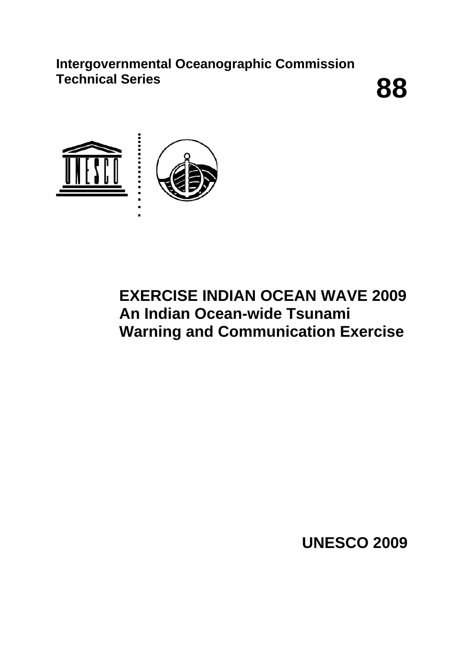**Intergovernmental Oceanographic Commission** Technical Series **88** 



# **EXERCISE INDIAN OCEAN WAVE 2009 An Indian Ocean-wide Tsunami Warning and Communication Exercise**

**UNESCO 2009**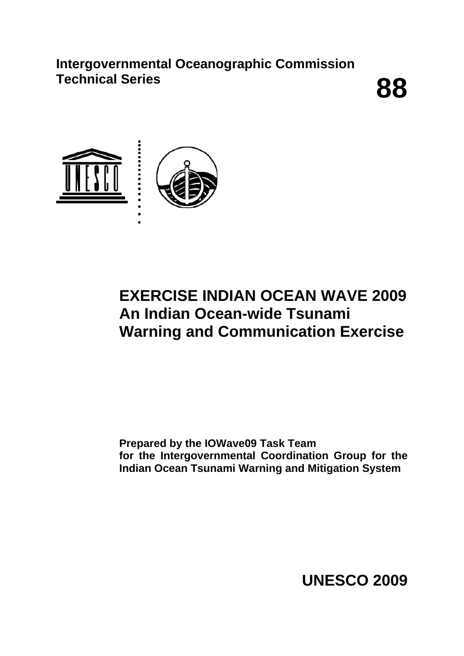**Intergovernmental Oceanographic Commission** Technical Series **88** 



# **EXERCISE INDIAN OCEAN WAVE 2009 An Indian Ocean-wide Tsunami Warning and Communication Exercise**

**Prepared by the IOWave09 Task Team for the Intergovernmental Coordination Group for the Indian Ocean Tsunami Warning and Mitigation System** 

**UNESCO 2009**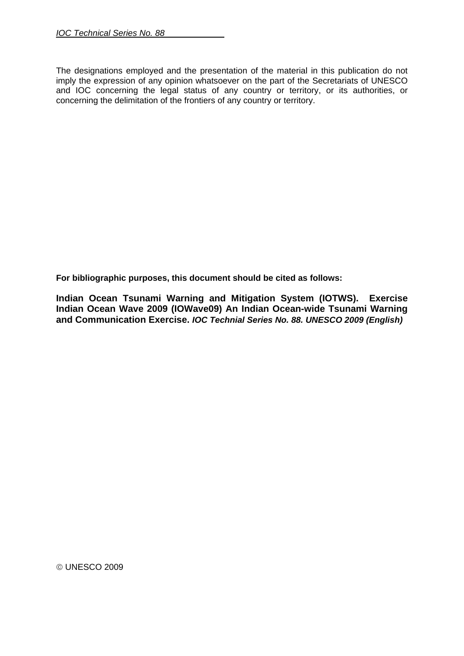The designations employed and the presentation of the material in this publication do not imply the expression of any opinion whatsoever on the part of the Secretariats of UNESCO and IOC concerning the legal status of any country or territory, or its authorities, or concerning the delimitation of the frontiers of any country or territory.

**For bibliographic purposes, this document should be cited as follows:** 

**Indian Ocean Tsunami Warning and Mitigation System (IOTWS). Exercise Indian Ocean Wave 2009 (IOWave09) An Indian Ocean-wide Tsunami Warning and Communication Exercise.** *IOC Technial Series No. 88. UNESCO 2009 (English)* 

UNESCO 2009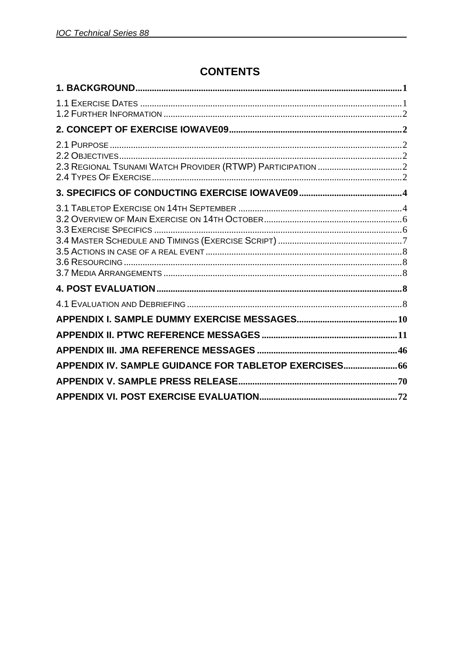## **CONTENTS**

| APPENDIX IV. SAMPLE GUIDANCE FOR TABLETOP EXERCISES 66 |  |
|--------------------------------------------------------|--|
|                                                        |  |
|                                                        |  |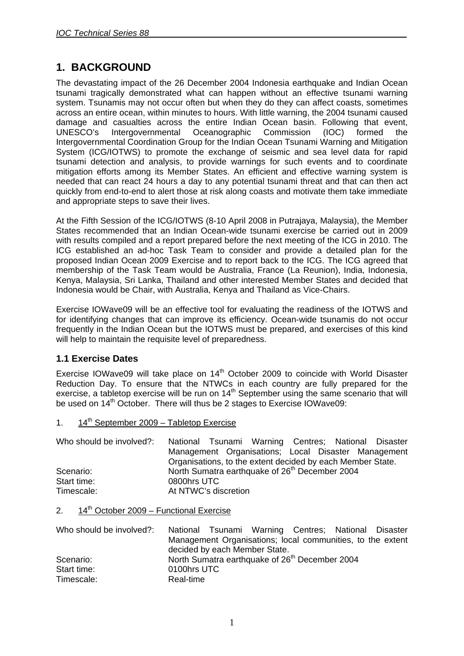## **1. BACKGROUND**

The devastating impact of the 26 December 2004 Indonesia earthquake and Indian Ocean tsunami tragically demonstrated what can happen without an effective tsunami warning system. Tsunamis may not occur often but when they do they can affect coasts, sometimes across an entire ocean, within minutes to hours. With little warning, the 2004 tsunami caused damage and casualties across the entire Indian Ocean basin. Following that event, UNESCO's Intergovernmental Oceanographic Commission (IOC) formed the Intergovernmental Coordination Group for the Indian Ocean Tsunami Warning and Mitigation System (ICG/IOTWS) to promote the exchange of seismic and sea level data for rapid tsunami detection and analysis, to provide warnings for such events and to coordinate mitigation efforts among its Member States. An efficient and effective warning system is needed that can react 24 hours a day to any potential tsunami threat and that can then act quickly from end-to-end to alert those at risk along coasts and motivate them take immediate and appropriate steps to save their lives.

At the Fifth Session of the ICG/IOTWS (8-10 April 2008 in Putrajaya, Malaysia), the Member States recommended that an Indian Ocean-wide tsunami exercise be carried out in 2009 with results compiled and a report prepared before the next meeting of the ICG in 2010. The ICG established an ad-hoc Task Team to consider and provide a detailed plan for the proposed Indian Ocean 2009 Exercise and to report back to the ICG. The ICG agreed that membership of the Task Team would be Australia, France (La Reunion), India, Indonesia, Kenya, Malaysia, Sri Lanka, Thailand and other interested Member States and decided that Indonesia would be Chair, with Australia, Kenya and Thailand as Vice-Chairs.

Exercise IOWave09 will be an effective tool for evaluating the readiness of the IOTWS and for identifying changes that can improve its efficiency. Ocean-wide tsunamis do not occur frequently in the Indian Ocean but the IOTWS must be prepared, and exercises of this kind will help to maintain the requisite level of preparedness.

## **1.1 Exercise Dates**

Exercise IOWave09 will take place on  $14<sup>th</sup>$  October 2009 to coincide with World Disaster Reduction Day. To ensure that the NTWCs in each country are fully prepared for the exercise, a tabletop exercise will be run on  $14^{\text{th}}$  September using the same scenario that will be used on 14<sup>th</sup> October. There will thus be 2 stages to Exercise IOWave09:

1. 14<sup>th</sup> September 2009 – Tabletop Exercise

| Who should be involved?: | National Tsunami Warning Centres; National Disaster        |  |  |
|--------------------------|------------------------------------------------------------|--|--|
|                          | Management Organisations; Local Disaster Management        |  |  |
|                          | Organisations, to the extent decided by each Member State. |  |  |
| Scenario:                | North Sumatra earthquake of 26 <sup>th</sup> December 2004 |  |  |
| Start time:              | 0800hrs UTC                                                |  |  |
| Timescale:               | At NTWC's discretion                                       |  |  |

### 2.  $14<sup>th</sup>$  October 2009 – Functional Exercise

| Who should be involved?: | National Tsunami Warning Centres; National Disaster        |  |  |  |  |
|--------------------------|------------------------------------------------------------|--|--|--|--|
|                          | Management Organisations; local communities, to the extent |  |  |  |  |
|                          | decided by each Member State.                              |  |  |  |  |
| Scenario:                | North Sumatra earthquake of 26 <sup>th</sup> December 2004 |  |  |  |  |
| Start time:              | 0100hrs UTC                                                |  |  |  |  |
| Timescale:               | Real-time                                                  |  |  |  |  |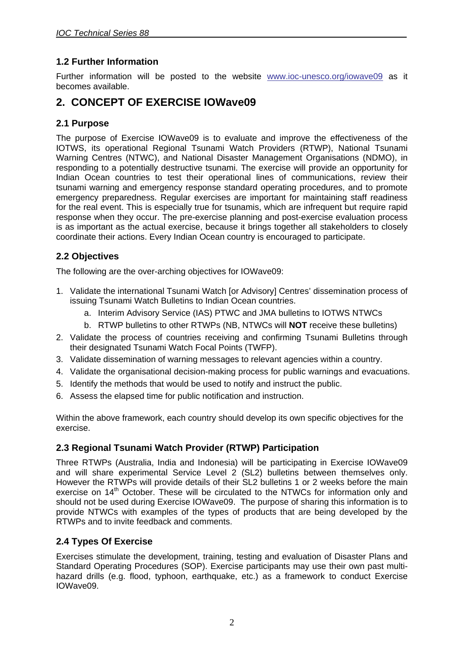## **1.2 Further Information**

Further information will be posted to the website www.ioc-unesco.org/iowave09 as it becomes available.

## **2. CONCEPT OF EXERCISE IOWave09**

### **2.1 Purpose**

The purpose of Exercise IOWave09 is to evaluate and improve the effectiveness of the IOTWS, its operational Regional Tsunami Watch Providers (RTWP), National Tsunami Warning Centres (NTWC), and National Disaster Management Organisations (NDMO), in responding to a potentially destructive tsunami. The exercise will provide an opportunity for Indian Ocean countries to test their operational lines of communications, review their tsunami warning and emergency response standard operating procedures, and to promote emergency preparedness. Regular exercises are important for maintaining staff readiness for the real event. This is especially true for tsunamis, which are infrequent but require rapid response when they occur. The pre-exercise planning and post-exercise evaluation process is as important as the actual exercise, because it brings together all stakeholders to closely coordinate their actions. Every Indian Ocean country is encouraged to participate.

### **2.2 Objectives**

The following are the over-arching objectives for IOWave09:

- 1. Validate the international Tsunami Watch [or Advisory] Centres' dissemination process of issuing Tsunami Watch Bulletins to Indian Ocean countries.
	- a. Interim Advisory Service (IAS) PTWC and JMA bulletins to IOTWS NTWCs
	- b. RTWP bulletins to other RTWPs (NB, NTWCs will **NOT** receive these bulletins)
- 2. Validate the process of countries receiving and confirming Tsunami Bulletins through their designated Tsunami Watch Focal Points (TWFP).
- 3. Validate dissemination of warning messages to relevant agencies within a country.
- 4. Validate the organisational decision-making process for public warnings and evacuations.
- 5. Identify the methods that would be used to notify and instruct the public.
- 6. Assess the elapsed time for public notification and instruction.

Within the above framework, each country should develop its own specific objectives for the exercise.

### **2.3 Regional Tsunami Watch Provider (RTWP) Participation**

Three RTWPs (Australia, India and Indonesia) will be participating in Exercise IOWave09 and will share experimental Service Level 2 (SL2) bulletins between themselves only. However the RTWPs will provide details of their SL2 bulletins 1 or 2 weeks before the main exercise on 14<sup>th</sup> October. These will be circulated to the NTWCs for information only and should not be used during Exercise IOWave09. The purpose of sharing this information is to provide NTWCs with examples of the types of products that are being developed by the RTWPs and to invite feedback and comments.

## **2.4 Types Of Exercise**

Exercises stimulate the development, training, testing and evaluation of Disaster Plans and Standard Operating Procedures (SOP). Exercise participants may use their own past multihazard drills (e.g. flood, typhoon, earthquake, etc.) as a framework to conduct Exercise IOWave09.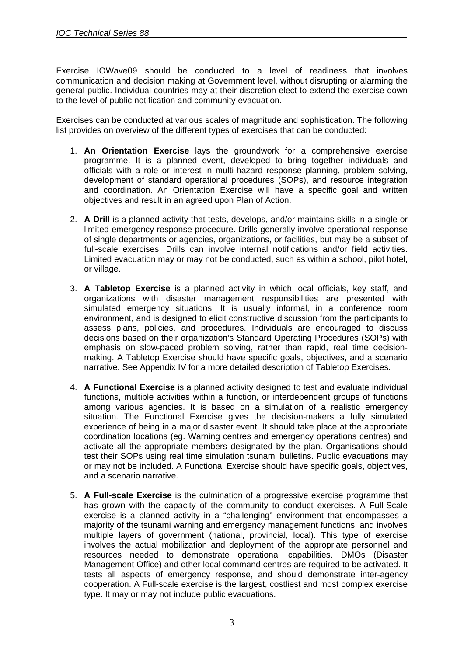Exercise IOWave09 should be conducted to a level of readiness that involves communication and decision making at Government level, without disrupting or alarming the general public. Individual countries may at their discretion elect to extend the exercise down to the level of public notification and community evacuation.

Exercises can be conducted at various scales of magnitude and sophistication. The following list provides on overview of the different types of exercises that can be conducted:

- 1. **An Orientation Exercise** lays the groundwork for a comprehensive exercise programme. It is a planned event, developed to bring together individuals and officials with a role or interest in multi-hazard response planning, problem solving, development of standard operational procedures (SOPs), and resource integration and coordination. An Orientation Exercise will have a specific goal and written objectives and result in an agreed upon Plan of Action.
- 2. **A Drill** is a planned activity that tests, develops, and/or maintains skills in a single or limited emergency response procedure. Drills generally involve operational response of single departments or agencies, organizations, or facilities, but may be a subset of full-scale exercises. Drills can involve internal notifications and/or field activities. Limited evacuation may or may not be conducted, such as within a school, pilot hotel, or village.
- 3. **A Tabletop Exercise** is a planned activity in which local officials, key staff, and organizations with disaster management responsibilities are presented with simulated emergency situations. It is usually informal, in a conference room environment, and is designed to elicit constructive discussion from the participants to assess plans, policies, and procedures. Individuals are encouraged to discuss decisions based on their organization's Standard Operating Procedures (SOPs) with emphasis on slow-paced problem solving, rather than rapid, real time decisionmaking. A Tabletop Exercise should have specific goals, objectives, and a scenario narrative. See Appendix IV for a more detailed description of Tabletop Exercises.
- 4. **A Functional Exercise** is a planned activity designed to test and evaluate individual functions, multiple activities within a function, or interdependent groups of functions among various agencies. It is based on a simulation of a realistic emergency situation. The Functional Exercise gives the decision-makers a fully simulated experience of being in a major disaster event. It should take place at the appropriate coordination locations (eg. Warning centres and emergency operations centres) and activate all the appropriate members designated by the plan. Organisations should test their SOPs using real time simulation tsunami bulletins. Public evacuations may or may not be included. A Functional Exercise should have specific goals, objectives, and a scenario narrative.
- 5. **A Full-scale Exercise** is the culmination of a progressive exercise programme that has grown with the capacity of the community to conduct exercises. A Full-Scale exercise is a planned activity in a "challenging" environment that encompasses a majority of the tsunami warning and emergency management functions, and involves multiple layers of government (national, provincial, local). This type of exercise involves the actual mobilization and deployment of the appropriate personnel and resources needed to demonstrate operational capabilities. DMOs (Disaster Management Office) and other local command centres are required to be activated. It tests all aspects of emergency response, and should demonstrate inter-agency cooperation. A Full-scale exercise is the largest, costliest and most complex exercise type. It may or may not include public evacuations.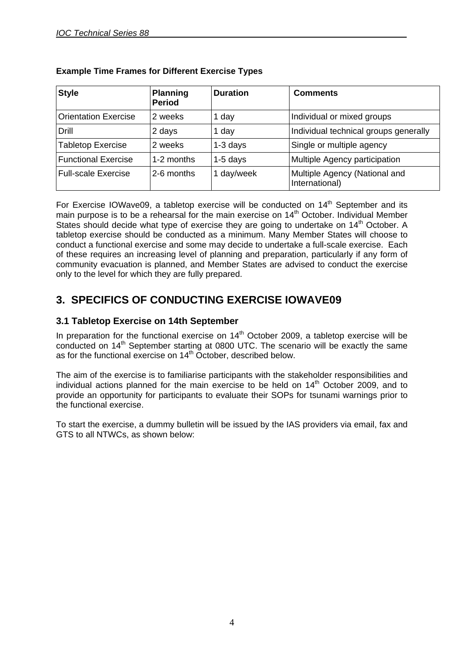| <b>Style</b>                | <b>Planning</b><br><b>Period</b> | <b>Duration</b> | <b>Comments</b>                                 |
|-----------------------------|----------------------------------|-----------------|-------------------------------------------------|
| <b>Orientation Exercise</b> | 2 weeks                          | 1 day           | Individual or mixed groups                      |
| Drill                       | 2 days                           | 1 day           | Individual technical groups generally           |
| <b>Tabletop Exercise</b>    | 2 weeks                          | $1-3$ days      | Single or multiple agency                       |
| <b>Functional Exercise</b>  | 1-2 months                       | $1-5$ days      | Multiple Agency participation                   |
| <b>Full-scale Exercise</b>  | 2-6 months                       | day/week        | Multiple Agency (National and<br>International) |

### **Example Time Frames for Different Exercise Types**

For Exercise IOWave09, a tabletop exercise will be conducted on 14<sup>th</sup> September and its main purpose is to be a rehearsal for the main exercise on 14<sup>th</sup> October. Individual Member States should decide what type of exercise they are going to undertake on  $14<sup>th</sup>$  October. A tabletop exercise should be conducted as a minimum. Many Member States will choose to conduct a functional exercise and some may decide to undertake a full-scale exercise. Each of these requires an increasing level of planning and preparation, particularly if any form of community evacuation is planned, and Member States are advised to conduct the exercise only to the level for which they are fully prepared.

## **3. SPECIFICS OF CONDUCTING EXERCISE IOWAVE09**

## **3.1 Tabletop Exercise on 14th September**

In preparation for the functional exercise on  $14<sup>th</sup>$  October 2009, a tabletop exercise will be conducted on 14<sup>th</sup> September starting at 0800 UTC. The scenario will be exactly the same as for the functional exercise on 14<sup>th</sup> October, described below.

The aim of the exercise is to familiarise participants with the stakeholder responsibilities and individual actions planned for the main exercise to be held on  $14<sup>th</sup>$  October 2009, and to provide an opportunity for participants to evaluate their SOPs for tsunami warnings prior to the functional exercise.

To start the exercise, a dummy bulletin will be issued by the IAS providers via email, fax and GTS to all NTWCs, as shown below: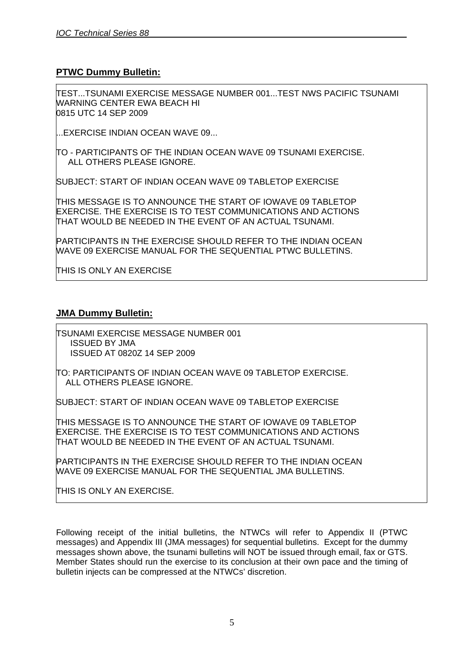## **PTWC Dummy Bulletin:**

TEST...TSUNAMI EXERCISE MESSAGE NUMBER 001...TEST NWS PACIFIC TSUNAMI WARNING CENTER EWA BEACH HI 0815 UTC 14 SEP 2009

...EXERCISE INDIAN OCEAN WAVE 09...

TO - PARTICIPANTS OF THE INDIAN OCEAN WAVE 09 TSUNAMI EXERCISE. ALL OTHERS PLEASE IGNORE.

SUBJECT: START OF INDIAN OCEAN WAVE 09 TABLETOP EXERCISE

THIS MESSAGE IS TO ANNOUNCE THE START OF IOWAVE 09 TABLETOP EXERCISE. THE EXERCISE IS TO TEST COMMUNICATIONS AND ACTIONS THAT WOULD BE NEEDED IN THE EVENT OF AN ACTUAL TSUNAMI.

PARTICIPANTS IN THE EXERCISE SHOULD REFER TO THE INDIAN OCEAN WAVE 09 EXERCISE MANUAL FOR THE SEQUENTIAL PTWC BULLETINS.

THIS IS ONLY AN EXERCISE

### **JMA Dummy Bulletin:**

TSUNAMI EXERCISE MESSAGE NUMBER 001 ISSUED BY JMA ISSUED AT 0820Z 14 SEP 2009

TO: PARTICIPANTS OF INDIAN OCEAN WAVE 09 TABLETOP EXERCISE. ALL OTHERS PLEASE IGNORE.

SUBJECT: START OF INDIAN OCEAN WAVE 09 TABLETOP EXERCISE

THIS MESSAGE IS TO ANNOUNCE THE START OF IOWAVE 09 TABLETOP EXERCISE. THE EXERCISE IS TO TEST COMMUNICATIONS AND ACTIONS THAT WOULD BE NEEDED IN THE EVENT OF AN ACTUAL TSUNAMI.

PARTICIPANTS IN THE EXERCISE SHOULD REFER TO THE INDIAN OCEAN WAVE 09 EXERCISE MANUAL FOR THE SEQUENTIAL JMA BULLETINS.

THIS IS ONLY AN EXERCISE.

Following receipt of the initial bulletins, the NTWCs will refer to Appendix II (PTWC messages) and Appendix III (JMA messages) for sequential bulletins. Except for the dummy messages shown above, the tsunami bulletins will NOT be issued through email, fax or GTS. Member States should run the exercise to its conclusion at their own pace and the timing of bulletin injects can be compressed at the NTWCs' discretion.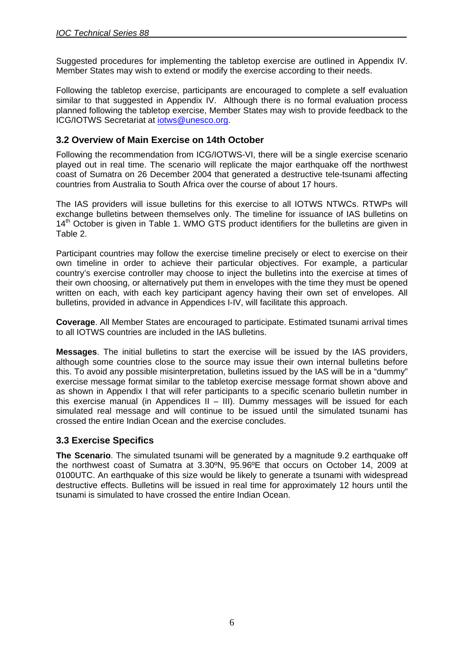Suggested procedures for implementing the tabletop exercise are outlined in Appendix IV. Member States may wish to extend or modify the exercise according to their needs.

Following the tabletop exercise, participants are encouraged to complete a self evaluation similar to that suggested in Appendix IV. Although there is no formal evaluation process planned following the tabletop exercise, Member States may wish to provide feedback to the ICG/IOTWS Secretariat at iotws@unesco.org.

### **3.2 Overview of Main Exercise on 14th October**

Following the recommendation from ICG/IOTWS-VI, there will be a single exercise scenario played out in real time. The scenario will replicate the major earthquake off the northwest coast of Sumatra on 26 December 2004 that generated a destructive tele-tsunami affecting countries from Australia to South Africa over the course of about 17 hours.

The IAS providers will issue bulletins for this exercise to all IOTWS NTWCs. RTWPs will exchange bulletins between themselves only. The timeline for issuance of IAS bulletins on 14<sup>th</sup> October is given in Table 1. WMO GTS product identifiers for the bulletins are given in Table 2.

Participant countries may follow the exercise timeline precisely or elect to exercise on their own timeline in order to achieve their particular objectives. For example, a particular country's exercise controller may choose to inject the bulletins into the exercise at times of their own choosing, or alternatively put them in envelopes with the time they must be opened written on each, with each key participant agency having their own set of envelopes. All bulletins, provided in advance in Appendices I-IV, will facilitate this approach.

**Coverage**. All Member States are encouraged to participate. Estimated tsunami arrival times to all IOTWS countries are included in the IAS bulletins.

**Messages**. The initial bulletins to start the exercise will be issued by the IAS providers, although some countries close to the source may issue their own internal bulletins before this. To avoid any possible misinterpretation, bulletins issued by the IAS will be in a "dummy" exercise message format similar to the tabletop exercise message format shown above and as shown in Appendix I that will refer participants to a specific scenario bulletin number in this exercise manual (in Appendices II – III). Dummy messages will be issued for each simulated real message and will continue to be issued until the simulated tsunami has crossed the entire Indian Ocean and the exercise concludes.

## **3.3 Exercise Specifics**

**The Scenario**. The simulated tsunami will be generated by a magnitude 9.2 earthquake off the northwest coast of Sumatra at 3.30ºN, 95.96ºE that occurs on October 14, 2009 at 0100UTC. An earthquake of this size would be likely to generate a tsunami with widespread destructive effects. Bulletins will be issued in real time for approximately 12 hours until the tsunami is simulated to have crossed the entire Indian Ocean.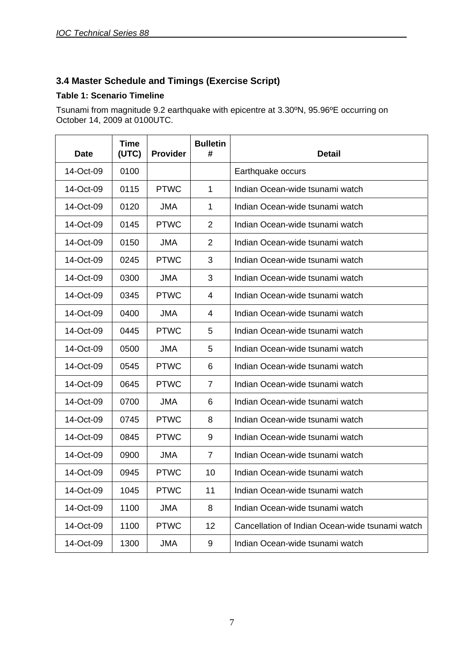## **3.4 Master Schedule and Timings (Exercise Script)**

## **Table 1: Scenario Timeline**

Tsunami from magnitude 9.2 earthquake with epicentre at 3.30ºN, 95.96ºE occurring on October 14, 2009 at 0100UTC.

| <b>Date</b> | <b>Time</b><br>(UTC) | <b>Provider</b> | <b>Bulletin</b><br># | <b>Detail</b>                                   |
|-------------|----------------------|-----------------|----------------------|-------------------------------------------------|
| 14-Oct-09   | 0100                 |                 |                      | Earthquake occurs                               |
| 14-Oct-09   | 0115                 | <b>PTWC</b>     | 1                    | Indian Ocean-wide tsunami watch                 |
| 14-Oct-09   | 0120                 | <b>JMA</b>      | 1                    | Indian Ocean-wide tsunami watch                 |
| 14-Oct-09   | 0145                 | <b>PTWC</b>     | $\overline{2}$       | Indian Ocean-wide tsunami watch                 |
| 14-Oct-09   | 0150                 | <b>JMA</b>      | $\overline{2}$       | Indian Ocean-wide tsunami watch                 |
| 14-Oct-09   | 0245                 | <b>PTWC</b>     | 3                    | Indian Ocean-wide tsunami watch                 |
| 14-Oct-09   | 0300                 | <b>JMA</b>      | 3                    | Indian Ocean-wide tsunami watch                 |
| 14-Oct-09   | 0345                 | <b>PTWC</b>     | 4                    | Indian Ocean-wide tsunami watch                 |
| 14-Oct-09   | 0400                 | <b>JMA</b>      | 4                    | Indian Ocean-wide tsunami watch                 |
| 14-Oct-09   | 0445                 | <b>PTWC</b>     | 5                    | Indian Ocean-wide tsunami watch                 |
| 14-Oct-09   | 0500                 | <b>JMA</b>      | 5                    | Indian Ocean-wide tsunami watch                 |
| 14-Oct-09   | 0545                 | <b>PTWC</b>     | 6                    | Indian Ocean-wide tsunami watch                 |
| 14-Oct-09   | 0645                 | <b>PTWC</b>     | $\overline{7}$       | Indian Ocean-wide tsunami watch                 |
| 14-Oct-09   | 0700                 | <b>JMA</b>      | 6                    | Indian Ocean-wide tsunami watch                 |
| 14-Oct-09   | 0745                 | <b>PTWC</b>     | 8                    | Indian Ocean-wide tsunami watch                 |
| 14-Oct-09   | 0845                 | <b>PTWC</b>     | 9                    | Indian Ocean-wide tsunami watch                 |
| 14-Oct-09   | 0900                 | <b>JMA</b>      | $\overline{7}$       | Indian Ocean-wide tsunami watch                 |
| 14-Oct-09   | 0945                 | <b>PTWC</b>     | 10                   | Indian Ocean-wide tsunami watch                 |
| 14-Oct-09   | 1045                 | <b>PTWC</b>     | 11                   | Indian Ocean-wide tsunami watch                 |
| 14-Oct-09   | 1100                 | <b>JMA</b>      | 8                    | Indian Ocean-wide tsunami watch                 |
| 14-Oct-09   | 1100                 | <b>PTWC</b>     | 12                   | Cancellation of Indian Ocean-wide tsunami watch |
| 14-Oct-09   | 1300                 | <b>JMA</b>      | 9                    | Indian Ocean-wide tsunami watch                 |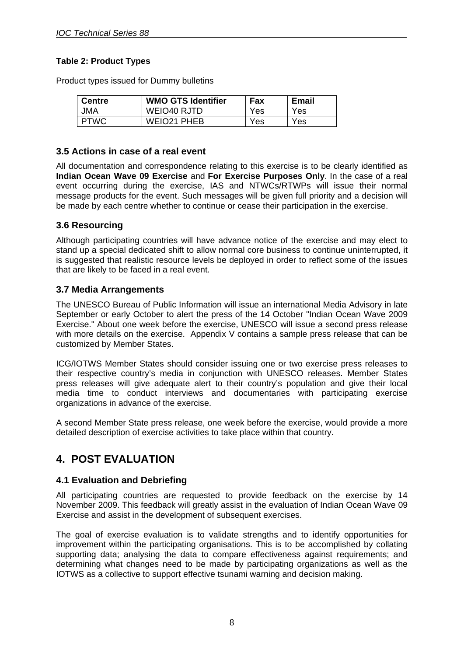### **Table 2: Product Types**

Product types issued for Dummy bulletins

| <b>Centre</b> | <b>WMO GTS Identifier</b> | Fax | <b>Email</b> |
|---------------|---------------------------|-----|--------------|
| JMA           | <b>WEIO40 RJTD</b>        | Yes | Yes          |
| <b>PTWC</b>   | WEIO21 PHEB               | Yes | Yes          |

#### **3.5 Actions in case of a real event**

All documentation and correspondence relating to this exercise is to be clearly identified as **Indian Ocean Wave 09 Exercise** and **For Exercise Purposes Only**. In the case of a real event occurring during the exercise, IAS and NTWCs/RTWPs will issue their normal message products for the event. Such messages will be given full priority and a decision will be made by each centre whether to continue or cease their participation in the exercise.

#### **3.6 Resourcing**

Although participating countries will have advance notice of the exercise and may elect to stand up a special dedicated shift to allow normal core business to continue uninterrupted, it is suggested that realistic resource levels be deployed in order to reflect some of the issues that are likely to be faced in a real event.

### **3.7 Media Arrangements**

The UNESCO Bureau of Public Information will issue an international Media Advisory in late September or early October to alert the press of the 14 October "Indian Ocean Wave 2009 Exercise." About one week before the exercise, UNESCO will issue a second press release with more details on the exercise. Appendix V contains a sample press release that can be customized by Member States.

ICG/IOTWS Member States should consider issuing one or two exercise press releases to their respective country's media in conjunction with UNESCO releases. Member States press releases will give adequate alert to their country's population and give their local media time to conduct interviews and documentaries with participating exercise organizations in advance of the exercise.

A second Member State press release, one week before the exercise, would provide a more detailed description of exercise activities to take place within that country.

## **4. POST EVALUATION**

### **4.1 Evaluation and Debriefing**

All participating countries are requested to provide feedback on the exercise by 14 November 2009. This feedback will greatly assist in the evaluation of Indian Ocean Wave 09 Exercise and assist in the development of subsequent exercises.

The goal of exercise evaluation is to validate strengths and to identify opportunities for improvement within the participating organisations. This is to be accomplished by collating supporting data; analysing the data to compare effectiveness against requirements; and determining what changes need to be made by participating organizations as well as the IOTWS as a collective to support effective tsunami warning and decision making.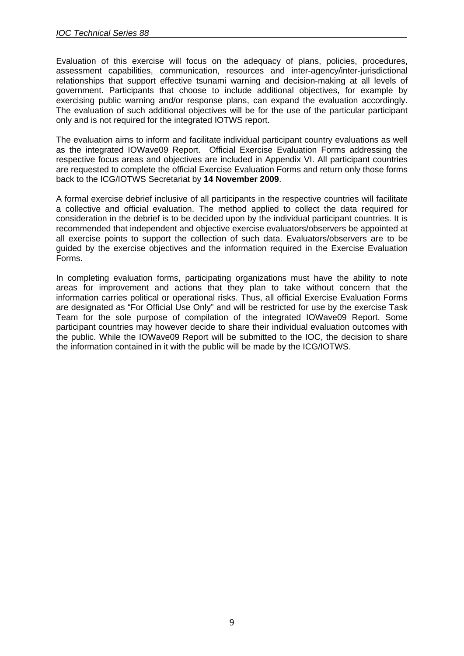Evaluation of this exercise will focus on the adequacy of plans, policies, procedures, assessment capabilities, communication, resources and inter-agency/inter-jurisdictional relationships that support effective tsunami warning and decision-making at all levels of government. Participants that choose to include additional objectives, for example by exercising public warning and/or response plans, can expand the evaluation accordingly. The evaluation of such additional objectives will be for the use of the particular participant only and is not required for the integrated IOTWS report.

The evaluation aims to inform and facilitate individual participant country evaluations as well as the integrated IOWave09 Report. Official Exercise Evaluation Forms addressing the respective focus areas and objectives are included in Appendix VI. All participant countries are requested to complete the official Exercise Evaluation Forms and return only those forms back to the ICG/IOTWS Secretariat by **14 November 2009**.

A formal exercise debrief inclusive of all participants in the respective countries will facilitate a collective and official evaluation. The method applied to collect the data required for consideration in the debrief is to be decided upon by the individual participant countries. It is recommended that independent and objective exercise evaluators/observers be appointed at all exercise points to support the collection of such data. Evaluators/observers are to be guided by the exercise objectives and the information required in the Exercise Evaluation Forms.

In completing evaluation forms, participating organizations must have the ability to note areas for improvement and actions that they plan to take without concern that the information carries political or operational risks. Thus, all official Exercise Evaluation Forms are designated as "For Official Use Only" and will be restricted for use by the exercise Task Team for the sole purpose of compilation of the integrated IOWave09 Report. Some participant countries may however decide to share their individual evaluation outcomes with the public. While the IOWave09 Report will be submitted to the IOC, the decision to share the information contained in it with the public will be made by the ICG/IOTWS.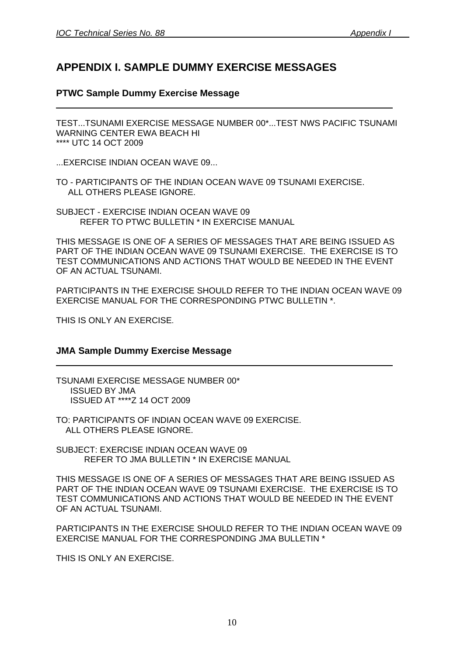## **APPENDIX I. SAMPLE DUMMY EXERCISE MESSAGES**

#### **PTWC Sample Dummy Exercise Message**

TEST...TSUNAMI EXERCISE MESSAGE NUMBER 00\*...TEST NWS PACIFIC TSUNAMI WARNING CENTER EWA BEACH HI \*\*\*\* UTC 14 OCT 2009

...EXERCISE INDIAN OCEAN WAVE 09...

TO - PARTICIPANTS OF THE INDIAN OCEAN WAVE 09 TSUNAMI EXERCISE. ALL OTHERS PLEASE IGNORE.

SUBJECT - EXERCISE INDIAN OCEAN WAVE 09 REFER TO PTWC BULLETIN \* IN EXERCISE MANUAL

THIS MESSAGE IS ONE OF A SERIES OF MESSAGES THAT ARE BEING ISSUED AS PART OF THE INDIAN OCEAN WAVE 09 TSUNAMI EXERCISE. THE EXERCISE IS TO TEST COMMUNICATIONS AND ACTIONS THAT WOULD BE NEEDED IN THE EVENT OF AN ACTUAL TSUNAMI.

PARTICIPANTS IN THE EXERCISE SHOULD REFER TO THE INDIAN OCEAN WAVE 09 EXERCISE MANUAL FOR THE CORRESPONDING PTWC BULLETIN \*.

THIS IS ONLY AN EXERCISE.

### **JMA Sample Dummy Exercise Message**

TSUNAMI EXERCISE MESSAGE NUMBER 00\* ISSUED BY JMA ISSUED AT \*\*\*\*Z 14 OCT 2009

TO: PARTICIPANTS OF INDIAN OCEAN WAVE 09 EXERCISE. ALL OTHERS PLEASE IGNORE.

SUBJECT: EXERCISE INDIAN OCEAN WAVE 09 REFER TO JMA BULLETIN \* IN EXERCISE MANUAL

THIS MESSAGE IS ONE OF A SERIES OF MESSAGES THAT ARE BEING ISSUED AS PART OF THE INDIAN OCEAN WAVE 09 TSUNAMI EXERCISE. THE EXERCISE IS TO TEST COMMUNICATIONS AND ACTIONS THAT WOULD BE NEEDED IN THE EVENT OF AN ACTUAL TSUNAMI.

PARTICIPANTS IN THE EXERCISE SHOULD REFER TO THE INDIAN OCEAN WAVE 09 EXERCISE MANUAL FOR THE CORRESPONDING JMA BULLETIN \*

THIS IS ONLY AN EXERCISE.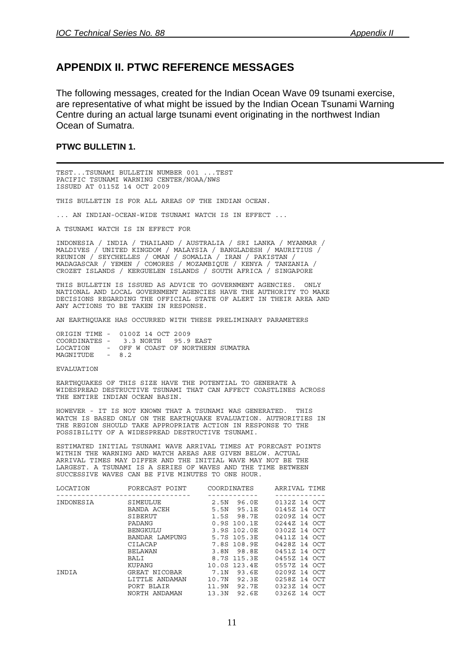## **APPENDIX II. PTWC REFERENCE MESSAGES**

The following messages, created for the Indian Ocean Wave 09 tsunami exercise, are representative of what might be issued by the Indian Ocean Tsunami Warning Centre during an actual large tsunami event originating in the northwest Indian Ocean of Sumatra.

#### **PTWC BULLETIN 1.**

TEST...TSUNAMI BULLETIN NUMBER 001 ...TEST PACIFIC TSUNAMI WARNING CENTER/NOAA/NWS ISSUED AT 0115Z 14 OCT 2009

THIS BULLETIN IS FOR ALL AREAS OF THE INDIAN OCEAN.

... AN INDIAN-OCEAN-WIDE TSUNAMI WATCH IS IN EFFECT ...

A TSUNAMI WATCH IS IN EFFECT FOR

INDONESIA / INDIA / THAILAND / AUSTRALIA / SRI LANKA / MYANMAR / MALDIVES / UNITED KINGDOM / MALAYSIA / BANGLADESH / MAURITIUS / REUNION / SEYCHELLES / OMAN / SOMALIA / IRAN / PAKISTAN / MADAGASCAR / YEMEN / COMORES / MOZAMBIQUE / KENYA / TANZANIA / CROZET ISLANDS / KERGUELEN ISLANDS / SOUTH AFRICA / SINGAPORE

THIS BULLETIN IS ISSUED AS ADVICE TO GOVERNMENT AGENCIES. ONLY NATIONAL AND LOCAL GOVERNMENT AGENCIES HAVE THE AUTHORITY TO MAKE DECISIONS REGARDING THE OFFICIAL STATE OF ALERT IN THEIR AREA AND ANY ACTIONS TO BE TAKEN IN RESPONSE.

AN EARTHQUAKE HAS OCCURRED WITH THESE PRELIMINARY PARAMETERS

|                 | ORIGIN TIME - 0100Z 14 OCT 2009            |
|-----------------|--------------------------------------------|
|                 | COORDINATES - 3.3 NORTH 95.9 EAST          |
|                 | LOCATION - OFF W COAST OF NORTHERN SUMATRA |
| MAGNITUDE - 8.2 |                                            |

#### **EVALUATION**

EARTHQUAKES OF THIS SIZE HAVE THE POTENTIAL TO GENERATE A WIDESPREAD DESTRUCTIVE TSUNAMI THAT CAN AFFECT COASTLINES ACROSS THE ENTIRE INDIAN OCEAN BASIN.

HOWEVER - IT IS NOT KNOWN THAT A TSUNAMI WAS GENERATED. THIS WATCH IS BASED ONLY ON THE EARTHOUAKE EVALUATION. AUTHORITIES IN THE REGION SHOULD TAKE APPROPRIATE ACTION IN RESPONSE TO THE POSSIBILITY OF A WIDESPREAD DESTRUCTIVE TSUNAMI.

ESTIMATED INITIAL TSUNAMI WAVE ARRIVAL TIMES AT FORECAST POINTS WITHIN THE WARNING AND WATCH AREAS ARE GIVEN BELOW. ACTUAL ARRIVAL TIMES MAY DIFFER AND THE INITIAL WAVE MAY NOT BE THE LARGEST. A TSUNAMI IS A SERIES OF WAVES AND THE TIME BETWEEN SUCCESSIVE WAVES CAN BE FIVE MINUTES TO ONE HOUR.

| LOCATION  | FORECAST POINT  | COORDINATES    | ARRIVAL TIME |
|-----------|-----------------|----------------|--------------|
|           |                 |                |              |
| INDONESIA | SIMEULUE        | 2.5N<br>96.OE  | 0132Z 14 OCT |
|           | BANDA ACEH      | 5.5N<br>95.1E  | 0145Z 14 OCT |
|           | SIBERUT         | 1.5S 98.7E     | 0209Z 14 OCT |
|           | PADANG          | $0.9S$ 100.1E  | 0244Z 14 OCT |
|           | <b>BENGKULU</b> | 3.9S 102.0E    | 0302Z 14 OCT |
|           | BANDAR LAMPUNG  | 5.7S 105.3E    | 0411Z 14 OCT |
|           | CILACAP         | 7.8S 108.9E    | 0428Z 14 OCT |
|           | <b>BELAWAN</b>  | 3.8N 98.8E     | 0451Z 14 OCT |
|           | BALI            | 8.7S 115.3E    | 0455Z 14 OCT |
|           | KUPANG          | 10.0S 123.4E   | 0557Z 14 OCT |
| INDIA     | GREAT NICOBAR   | 7.1N<br>93.6E  | 0209Z 14 OCT |
|           | LITTLE ANDAMAN  | 10.7N<br>92.3E | 0258Z 14 OCT |
|           | PORT BLAIR      | 92.7E<br>11.9N | 0323Z 14 OCT |
|           | NORTH ANDAMAN   | 13.3N<br>92.6E | 0326Z 14 OCT |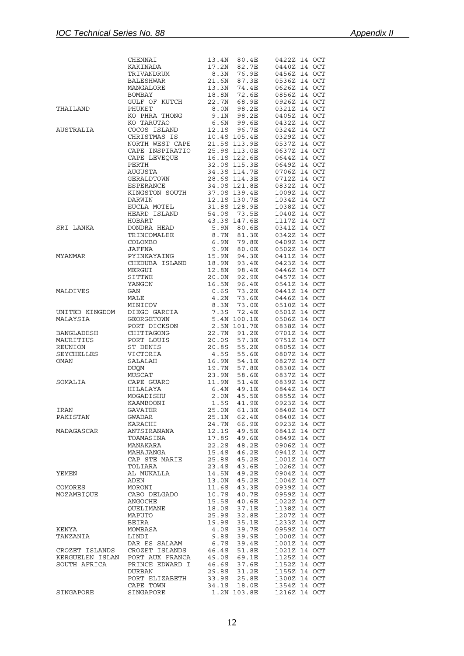| THAILAND        | 09262 14 OCT<br>PHUKET 8.0N 98.2E 0321Z 14 OCT<br>RO PHRA THONG 9.1N 98.2E 0405Z 14 OCT<br>RO TARUTAO 6.6N 99.6E 0432Z 14 OCT<br>COCOS ISLAND 12.1S 96.7E 0324Z 14 OCT<br>CHRISTMAS IS 10.4S 105.4E 0329Z 14 OCT<br>NORTH WEST CAPE 21.5S |               |                      | $\begin{tabular}{lcccc} {\it CHENNAI} & & 13.4N & 80.4E & 0422Z 14 OCT \\ {\it KAKINADA} & & 17.2N & 82.7E & 0440Z 14 OCT \\ {\it TRIVANDRUM} & & 8.3N & 76.9E & 0456Z 14 OCT \\ {\it BALESHWAR} & & 21.6N & 87.3E & 0536Z 14 OCT \\ {\it MANGALORE} & & 13.3N & 74.4E & 0626Z 14 OCT \\ {\it BOMBAY} & & 18.8N & 72.6E & 0856Z 14 OCT \\ {\$ |
|-----------------|-------------------------------------------------------------------------------------------------------------------------------------------------------------------------------------------------------------------------------------------|---------------|----------------------|-----------------------------------------------------------------------------------------------------------------------------------------------------------------------------------------------------------------------------------------------------------------------------------------------------------------------------------------------|
|                 |                                                                                                                                                                                                                                           |               |                      |                                                                                                                                                                                                                                                                                                                                               |
|                 |                                                                                                                                                                                                                                           |               |                      |                                                                                                                                                                                                                                                                                                                                               |
| AUSTRALIA       |                                                                                                                                                                                                                                           |               |                      |                                                                                                                                                                                                                                                                                                                                               |
|                 |                                                                                                                                                                                                                                           |               |                      |                                                                                                                                                                                                                                                                                                                                               |
|                 |                                                                                                                                                                                                                                           |               |                      |                                                                                                                                                                                                                                                                                                                                               |
|                 |                                                                                                                                                                                                                                           |               |                      |                                                                                                                                                                                                                                                                                                                                               |
|                 |                                                                                                                                                                                                                                           |               |                      |                                                                                                                                                                                                                                                                                                                                               |
|                 |                                                                                                                                                                                                                                           |               |                      |                                                                                                                                                                                                                                                                                                                                               |
|                 |                                                                                                                                                                                                                                           |               |                      |                                                                                                                                                                                                                                                                                                                                               |
|                 |                                                                                                                                                                                                                                           |               |                      |                                                                                                                                                                                                                                                                                                                                               |
|                 |                                                                                                                                                                                                                                           |               |                      |                                                                                                                                                                                                                                                                                                                                               |
|                 |                                                                                                                                                                                                                                           |               |                      |                                                                                                                                                                                                                                                                                                                                               |
|                 |                                                                                                                                                                                                                                           |               |                      |                                                                                                                                                                                                                                                                                                                                               |
|                 |                                                                                                                                                                                                                                           |               |                      |                                                                                                                                                                                                                                                                                                                                               |
|                 |                                                                                                                                                                                                                                           |               |                      |                                                                                                                                                                                                                                                                                                                                               |
|                 |                                                                                                                                                                                                                                           |               |                      |                                                                                                                                                                                                                                                                                                                                               |
|                 |                                                                                                                                                                                                                                           |               |                      |                                                                                                                                                                                                                                                                                                                                               |
|                 |                                                                                                                                                                                                                                           |               |                      |                                                                                                                                                                                                                                                                                                                                               |
|                 |                                                                                                                                                                                                                                           |               |                      |                                                                                                                                                                                                                                                                                                                                               |
|                 |                                                                                                                                                                                                                                           |               |                      |                                                                                                                                                                                                                                                                                                                                               |
|                 |                                                                                                                                                                                                                                           |               |                      |                                                                                                                                                                                                                                                                                                                                               |
|                 |                                                                                                                                                                                                                                           |               |                      |                                                                                                                                                                                                                                                                                                                                               |
|                 |                                                                                                                                                                                                                                           |               |                      |                                                                                                                                                                                                                                                                                                                                               |
|                 |                                                                                                                                                                                                                                           |               |                      |                                                                                                                                                                                                                                                                                                                                               |
|                 |                                                                                                                                                                                                                                           |               |                      |                                                                                                                                                                                                                                                                                                                                               |
|                 |                                                                                                                                                                                                                                           |               |                      |                                                                                                                                                                                                                                                                                                                                               |
|                 |                                                                                                                                                                                                                                           |               |                      |                                                                                                                                                                                                                                                                                                                                               |
|                 |                                                                                                                                                                                                                                           |               |                      |                                                                                                                                                                                                                                                                                                                                               |
|                 |                                                                                                                                                                                                                                           |               |                      |                                                                                                                                                                                                                                                                                                                                               |
|                 |                                                                                                                                                                                                                                           |               |                      |                                                                                                                                                                                                                                                                                                                                               |
|                 |                                                                                                                                                                                                                                           |               |                      |                                                                                                                                                                                                                                                                                                                                               |
|                 |                                                                                                                                                                                                                                           |               |                      |                                                                                                                                                                                                                                                                                                                                               |
|                 |                                                                                                                                                                                                                                           |               |                      |                                                                                                                                                                                                                                                                                                                                               |
|                 |                                                                                                                                                                                                                                           |               |                      |                                                                                                                                                                                                                                                                                                                                               |
|                 |                                                                                                                                                                                                                                           |               |                      |                                                                                                                                                                                                                                                                                                                                               |
|                 |                                                                                                                                                                                                                                           |               |                      |                                                                                                                                                                                                                                                                                                                                               |
|                 |                                                                                                                                                                                                                                           |               |                      |                                                                                                                                                                                                                                                                                                                                               |
|                 |                                                                                                                                                                                                                                           |               |                      |                                                                                                                                                                                                                                                                                                                                               |
|                 |                                                                                                                                                                                                                                           |               |                      |                                                                                                                                                                                                                                                                                                                                               |
|                 |                                                                                                                                                                                                                                           |               |                      |                                                                                                                                                                                                                                                                                                                                               |
| IRAN            | GAVATER                                                                                                                                                                                                                                   |               | 25.0N 61.3E          | 0840Z 14 OCT                                                                                                                                                                                                                                                                                                                                  |
| PAKISTAN        | GWADAR                                                                                                                                                                                                                                    |               | 25.1N 62.4E          | 0840Z 14 OCT                                                                                                                                                                                                                                                                                                                                  |
|                 | KARACHI                                                                                                                                                                                                                                   |               | 24.7N 66.9E          | 0923Z 14 OCT                                                                                                                                                                                                                                                                                                                                  |
| MADAGASCAR      | ANTSIRANANA                                                                                                                                                                                                                               |               | 12.1S 49.5E          | 0841Z 14 OCT                                                                                                                                                                                                                                                                                                                                  |
|                 | TOAMASINA<br>MANAKARA                                                                                                                                                                                                                     | 17.8S         | 49.6E                | 0849Z 14 OCT                                                                                                                                                                                                                                                                                                                                  |
|                 | MAHAJANGA                                                                                                                                                                                                                                 | 15.4S         | 22.2S 48.2E<br>46.2E | 0906Z 14 OCT<br>0941Z 14 OCT                                                                                                                                                                                                                                                                                                                  |
|                 | CAP STE MARIE                                                                                                                                                                                                                             |               | 25.8S 45.2E          | 1001Z 14 OCT                                                                                                                                                                                                                                                                                                                                  |
|                 | TOLIARA                                                                                                                                                                                                                                   | 23.4S         | 43.6E                | 1026Z 14 OCT                                                                                                                                                                                                                                                                                                                                  |
| YEMEN           | AL MUKALLA                                                                                                                                                                                                                                |               | 14.5N 49.2E          | 0904Z 14 OCT                                                                                                                                                                                                                                                                                                                                  |
|                 | ADEN                                                                                                                                                                                                                                      |               | 13.0N 45.2E          | 1004Z 14 OCT                                                                                                                                                                                                                                                                                                                                  |
| COMORES         | MORONI                                                                                                                                                                                                                                    |               | 11.6S 43.3E          | 0939Z 14 OCT                                                                                                                                                                                                                                                                                                                                  |
| MOZAMBIQUE      | CABO DELGADO                                                                                                                                                                                                                              | 10.7S         | 40.7E                | 0959Z 14 OCT                                                                                                                                                                                                                                                                                                                                  |
|                 | ANGOCHE                                                                                                                                                                                                                                   |               | 15.5S 40.6E          | 1022Z 14 OCT                                                                                                                                                                                                                                                                                                                                  |
|                 | QUELIMANE                                                                                                                                                                                                                                 | 18.0S         | 37.1E                | 1138Z 14 OCT                                                                                                                                                                                                                                                                                                                                  |
|                 | MAPUTO                                                                                                                                                                                                                                    | 25.9S         | 32.8E                | 1207Z 14 OCT                                                                                                                                                                                                                                                                                                                                  |
|                 | BEIRA                                                                                                                                                                                                                                     | 19.9S         | 35.1E                | 1233Z 14 OCT                                                                                                                                                                                                                                                                                                                                  |
| KENYA           | MOMBASA                                                                                                                                                                                                                                   | 4.OS          | 39.7E                | 0959Z 14 OCT                                                                                                                                                                                                                                                                                                                                  |
| TANZANIA        | LINDI                                                                                                                                                                                                                                     | 9.8S          | 39.9E                | 1000Z 14 OCT                                                                                                                                                                                                                                                                                                                                  |
| CROZET ISLANDS  | DAR ES SALAAM<br>CROZET ISLANDS                                                                                                                                                                                                           | 6.7S<br>46.4S | 39.4E<br>51.8E       | 1001Z 14 OCT<br>1021Z 14 OCT                                                                                                                                                                                                                                                                                                                  |
| KERGUELEN ISLAN | PORT AUX FRANCA                                                                                                                                                                                                                           |               | 49.0S 69.1E          | 1125Z 14 OCT                                                                                                                                                                                                                                                                                                                                  |
| SOUTH AFRICA    | PRINCE EDWARD I                                                                                                                                                                                                                           | 46.6S         | 37.6E                | 1152Z 14 OCT                                                                                                                                                                                                                                                                                                                                  |
|                 | DURBAN                                                                                                                                                                                                                                    |               | 29.8S 31.2E          | 1155Z 14 OCT                                                                                                                                                                                                                                                                                                                                  |
|                 | PORT ELIZABETH                                                                                                                                                                                                                            | 33.9S         | 25.8E                | 1300Z 14 OCT                                                                                                                                                                                                                                                                                                                                  |
|                 | CAPE TOWN                                                                                                                                                                                                                                 |               | 34.1S 18.0E          | 1354Z 14 OCT                                                                                                                                                                                                                                                                                                                                  |
| SINGAPORE       | SINGAPORE                                                                                                                                                                                                                                 |               | 1.2N 103.8E          | 1216Z 14 OCT                                                                                                                                                                                                                                                                                                                                  |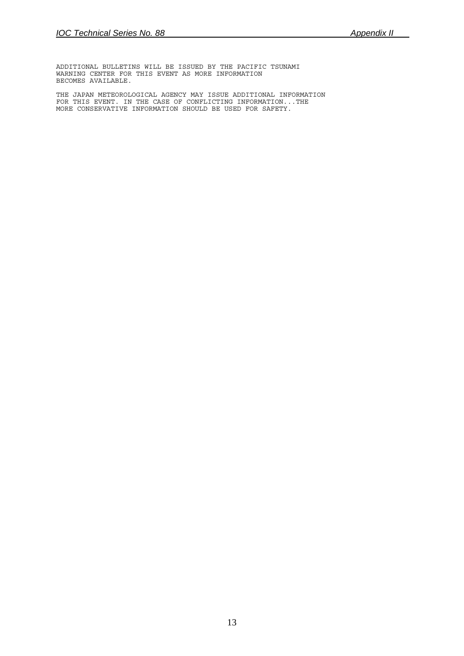THE JAPAN METEOROLOGICAL AGENCY MAY ISSUE ADDITIONAL INFORMATION FOR THIS EVENT. IN THE CASE OF CONFLICTING INFORMATION...THE MORE CONSERVATIVE INFORMATION SHOULD BE USED FOR SAFETY.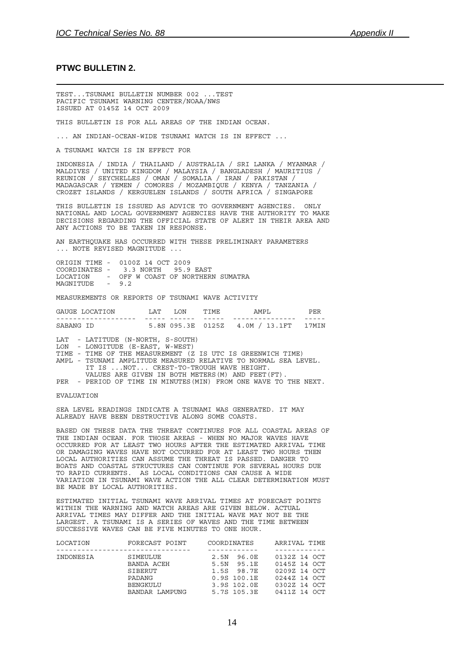#### **PTWC BULLETIN 2.**

#### TEST...TSUNAMI BULLETIN NUMBER 002 ...TEST PACIFIC TSUNAMI WARNING CENTER/NOAA/NWS ISSUED AT 0145Z 14 OCT 2009

THIS BULLETIN IS FOR ALL AREAS OF THE INDIAN OCEAN.

... AN INDIAN-OCEAN-WIDE TSUNAMI WATCH IS IN EFFECT ...

A TSUNAMI WATCH IS IN EFFECT FOR

INDONESIA / INDIA / THAILAND / AUSTRALIA / SRI LANKA / MYANMAR / MALDIVES / UNITED KINGDOM / MALAYSIA / BANGLADESH / MAURITIUS / REUNION / SEYCHELLES / OMAN / SOMALIA / IRAN / PAKISTAN / MADAGASCAR / YEMEN / COMORES / MOZAMBIQUE / KENYA / TANZANIA / CROZET ISLANDS / KERGUELEN ISLANDS / SOUTH AFRICA / SINGAPORE

THIS BULLETIN IS ISSUED AS ADVICE TO GOVERNMENT AGENCIES. ONLY NATIONAL AND LOCAL GOVERNMENT AGENCIES HAVE THE AUTHORITY TO MAKE DECISIONS REGARDING THE OFFICIAL STATE OF ALERT IN THEIR AREA AND ANY ACTIONS TO BE TAKEN IN RESPONSE.

AN EARTHQUAKE HAS OCCURRED WITH THESE PRELIMINARY PARAMETERS ... NOTE REVISED MAGNITUDE ...

|                 | ORIGIN TIME - 0100Z 14 OCT 2009            |
|-----------------|--------------------------------------------|
|                 | COORDINATES - 3.3 NORTH 95.9 EAST          |
|                 | LOCATION - OFF W COAST OF NORTHERN SUMATRA |
| MAGNITUDE - 9.2 |                                            |

MEASUREMENTS OR REPORTS OF TSUNAMI WAVE ACTIVITY

| GAI<br>M∩`<br>ا 'ا' ∆' ) ( ). ا | .AT             | ОN            | " M L | AMP'          |        |
|---------------------------------|-----------------|---------------|-------|---------------|--------|
|                                 | $- - -$         | ----          | ----- | ------------- |        |
| SAF<br>ے ک                      | Е.<br><b>QN</b> | - כד<br>1 Q E | ・つにワー | ΩM<br>. OT    | ' 7MTN |

LAT - LATITUDE (N-NORTH, S-SOUTH)

LON - LONGITUDE (E-EAST, W-WEST)

TIME - TIME OF THE MEASUREMENT (Z IS UTC IS GREENWICH TIME)

- AMPL TSUNAMI AMPLITUDE MEASURED RELATIVE TO NORMAL SEA LEVEL. IT IS ...NOT... CREST-TO-TROUGH WAVE HEIGHT. VALUES ARE GIVEN IN BOTH METERS(M) AND FEET(FT).
- PER PERIOD OF TIME IN MINUTES(MIN) FROM ONE WAVE TO THE NEXT.

EVALUATION

SEA LEVEL READINGS INDICATE A TSUNAMI WAS GENERATED. IT MAY ALREADY HAVE BEEN DESTRUCTIVE ALONG SOME COASTS.

BASED ON THESE DATA THE THREAT CONTINUES FOR ALL COASTAL AREAS OF THE INDIAN OCEAN. FOR THOSE AREAS - WHEN NO MAJOR WAVES HAVE OCCURRED FOR AT LEAST TWO HOURS AFTER THE ESTIMATED ARRIVAL TIME OR DAMAGING WAVES HAVE NOT OCCURRED FOR AT LEAST TWO HOURS THEN LOCAL AUTHORITIES CAN ASSUME THE THREAT IS PASSED. DANGER TO BOATS AND COASTAL STRUCTURES CAN CONTINUE FOR SEVERAL HOURS DUE TO RAPID CURRENTS. AS LOCAL CONDITIONS CAN CAUSE A WIDE VARIATION IN TSUNAMI WAVE ACTION THE ALL CLEAR DETERMINATION MUST BE MADE BY LOCAL AUTHORITIES.

ESTIMATED INITIAL TSUNAMI WAVE ARRIVAL TIMES AT FORECAST POINTS WITHIN THE WARNING AND WATCH AREAS ARE GIVEN BELOW. ACTUAL ARRIVAL TIMES MAY DIFFER AND THE INITIAL WAVE MAY NOT BE THE LARGEST. A TSUNAMI IS A SERIES OF WAVES AND THE TIME BETWEEN SUCCESSIVE WAVES CAN BE FIVE MINUTES TO ONE HOUR.

| LOCATION  | FORECAST POINT | COORDINATES   | ARRIVAL TIME |
|-----------|----------------|---------------|--------------|
|           |                |               |              |
| INDONESIA | SIMEULUE       | 2.5N 96.0E    | 0132Z 14 OCT |
|           | BANDA ACEH     | 5.5N 95.1E    | 0145Z 14 OCT |
|           | SIBERUT        | 1.5S 98.7E    | 0209Z 14 OCT |
|           | PADANG         | $0.9S$ 100.1E | 0244Z 14 OCT |
|           | BENGKULU       | 3.9S 102.0E   | 0302Z 14 OCT |
|           | BANDAR LAMPUNG | 5.7S 105.3E   | 0411Z 14 OCT |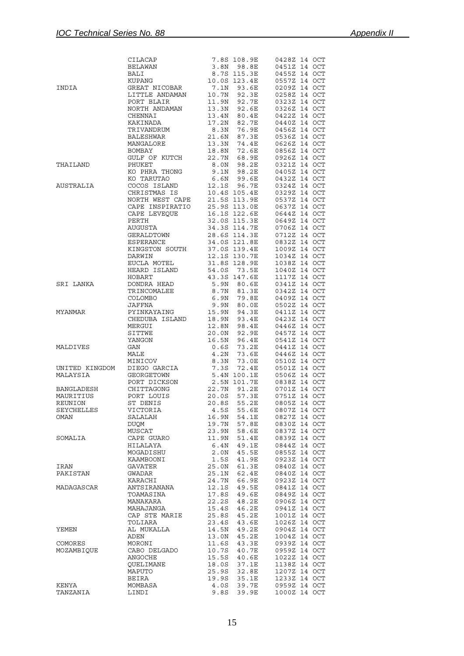| REUNION    | ST DENIS        |       |                            | 20.8S 55.2E 0805Z 14 OCT     |
|------------|-----------------|-------|----------------------------|------------------------------|
| SEYCHELLES | VICTORIA        |       | 4.5S 55.6E                 | 0807Z 14 OCT                 |
| OMAN       | SALALAH         |       | 16.9N 54.1E                | 0827Z 14 OCT                 |
|            | DUQM<br>MUSCAT  |       | 19.7N 57.8E<br>23.9N 58.6E | 0830Z 14 OCT<br>0837Z 14 OCT |
| SOMALIA    | CAPE GUARO      |       | 11.9N 51.4E                | 0839Z 14 OCT                 |
|            | HILALAYA        | 6.4N  | 49.1E                      | 0844Z 14 OCT                 |
|            | MOGADISHU       |       | 2.0N 45.5E                 | 0855Z 14 OCT                 |
|            | KAAMBOONI       | 1.5S  | 41.9E                      | 0923Z 14 OCT                 |
| IRAN       | GAVATER         |       | 25.0N 61.3E                | 0840Z 14 OCT                 |
| PAKISTAN   | GWADAR          | 25.1N | 62.4E                      | 0840Z 14 OCT                 |
|            | KARACHI         |       | 24.7N 66.9E                | 0923Z 14 OCT                 |
| MADAGASCAR | ANTSIRANANA     |       | 12.1S 49.5E                | 0841Z 14 OCT                 |
|            | TOAMASINA       |       | 17.8S    49.6E             | 0849Z 14 OCT                 |
|            | MANAKARA        | 22.2S | 48.2E                      | 0906Z 14 OCT                 |
|            | MAHAJANGA       |       | 15.4S  46.2E               | 0941Z 14 OCT                 |
|            | CAP STE MARIE   |       |                            | 1001Z 14 OCT                 |
|            | TOLIARA         |       |                            | 1026Z 14 OCT                 |
| YEMEN      | AL MUKALLA      | 14.5N | 49.2E                      | 0904Z 14 OCT                 |
|            | ADEN            | 13.0N | 45.2E                      | 1004Z 14 OCT                 |
| COMORES    | MORONI          | 11.6S | 43.3E                      | 0939Z 14 OCT                 |
| MOZAMBIQUE | CABO DELGADO    |       | 10.7S    40.7E             | 0959Z 14 OCT                 |
|            | ANGOCHE         | 15.5S | 40.6E                      | 1022Z 14 OCT                 |
|            | QUELIMANE       | 18.0S | 37.1E                      | 1138Z 14 OCT                 |
|            | MAPUTO<br>BEIRA | 25.9S | 32.8E<br>19.9S 35.1E       | 1207Z 14 OCT<br>1233Z 14 OCT |
| KENYA      | MOMBASA         | 4.0S  | 39.7E                      | 0959Z 14 OCT                 |
| TANZANIA   | LINDI           |       | 9.8S 39.9E                 | 1000Z 14 OCT                 |
|            |                 |       |                            |                              |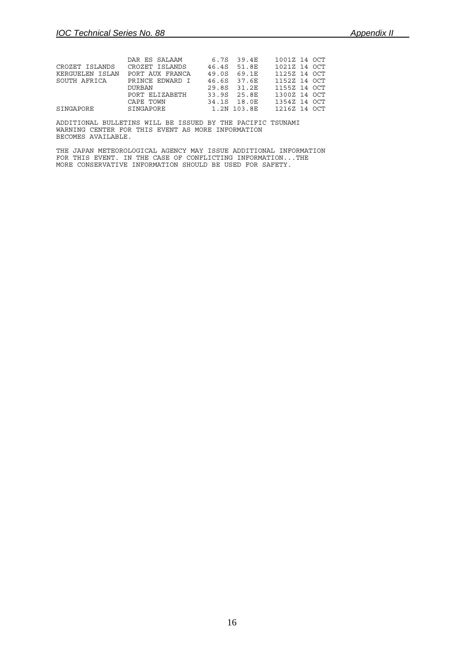|                 | DAR ES SALAAM   | $6.7S$ 39.4E | 1001Z 14 OCT |
|-----------------|-----------------|--------------|--------------|
| CROZET ISLANDS  | CROZET ISLANDS  | 46.4S 51.8E  | 1021Z 14 OCT |
| KERGUELEN ISLAN | PORT AUX FRANCA | 49.0S 69.1E  | 1125Z 14 OCT |
| SOUTH AFRICA    | PRINCE EDWARD I | 46.6S 37.6E  | 1152Z 14 OCT |
|                 | DURBAN          | 29.8S 31.2E  | 1155Z 14 OCT |
|                 | PORT ELIZABETH  | 33.95 25.8E  | 1300Z 14 OCT |
|                 | CAPE TOWN       | 34.1S 18.0E  | 1354Z 14 OCT |
| SINGAPORE       | SINGAPORE       | 1.2N 103.8E  | 1216Z 14 OCT |

THE JAPAN METEOROLOGICAL AGENCY MAY ISSUE ADDITIONAL INFORMATION FOR THIS EVENT. IN THE CASE OF CONFLICTING INFORMATION...THE MORE CONSERVATIVE INFORMATION SHOULD BE USED FOR SAFETY.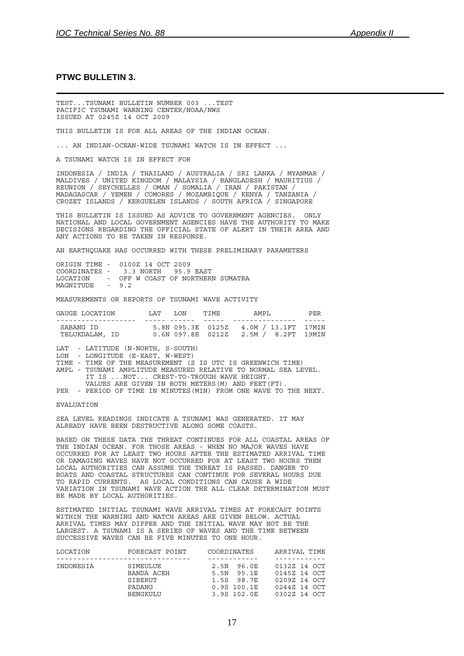#### **PTWC BULLETIN 3.**

TEST...TSUNAMI BULLETIN NUMBER 003 ...TEST PACIFIC TSUNAMI WARNING CENTER/NOAA/NWS ISSUED AT 0245Z 14 OCT 2009

THIS BULLETIN IS FOR ALL AREAS OF THE INDIAN OCEAN.

... AN INDIAN-OCEAN-WIDE TSUNAMI WATCH IS IN EFFECT ...

A TSUNAMI WATCH IS IN EFFECT FOR

INDONESIA / INDIA / THAILAND / AUSTRALIA / SRI LANKA / MYANMAR / MALDIVES / UNITED KINGDOM / MALAYSIA / BANGLADESH / MAURITIUS / REUNION / SEYCHELLES / OMAN / SOMALIA / IRAN / PAKISTAN / MADAGASCAR / YEMEN / COMORES / MOZAMBIQUE / KENYA / TANZANIA / CROZET ISLANDS / KERGUELEN ISLANDS / SOUTH AFRICA / SINGAPORE

THIS BULLETIN IS ISSUED AS ADVICE TO GOVERNMENT AGENCIES. ONLY NATIONAL AND LOCAL GOVERNMENT AGENCIES HAVE THE AUTHORITY TO MAKE DECISIONS REGARDING THE OFFICIAL STATE OF ALERT IN THEIR AREA AND ANY ACTIONS TO BE TAKEN IN RESPONSE.

AN EARTHQUAKE HAS OCCURRED WITH THESE PRELIMINARY PARAMETERS

|                 | ORIGIN TIME - 0100Z 14 OCT 2009            |
|-----------------|--------------------------------------------|
|                 | COORDINATES - 3.3 NORTH 95.9 EAST          |
|                 | LOCATION - OFF W COAST OF NORTHERN SUMATRA |
| MAGNITUDE - 9.2 |                                            |

MEASUREMENTS OR REPORTS OF TSUNAMI WAVE ACTIVITY

| GAUGE LOCATION | T.AT T.ON | AMPT.<br><b>TIME</b>                  | PER |
|----------------|-----------|---------------------------------------|-----|
|                |           |                                       |     |
| SABANG ID      |           | 5.8N 095.3E 0125Z 4.0M / 13.1FT 17MIN |     |
| TELUKDALAM, ID |           | 0.6N 097.8E 0212Z 2.5M / 8.2FT 19MIN  |     |

LAT - LATITUDE (N-NORTH, S-SOUTH)

LON - LONGITUDE (E-EAST, W-WEST)

TIME - TIME OF THE MEASUREMENT (Z IS UTC IS GREENWICH TIME)

- AMPL TSUNAMI AMPLITUDE MEASURED RELATIVE TO NORMAL SEA LEVEL. IT IS ...NOT... CREST-TO-TROUGH WAVE HEIGHT. VALUES ARE GIVEN IN BOTH METERS(M) AND FEET(FT).
- PER PERIOD OF TIME IN MINUTES(MIN) FROM ONE WAVE TO THE NEXT.

#### EVALUATION

SEA LEVEL READINGS INDICATE A TSUNAMI WAS GENERATED. IT MAY ALREADY HAVE BEEN DESTRUCTIVE ALONG SOME COASTS.

BASED ON THESE DATA THE THREAT CONTINUES FOR ALL COASTAL AREAS OF THE INDIAN OCEAN. FOR THOSE AREAS - WHEN NO MAJOR WAVES HAVE OCCURRED FOR AT LEAST TWO HOURS AFTER THE ESTIMATED ARRIVAL TIME OR DAMAGING WAVES HAVE NOT OCCURRED FOR AT LEAST TWO HOURS THEN LOCAL AUTHORITIES CAN ASSUME THE THREAT IS PASSED. DANGER TO BOATS AND COASTAL STRUCTURES CAN CONTINUE FOR SEVERAL HOURS DUE TO RAPID CURRENTS. AS LOCAL CONDITIONS CAN CAUSE A WIDE VARIATION IN TSUNAMI WAVE ACTION THE ALL CLEAR DETERMINATION MUST BE MADE BY LOCAL AUTHORITIES.

ESTIMATED INITIAL TSUNAMI WAVE ARRIVAL TIMES AT FORECAST POINTS WITHIN THE WARNING AND WATCH AREAS ARE GIVEN BELOW. ACTUAL ARRIVAL TIMES MAY DIFFER AND THE INITIAL WAVE MAY NOT BE THE LARGEST. A TSUNAMI IS A SERIES OF WAVES AND THE TIME BETWEEN SUCCESSIVE WAVES CAN BE FIVE MINUTES TO ONE HOUR.

| LOCATION  | FORECAST POINT | COORDINATES   | ARRIVAL TIME |
|-----------|----------------|---------------|--------------|
| INDONESIA | SIMEULUE       | 2.5N 96.0E    | 0132Z 14 OCT |
|           | BANDA ACEH     | 5.5N 95.1E    | 0145Z 14 OCT |
|           | STRERUT        | 1.5S 98.7E    | 0209Z 14 OCT |
|           | PADANG         | $0.9S$ 100.1E | 0244Z 14 OCT |
|           | BENGKULU       | 3.9S 102.0E   | 0302Z 14 OCT |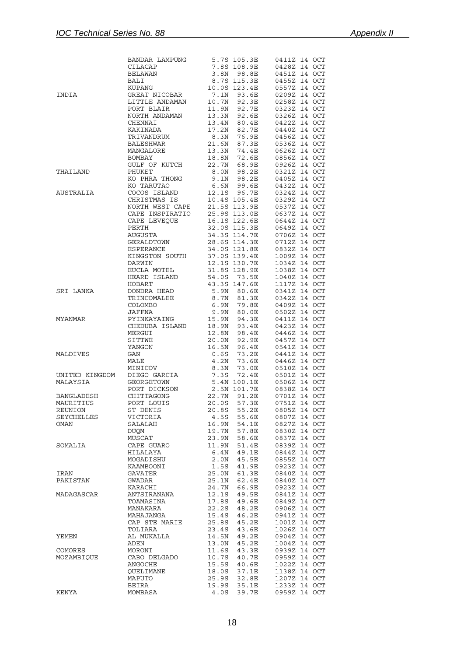| REUNION    | ST DENIS               | 20.85<br>55.2E                   | 0805Z 14 OCT                 |
|------------|------------------------|----------------------------------|------------------------------|
| SEYCHELLES | VICTORIA               | 4.5S<br>55.6E                    | 0807Z 14 OCT                 |
| OMAN       | SALALAH                | 54.1E<br>16.9N                   | 0827Z 14 OCT                 |
|            | DUQM                   | 19.7N<br>57.8E                   | 0830Z 14 OCT                 |
|            | MUSCAT                 | 23.9N<br>58.6E                   | 0837Z 14 OCT                 |
| SOMALIA    | CAPE GUARO             | 11.9N<br>51.4E                   | 0839Z 14 OCT                 |
|            | HILALAYA               | 6.4N<br>49.1E                    | 0844Z 14 OCT                 |
|            | MOGADISHU              | 45.5E<br>2.0N                    | 0855Z 14 OCT                 |
|            | KAAMBOONI              | 1.5S<br>41.9E                    | 0923Z 14 OCT                 |
| IRAN       | GAVATER                | 25.ON<br>61.3E                   | 0840Z 14 OCT                 |
| PAKISTAN   | GWADAR                 | 25.1N<br>62.4E                   | 0840Z 14 OCT                 |
| MADAGASCAR | KARACHI<br>ANTSIRANANA | 24.7N<br>66.9E<br>49.5E<br>12.1S | 0923Z 14 OCT<br>0841Z 14 OCT |
|            | TOAMASINA              | 17.8S<br>49.6E                   | 0849Z 14 OCT                 |
|            | MANAKARA               | 22.2S<br>48.2E                   | 0906Z 14 OCT                 |
|            | MAHAJANGA              | 15.4S<br>46.2E                   | 0941Z 14 OCT                 |
|            | CAP STE MARIE          | 45.2E<br>25.8S                   | 1001Z 14 OCT                 |
|            | TOLIARA                | 23.4S<br>43.6E                   | 1026Z 14 OCT                 |
| YEMEN      | AL MUKALLA             | 14.5N<br>49.2E                   | 0904Z 14 OCT                 |
|            | ADEN                   | 13.ON<br>45.2E                   | 1004Z 14 OCT                 |
| COMORES    | MORONI                 | 11.6S<br>43.3E                   | 0939Z 14 OCT                 |
| MOZAMBIQUE | CABO DELGADO           | 10.7S<br>40.7E                   | 0959Z 14 OCT                 |
|            | ANGOCHE                | 15.55<br>40.6E                   | 1022Z 14 OCT                 |
|            | QUELIMANE              | 18.0S<br>37.1E                   | 1138Z 14 OCT                 |
|            | MAPUTO                 | 32.8E<br>25.9S                   | 1207Z 14 OCT                 |
|            | BEIRA                  | 19.9S 35.1E                      | 1233Z 14 OCT                 |
| KENYA      | MOMBASA                | 4.0S 39.7E                       | 0959Z 14 OCT                 |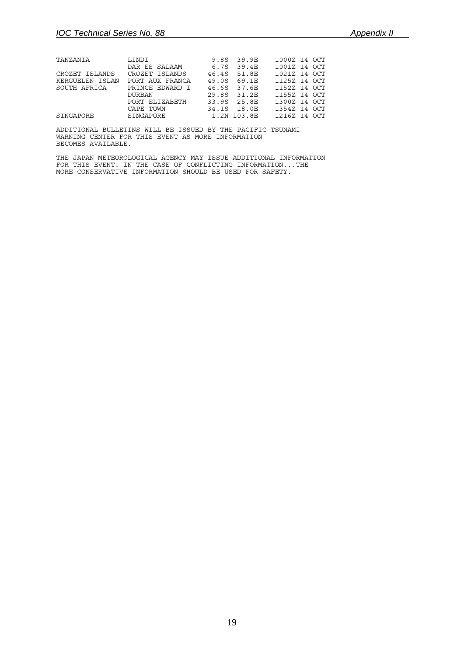| TANZANIA        | LINDI           | 9.8S  | 39.9E       | 1000Z 14 OCT |
|-----------------|-----------------|-------|-------------|--------------|
|                 | DAR ES SALAAM   | 6.7S  | 39.4E       | 1001Z 14 OCT |
| CROZET ISLANDS  | CROZET ISLANDS  |       | 46.4S 51.8E | 1021Z 14 OCT |
| KERGUELEN ISLAN | PORT AUX FRANCA | 49.0S | 69.1E       | 1125Z 14 OCT |
| SOUTH AFRICA    | PRINCE EDWARD I | 46.6S | 37.6E       | 1152Z 14 OCT |
|                 | DURBAN          | 29.85 | - 31.2E     | 1155Z 14 OCT |
|                 | PORT ELIZABETH  |       | 33.9S 25.8E | 1300Z 14 OCT |
|                 | CAPE TOWN       | 34.1S | 18.0E       | 1354Z 14 OCT |
| SINGAPORE       | SINGAPORE       |       | 1.2N 103.8E | 1216Z 14 OCT |

THE JAPAN METEOROLOGICAL AGENCY MAY ISSUE ADDITIONAL INFORMATION FOR THIS EVENT. IN THE CASE OF CONFLICTING INFORMATION...THE MORE CONSERVATIVE INFORMATION SHOULD BE USED FOR SAFETY.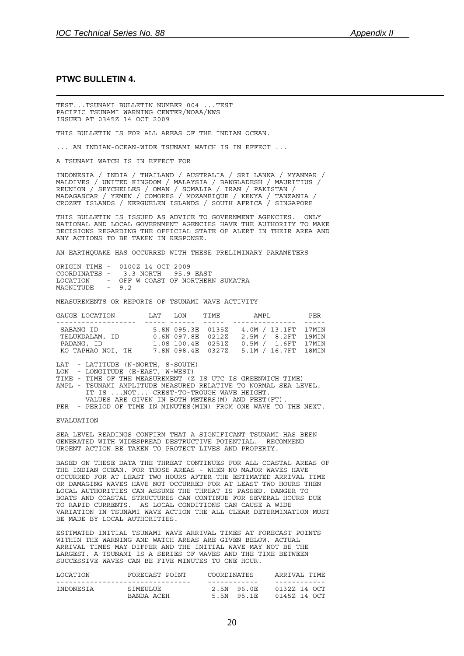#### **PTWC BULLETIN 4.**

TEST...TSUNAMI BULLETIN NUMBER 004 ...TEST PACIFIC TSUNAMI WARNING CENTER/NOAA/NWS ISSUED AT 0345Z 14 OCT 2009

THIS BULLETIN IS FOR ALL AREAS OF THE INDIAN OCEAN.

... AN INDIAN-OCEAN-WIDE TSUNAMI WATCH IS IN EFFECT ...

A TSUNAMI WATCH IS IN EFFECT FOR

INDONESIA / INDIA / THAILAND / AUSTRALIA / SRI LANKA / MYANMAR / MALDIVES / UNITED KINGDOM / MALAYSIA / BANGLADESH / MAURITIUS / REUNION / SEYCHELLES / OMAN / SOMALIA / IRAN / PAKISTAN / MADAGASCAR / YEMEN / COMORES / MOZAMBIQUE / KENYA / TANZANIA / CROZET ISLANDS / KERGUELEN ISLANDS / SOUTH AFRICA / SINGAPORE

THIS BULLETIN IS ISSUED AS ADVICE TO GOVERNMENT AGENCIES. ONLY NATIONAL AND LOCAL GOVERNMENT AGENCIES HAVE THE AUTHORITY TO MAKE DECISIONS REGARDING THE OFFICIAL STATE OF ALERT IN THEIR AREA AND ANY ACTIONS TO BE TAKEN IN RESPONSE.

AN EARTHQUAKE HAS OCCURRED WITH THESE PRELIMINARY PARAMETERS

|                 | ORIGIN TIME - 0100Z 14 OCT 2009   |
|-----------------|-----------------------------------|
|                 | COORDINATES - 3.3 NORTH 95.9 EAST |
| LOCATION        | - OFF W COAST OF NORTHERN SUMATRA |
| MAGNITUDE - 9.2 |                                   |

MEASUREMENTS OR REPORTS OF TSUNAMI WAVE ACTIVITY

| GAUGE LOCATION    | T.AT T.ON |                   | TTME              | АМРТ,               | PER         |
|-------------------|-----------|-------------------|-------------------|---------------------|-------------|
|                   |           |                   |                   | ----------------    | $- - - - -$ |
| SABANG ID         |           |                   | 5.8N 095.3E 0135Z | 4.0M / 13.1FT 17MIN |             |
| TELUKDALAM, ID    |           |                   | 0.6N 097.8E 0212Z | 2.5M / 8.2FT 19MIN  |             |
| PADANG, ID        |           | 1.0S 100.4E 0251Z |                   | 0.5M / 1.6FT 17MIN  |             |
| KO TAPHAO NOI, TH |           |                   | 7.8N 098.4E 0327Z | 5.1M / 16.7FT 18MIN |             |

LAT - LATITUDE (N-NORTH, S-SOUTH)

LON - LONGITUDE (E-EAST, W-WEST)

TIME - TIME OF THE MEASUREMENT (Z IS UTC IS GREENWICH TIME)

AMPL - TSUNAMI AMPLITUDE MEASURED RELATIVE TO NORMAL SEA LEVEL. IT IS ...NOT... CREST-TO-TROUGH WAVE HEIGHT. VALUES ARE GIVEN IN BOTH METERS(M) AND FEET(FT).

PER - PERIOD OF TIME IN MINUTES(MIN) FROM ONE WAVE TO THE NEXT.

EVALUATION

SEA LEVEL READINGS CONFIRM THAT A SIGNIFICANT TSUNAMI HAS BEEN GENERATED WITH WIDESPREAD DESTRUCTIVE POTENTIAL. RECOMMEND URGENT ACTION BE TAKEN TO PROTECT LIVES AND PROPERTY.

BASED ON THESE DATA THE THREAT CONTINUES FOR ALL COASTAL AREAS OF THE INDIAN OCEAN. FOR THOSE AREAS - WHEN NO MAJOR WAVES HAVE OCCURRED FOR AT LEAST TWO HOURS AFTER THE ESTIMATED ARRIVAL TIME OR DAMAGING WAVES HAVE NOT OCCURRED FOR AT LEAST TWO HOURS THEN LOCAL AUTHORITIES CAN ASSUME THE THREAT IS PASSED. DANGER TO BOATS AND COASTAL STRUCTURES CAN CONTINUE FOR SEVERAL HOURS DUE TO RAPID CURRENTS. AS LOCAL CONDITIONS CAN CAUSE A WIDE VARIATION IN TSUNAMI WAVE ACTION THE ALL CLEAR DETERMINATION MUST BE MADE BY LOCAL AUTHORITIES

ESTIMATED INITIAL TSUNAMI WAVE ARRIVAL TIMES AT FORECAST POINTS WITHIN THE WARNING AND WATCH AREAS ARE GIVEN BELOW. ACTUAL ARRIVAL TIMES MAY DIFFER AND THE INITIAL WAVE MAY NOT BE THE LARGEST. A TSUNAMI IS A SERIES OF WAVES AND THE TIME BETWEEN SUCCESSIVE WAVES CAN BE FIVE MINUTES TO ONE HOUR.

| LOCATION  | FORECAST POINT | COORDINATES | ARRIVAL TIME |
|-----------|----------------|-------------|--------------|
|           |                |             |              |
| INDONESIA | SIMEULUE       | 2.5N 96.0E  | 0132Z 14 OCT |
|           | BANDA ACEH     | 5.5N 95.1E  | 0145Z 14 OCT |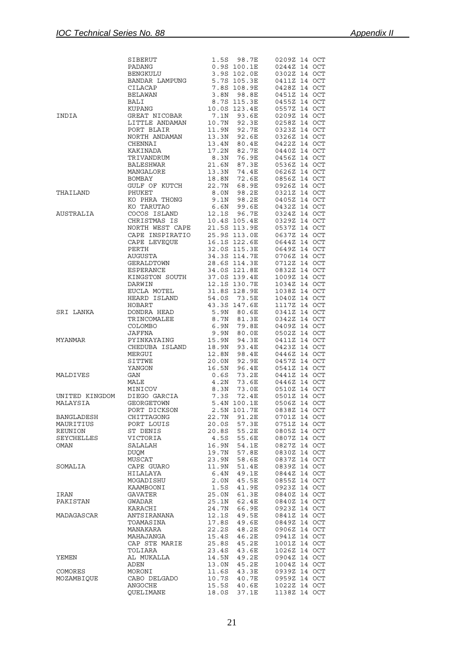| STRERIUM 1.58 96.78 0202 14 OCT NATINAM 1.58 96.922 14 OCT NATINAM 2.8 100 1.1R 0.922 14 OCT NATINAM 2.8 100 1.1R 0.922 14 OCT NATINAM 2.8 100 1.18 0202 14 OCT NATINAM 2.8 100 1.18 0202 14 OCT NATINAM 2.8 100 1.18 0.032 1 |                     |                         |                              |
|-------------------------------------------------------------------------------------------------------------------------------------------------------------------------------------------------------------------------------|---------------------|-------------------------|------------------------------|
|                                                                                                                                                                                                                               |                     |                         |                              |
|                                                                                                                                                                                                                               |                     |                         |                              |
|                                                                                                                                                                                                                               |                     |                         |                              |
|                                                                                                                                                                                                                               |                     |                         |                              |
|                                                                                                                                                                                                                               |                     |                         |                              |
|                                                                                                                                                                                                                               |                     |                         |                              |
|                                                                                                                                                                                                                               |                     |                         |                              |
|                                                                                                                                                                                                                               |                     |                         |                              |
|                                                                                                                                                                                                                               |                     |                         |                              |
|                                                                                                                                                                                                                               |                     |                         |                              |
|                                                                                                                                                                                                                               |                     |                         |                              |
|                                                                                                                                                                                                                               |                     |                         |                              |
|                                                                                                                                                                                                                               |                     |                         |                              |
|                                                                                                                                                                                                                               |                     |                         |                              |
|                                                                                                                                                                                                                               |                     |                         |                              |
|                                                                                                                                                                                                                               |                     |                         |                              |
|                                                                                                                                                                                                                               |                     |                         |                              |
|                                                                                                                                                                                                                               |                     |                         |                              |
|                                                                                                                                                                                                                               |                     |                         |                              |
|                                                                                                                                                                                                                               |                     |                         |                              |
|                                                                                                                                                                                                                               |                     |                         |                              |
|                                                                                                                                                                                                                               |                     |                         |                              |
|                                                                                                                                                                                                                               |                     |                         |                              |
|                                                                                                                                                                                                                               |                     |                         |                              |
|                                                                                                                                                                                                                               |                     |                         |                              |
|                                                                                                                                                                                                                               |                     |                         |                              |
|                                                                                                                                                                                                                               |                     |                         |                              |
|                                                                                                                                                                                                                               |                     |                         |                              |
|                                                                                                                                                                                                                               |                     |                         |                              |
|                                                                                                                                                                                                                               |                     |                         |                              |
|                                                                                                                                                                                                                               |                     |                         |                              |
|                                                                                                                                                                                                                               |                     |                         |                              |
|                                                                                                                                                                                                                               |                     |                         |                              |
|                                                                                                                                                                                                                               |                     |                         |                              |
|                                                                                                                                                                                                                               |                     |                         |                              |
|                                                                                                                                                                                                                               |                     |                         |                              |
|                                                                                                                                                                                                                               |                     |                         |                              |
|                                                                                                                                                                                                                               |                     |                         |                              |
|                                                                                                                                                                                                                               |                     |                         |                              |
|                                                                                                                                                                                                                               |                     |                         |                              |
|                                                                                                                                                                                                                               |                     |                         |                              |
|                                                                                                                                                                                                                               |                     |                         |                              |
|                                                                                                                                                                                                                               |                     |                         |                              |
|                                                                                                                                                                                                                               |                     |                         |                              |
|                                                                                                                                                                                                                               |                     |                         |                              |
|                                                                                                                                                                                                                               | PORT DICKSON        | 2.5N 101.7E             | 0838Z 14 OCT                 |
| BANGLADESH                                                                                                                                                                                                                    | CHITTAGONG          | 22.7N<br>91.2E          | 0701Z 14 OCT                 |
| MAURITIUS                                                                                                                                                                                                                     | PORT LOUIS          | 20.0S<br>57.3E          | 0751Z 14 OCT                 |
| REUNION                                                                                                                                                                                                                       | ST DENIS            | 20.8S<br>55.2E          | 0805Z 14 OCT                 |
| SEYCHELLES                                                                                                                                                                                                                    | VICTORIA<br>SALALAH | 4.5S<br>55.6E<br>16.9N  | 0807Z 14 OCT                 |
| OMAN                                                                                                                                                                                                                          | DUQM                | 54.1E<br>19.7N<br>57.8E | 0827Z 14 OCT<br>0830Z 14 OCT |
|                                                                                                                                                                                                                               | MUSCAT              | 23.9N<br>58.6E          | 0837Z 14 OCT                 |
| SOMALIA                                                                                                                                                                                                                       | CAPE GUARO          | 11.9N<br>51.4E          | 0839Z 14 OCT                 |
|                                                                                                                                                                                                                               | HILALAYA            | 6.4N<br>49.1E           | 0844Z 14 OCT                 |
|                                                                                                                                                                                                                               | MOGADISHU           | 45.5E<br>2.ON           | 0855Z 14 OCT                 |
|                                                                                                                                                                                                                               | KAAMBOONI           | 1.5S<br>41.9E           | 0923Z 14 OCT                 |
| IRAN                                                                                                                                                                                                                          | GAVATER             | 25.0N<br>61.3E          | 0840Z 14 OCT                 |
| PAKISTAN                                                                                                                                                                                                                      | GWADAR              | 25.1N<br>62.4E          | 0840Z 14 OCT                 |
|                                                                                                                                                                                                                               | KARACHI             | 66.9E<br>24.7N          | 0923Z 14 OCT                 |
| MADAGASCAR                                                                                                                                                                                                                    | ANTSIRANANA         | 12.1S<br>49.5E          | 0841Z 14 OCT                 |
|                                                                                                                                                                                                                               | TOAMASINA           | 17.8S<br>49.6E          | 0849Z 14 OCT                 |
|                                                                                                                                                                                                                               | MANAKARA            | 22.2S<br>48.2E          | 0906Z 14 OCT                 |
|                                                                                                                                                                                                                               | MAHAJANGA           | 15.4S<br>46.2E          | 0941Z 14 OCT                 |
|                                                                                                                                                                                                                               | CAP STE MARIE       | 25.8S<br>45.2E          | 1001Z 14 OCT                 |
|                                                                                                                                                                                                                               | TOLIARA             | 23.4S<br>43.6E          | 1026Z 14 OCT                 |
| YEMEN                                                                                                                                                                                                                         | AL MUKALLA          | 14.5N<br>49.2E          | 0904Z 14 OCT                 |
|                                                                                                                                                                                                                               | ADEN                | 13.ON<br>45.2E          | 1004Z 14 OCT                 |
| COMORES                                                                                                                                                                                                                       | MORONI              | 11.6S<br>43.3E          | 0939Z 14 OCT                 |
| MOZAMBIQUE                                                                                                                                                                                                                    | CABO DELGADO        | 10.7S<br>40.7E          | 0959Z 14 OCT                 |
|                                                                                                                                                                                                                               | ANGOCHE             | 15.5S 40.6E             | 1022Z 14 OCT                 |
|                                                                                                                                                                                                                               | QUELIMANE           | 18.0S 37.1E             | 1138Z 14 OCT                 |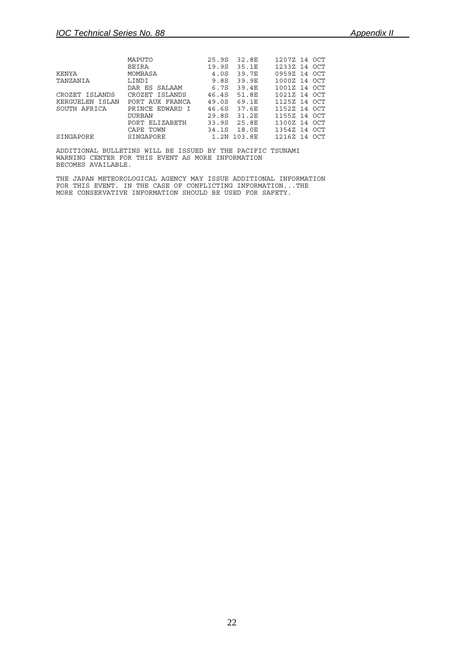|                 | MAPUTO          | 25.9S | 32.8E       | 1207Z 14 OCT |
|-----------------|-----------------|-------|-------------|--------------|
|                 | BEIRA           | 19.9S | 35.1E       | 1233Z 14 OCT |
| KENYA           | MOMBASA         | 4.0S  | 39.7E       | 0959Z 14 OCT |
| TANZANIA        | LINDI           | 9.8S  | 39.9E       | 1000Z 14 OCT |
|                 | DAR ES SALAAM   | 6.7S  | 39.4E       | 1001Z 14 OCT |
| CROZET ISLANDS  | CROZET ISLANDS  | 46.4S | 51.8E       | 1021Z 14 OCT |
| KERGUELEN ISLAN | PORT AUX FRANCA | 49.OS | 69.1E       | 1125Z 14 OCT |
| SOUTH AFRICA    | PRINCE EDWARD I | 46.65 | 37.6E       | 1152Z 14 OCT |
|                 | <b>DURBAN</b>   | 29.8S | 31.2E       | 1155Z 14 OCT |
|                 | PORT ELIZABETH  | 33.9S | 25.8E       | 1300Z 14 OCT |
|                 | CAPE TOWN       | 34.1S | 18.0E       | 1354Z 14 OCT |
| SINGAPORE       | SINGAPORE       |       | 1.2N 103.8E | 1216Z 14 OCT |

THE JAPAN METEOROLOGICAL AGENCY MAY ISSUE ADDITIONAL INFORMATION FOR THIS EVENT. IN THE CASE OF CONFLICTING INFORMATION...THE MORE CONSERVATIVE INFORMATION SHOULD BE USED FOR SAFETY.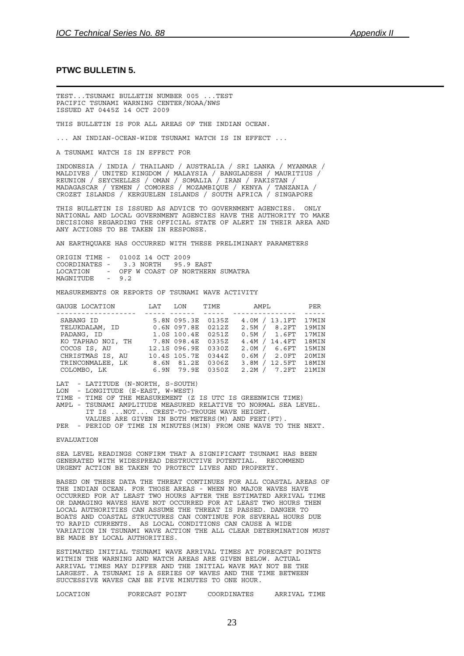#### **PTWC BULLETIN 5.**

TEST...TSUNAMI BULLETIN NUMBER 005 ...TEST PACIFIC TSUNAMI WARNING CENTER/NOAA/NWS ISSUED AT 0445Z 14 OCT 2009

THIS BULLETIN IS FOR ALL AREAS OF THE INDIAN OCEAN.

... AN INDIAN-OCEAN-WIDE TSUNAMI WATCH IS IN EFFECT ...

A TSUNAMI WATCH IS IN EFFECT FOR

INDONESIA / INDIA / THAILAND / AUSTRALIA / SRI LANKA / MYANMAR / MALDIVES / UNITED KINGDOM / MALAYSIA / BANGLADESH / MAURITIUS / REUNION / SEYCHELLES / OMAN / SOMALIA / IRAN / PAKISTAN / MADAGASCAR / YEMEN / COMORES / MOZAMBIQUE / KENYA / TANZANIA / CROZET ISLANDS / KERGUELEN ISLANDS / SOUTH AFRICA / SINGAPORE

THIS BULLETIN IS ISSUED AS ADVICE TO GOVERNMENT AGENCIES. ONLY NATIONAL AND LOCAL GOVERNMENT AGENCIES HAVE THE AUTHORITY TO MAKE DECISIONS REGARDING THE OFFICIAL STATE OF ALERT IN THEIR AREA AND ANY ACTIONS TO BE TAKEN IN RESPONSE.

AN EARTHQUAKE HAS OCCURRED WITH THESE PRELIMINARY PARAMETERS

|                 | ORIGIN TIME - 0100Z 14 OCT 2009            |
|-----------------|--------------------------------------------|
|                 | COORDINATES - 3.3 NORTH 95.9 EAST          |
|                 | LOCATION - OFF W COAST OF NORTHERN SUMATRA |
| MAGNITUDE - 9.2 |                                            |

MEASUREMENTS OR REPORTS OF TSUNAMI WAVE ACTIVITY

| GAUGE LOCATION    | LAT | LON          | TIME  | AMPL           | PER   |
|-------------------|-----|--------------|-------|----------------|-------|
|                   |     |              |       |                |       |
| SABANG ID         |     | 5.8N 095.3E  | 0135Z | 4.0M / 13.1FT  | 17MIN |
| TELUKDALAM, ID    |     | 0.6N 097.8E  | 0212Z | 2.5M / 8.2FT   | 19MIN |
| PADANG, ID        |     | 1.0S 100.4E  | 0251Z | 0.5M / 1.6FT   | 17MIN |
| KO TAPHAO NOI, TH |     | 7.8N 098.4E  | 0335Z | 14.4FT<br>4.4M | 18MIN |
| COCOS IS, AU      |     | 12.1S 096.9E | 0330Z | 2.0M / 6.6FT   | 15MIN |
| CHRISTMAS IS, AU  |     | 10.4S 105.7E | 0344Z | 0.6M / 2.0FT   | 20MIN |
| TRINCONMALEE, LK  |     | 8.6N 81.2E   | 0306Z | 12.5FT<br>3.8M | 18MIN |
| COLOMBO, LK       |     | 6.9N 79.9E   | 0350Z | 7.2FT<br>2.2M  | 21MIN |

LAT - LATITUDE (N-NORTH, S-SOUTH)

LON - LONGITUDE (E-EAST, W-WEST)

TIME - TIME OF THE MEASUREMENT (Z IS UTC IS GREENWICH TIME)

AMPL - TSUNAMI AMPLITUDE MEASURED RELATIVE TO NORMAL SEA LEVEL. IT IS ...NOT... CREST-TO-TROUGH WAVE HEIGHT. VALUES ARE GIVEN IN BOTH METERS(M) AND FEET(FT).

PER - PERIOD OF TIME IN MINUTES(MIN) FROM ONE WAVE TO THE NEXT.

**EVALUATION** 

SEA LEVEL READINGS CONFIRM THAT A SIGNIFICANT TSUNAMI HAS BEEN GENERATED WITH WIDESPREAD DESTRUCTIVE POTENTIAL. RECOMMEND URGENT ACTION BE TAKEN TO PROTECT LIVES AND PROPERTY.

BASED ON THESE DATA THE THREAT CONTINUES FOR ALL COASTAL AREAS OF THE INDIAN OCEAN. FOR THOSE AREAS - WHEN NO MAJOR WAVES HAVE OCCURRED FOR AT LEAST TWO HOURS AFTER THE ESTIMATED ARRIVAL TIME OR DAMAGING WAVES HAVE NOT OCCURRED FOR AT LEAST TWO HOURS THEN LOCAL AUTHORITIES CAN ASSUME THE THREAT IS PASSED. DANGER TO BOATS AND COASTAL STRUCTURES CAN CONTINUE FOR SEVERAL HOURS DUE TO RAPID CURRENTS. AS LOCAL CONDITIONS CAN CAUSE A WIDE VARIATION IN TSUNAMI WAVE ACTION THE ALL CLEAR DETERMINATION MUST BE MADE BY LOCAL AUTHORITIES.

ESTIMATED INITIAL TSUNAMI WAVE ARRIVAL TIMES AT FORECAST POINTS WITHIN THE WARNING AND WATCH AREAS ARE GIVEN BELOW. ACTUAL ARRIVAL TIMES MAY DIFFER AND THE INITIAL WAVE MAY NOT BE THE LARGEST. A TSUNAMI IS A SERIES OF WAVES AND THE TIME BETWEEN SUCCESSIVE WAVES CAN BE FIVE MINUTES TO ONE HOUR.

| LOCATION | FORECAST | POINT | COORDINATES | ARRIVAL<br>TIME |
|----------|----------|-------|-------------|-----------------|
|----------|----------|-------|-------------|-----------------|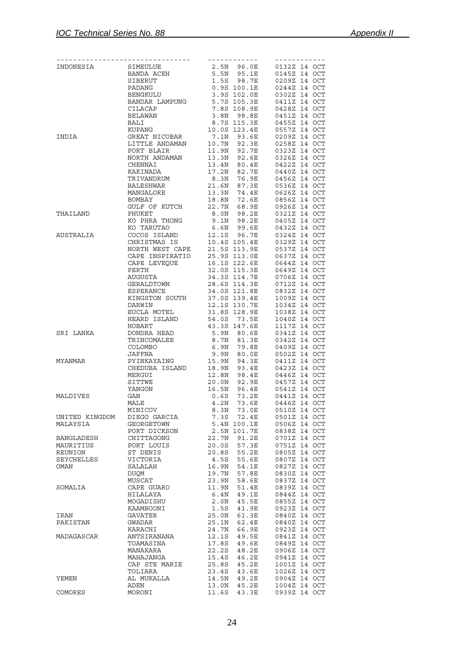|                | MINICOV        | 8.3N 73.0E                 | 0510Z 14 OCT                 |
|----------------|----------------|----------------------------|------------------------------|
| UNITED KINGDOM | DIEGO GARCIA   | 7.3S 72.4E                 | 0501Z 14 OCT                 |
| MALAYSIA       | GEORGETOWN     | 5.4N 100.1E                | 0506Z 14 OCT                 |
|                |                |                            |                              |
|                | PORT DICKSON   | 2.5N 101.7E                | 0838Z 14 OCT                 |
| BANGLADESH     | CHITTAGONG     | 22.7N 91.2E                | 0701Z 14 OCT                 |
| MAURITIUS      | PORT LOUIS     | 20.0S 57.3E                | 0751Z 14 OCT                 |
|                |                |                            |                              |
| REUNION        | ST DENIS       | 55.2E<br>20.8S             | 0805Z 14 OCT                 |
| SEYCHELLES     | VICTORIA       | 4.5S 55.6E                 | 0807Z 14 OCT                 |
| <b>OMAN</b>    | SALALAH        | 54.1E<br>16.9N             | 0827Z 14 OCT                 |
|                |                |                            |                              |
|                | <b>DUOM</b>    | 19.7N 57.8E                | 0830Z 14 OCT                 |
|                | MUSCAT         | 23.9N<br>58.6E             | 0837Z 14 OCT                 |
| SOMALIA        | CAPE GUARO     | 11.9N 51.4E                | 0839Z 14 OCT                 |
|                |                |                            |                              |
|                | HILALAYA       | 6.4N<br>49.1E              | 0844Z 14 OCT                 |
|                | MOGADISHU      | 2.0N 45.5E                 | 0855Z 14 OCT                 |
|                | KAAMBOONI      | 1.5S<br>41.9E              | 0923Z 14 OCT                 |
|                |                |                            |                              |
| IRAN           | GAVATER        | 25.0N 61.3E                | 0840Z 14 OCT                 |
| PAKISTAN       | GWADAR         | 25.1N<br>62.4E             | 0840Z 14 OCT                 |
|                | KARACHI        | 24.7N<br>66.9E             | 0923Z 14 OCT                 |
|                |                |                            |                              |
| MADAGASCAR     | ANTSIRANANA    | 49.5E<br>12.1S             | 0841Z 14 OCT                 |
|                | TOAMASINA      | 17.8S<br>49.6E             | 0849Z 14 OCT                 |
|                | MANAKARA       | 22.25<br>48.2E             | 0906Z 14 OCT                 |
|                |                |                            |                              |
|                | MAHAJANGA      | 15.4S<br>46.2E             | 0941Z 14 OCT                 |
|                | CAP STE MARIE  | 25.8S<br>45.2E             | 1001Z 14 OCT                 |
|                | TOLIARA        | 23.4S 43.6E                | 1026Z 14 OCT                 |
|                |                |                            |                              |
| YEMEN          | AL MUKALLA     | 14.5N 49.2E                | 0904Z 14 OCT                 |
| COMORES        | ADEN<br>MORONI | 13.0N 45.2E<br>11.6S 43.3E | 1004Z 14 OCT<br>0939Z 14 OCT |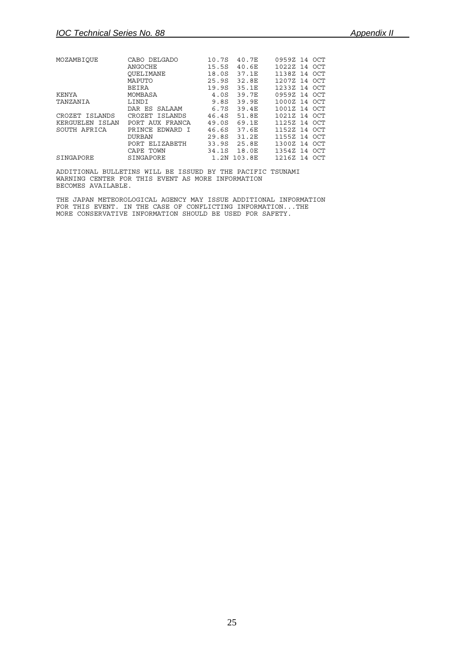| MOZAMBIOUE      | CABO DELGADO            | 10.7S | 40.7E       | 0959Z 14 OCT |  |
|-----------------|-------------------------|-------|-------------|--------------|--|
|                 | ANGOCHE                 | 15.5S | 40.6E       | 1022Z 14 OCT |  |
|                 | OUELIMANE               | 18.0S | 37.1E       | 1138Z 14 OCT |  |
|                 | MAPUTO                  | 25.9S | 32.8E       | 1207Z 14 OCT |  |
|                 | BEIRA                   | 19.9S | 35.1E       | 1233Z 14 OCT |  |
| KENYA           | MOMBASA                 | 4.05  | 39.7E       | 0959Z 14 OCT |  |
| TANZANIA        | LINDI                   | 9.85  | 39.9E       | 1000Z 14 OCT |  |
|                 | DAR ES SALAAM           | 6.7S  | 39.4E       | 1001Z 14 OCT |  |
| CROZET ISLANDS  | ISLANDS<br>CROZET       | 46.4S | 51.8E       | 1021Z 14 OCT |  |
| KERGUELEN ISLAN | PORT AUX FRANCA         | 49.0S | 69.1E       | 1125Z 14 OCT |  |
| SOUTH AFRICA    | PRINCE EDWARD<br>$\top$ | 46.65 | 37.6E       | 1152Z 14 OCT |  |
|                 | <b>DURBAN</b>           | 29.8S | 31.2E       | 1155Z 14 OCT |  |
|                 | PORT ELIZABETH          | 33.9S | 25.8E       | 1300Z 14 OCT |  |
|                 | CAPE TOWN               | 34.1S | 18.0E       | 1354Z 14 OCT |  |
| SINGAPORE       | SINGAPORE               |       | 1.2N 103.8E | 1216Z 14 OCT |  |

THE JAPAN METEOROLOGICAL AGENCY MAY ISSUE ADDITIONAL INFORMATION FOR THIS EVENT. IN THE CASE OF CONFLICTING INFORMATION...THE MORE CONSERVATIVE INFORMATION SHOULD BE USED FOR SAFETY.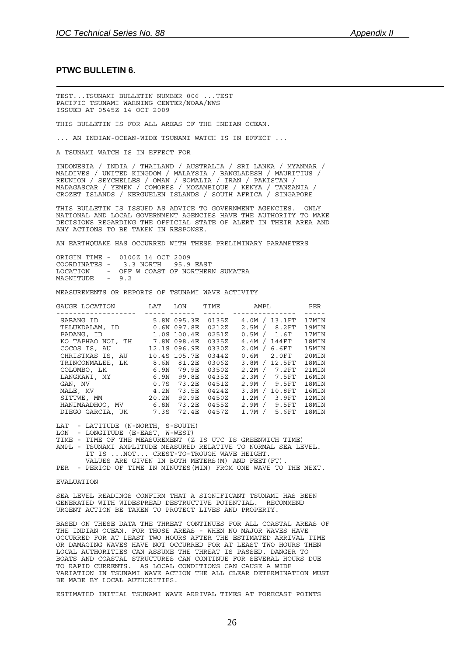#### **PTWC BULLETIN 6.**

TEST...TSUNAMI BULLETIN NUMBER 006 ...TEST PACIFIC TSUNAMI WARNING CENTER/NOAA/NWS ISSUED AT 0545Z 14 OCT 2009

THIS BULLETIN IS FOR ALL AREAS OF THE INDIAN OCEAN.

... AN INDIAN-OCEAN-WIDE TSUNAMI WATCH IS IN EFFECT ...

A TSUNAMI WATCH IS IN EFFECT FOR

INDONESIA / INDIA / THAILAND / AUSTRALIA / SRI LANKA / MYANMAR / MALDIVES / UNITED KINGDOM / MALAYSIA / BANGLADESH / MAURITIUS / REUNION / SEYCHELLES / OMAN / SOMALIA / IRAN / PAKISTAN / MADAGASCAR / YEMEN / COMORES / MOZAMBIQUE / KENYA / TANZANIA / CROZET ISLANDS / KERGUELEN ISLANDS / SOUTH AFRICA / SINGAPORE

THIS BULLETIN IS ISSUED AS ADVICE TO GOVERNMENT AGENCIES. ONLY NATIONAL AND LOCAL GOVERNMENT AGENCIES HAVE THE AUTHORITY TO MAKE DECISIONS REGARDING THE OFFICIAL STATE OF ALERT IN THEIR AREA AND ANY ACTIONS TO BE TAKEN IN RESPONSE.

AN EARTHQUAKE HAS OCCURRED WITH THESE PRELIMINARY PARAMETERS

|                 | ORIGIN TIME - 0100Z 14 OCT 2009            |
|-----------------|--------------------------------------------|
|                 | COORDINATES - 3.3 NORTH 95.9 EAST          |
|                 | LOCATION - OFF W COAST OF NORTHERN SUMATRA |
| MAGNITUDE - 9.2 |                                            |

MEASUREMENTS OR REPORTS OF TSUNAMI WAVE ACTIVITY

| GAUGE LOCATION    | LAT   | LON          | TIME  | AMPL                | PER   |
|-------------------|-------|--------------|-------|---------------------|-------|
|                   |       |              |       |                     |       |
| SABANG ID         |       | 5.8N 095.3E  | 0135Z | 4.0M/<br>13.1FT     | 17MIN |
| TELUKDALAM, ID    |       | 0.6N 097.8E  | 0212Z | 8.2FT<br>2.5M       | 19MIN |
| PADANG, ID        |       | 1.0S 100.4E  | 0251Z | 1.6T<br>0.5M        | 17MIN |
| KO TAPHAO NOI, TH |       | 7.8N 098.4E  | 0335Z | 144FT<br>4.4M       | 18MIN |
| COCOS IS, AU      |       | 12.1S 096.9E | 0330Z | 6.6FT<br>2.0M /     | 15MIN |
| CHRISTMAS IS, AU  |       | 10.4S 105.7E | 0344Z | 0.6M<br>2.0FT       | 20MIN |
| TRINCONMALEE, LK  | 8.6N  | 81.2E        | 0306Z | 12.5FT<br>3.8M/     | 18MIN |
| COLOMBO, LK       | 6.9N  | 79.9E        | 0350Z | 2.2M<br>7.2FT       | 21MIN |
| LANGKAWI, MY      | 6.9N  | 99.8E        | 0435Z | 2.3M<br>7.5FT       | 16MIN |
| GAN, MV           | 0.7S  | 73.2E        | 0451Z | 9.5FT<br>2.9M       | 18MIN |
| MALE, MV          | 4.2N  | 73.5E        | 0424Z | 3.3M<br>$10.8$ $FT$ | 16MIN |
| SITTWE, MM        | 20.2N | 92.9E        | 0450Z | 1.2M<br>3.9FT       | 12MIN |
| HANIMAADHOO, MV   | 6.8N  | 73.2E        | 0455Z | 2.9M/<br>9.5FT      | 18MIN |
| DIEGO GARCIA, UK  | 7.3S  | 72.4E        | 0457Z | 1.7M<br>5.6FT       | 18MIN |

LAT - LATITUDE (N-NORTH, S-SOUTH)

LON - LONGITUDE (E-EAST, W-WEST)

TIME - TIME OF THE MEASUREMENT (Z IS UTC IS GREENWICH TIME) AMPL - TSUNAMI AMPLITUDE MEASURED RELATIVE TO NORMAL SEA LEVEL. IT IS ...NOT... CREST-TO-TROUGH WAVE HEIGHT.

VALUES ARE GIVEN IN BOTH METERS(M) AND FEET(FT).

PER - PERIOD OF TIME IN MINUTES(MIN) FROM ONE WAVE TO THE NEXT.

EVALUATION

SEA LEVEL READINGS CONFIRM THAT A SIGNIFICANT TSUNAMI HAS BEEN GENERATED WITH WIDESPREAD DESTRUCTIVE POTENTIAL. RECOMMEND URGENT ACTION BE TAKEN TO PROTECT LIVES AND PROPERTY.

BASED ON THESE DATA THE THREAT CONTINUES FOR ALL COASTAL AREAS OF THE INDIAN OCEAN. FOR THOSE AREAS - WHEN NO MAJOR WAVES HAVE OCCURRED FOR AT LEAST TWO HOURS AFTER THE ESTIMATED ARRIVAL TIME OR DAMAGING WAVES HAVE NOT OCCURRED FOR AT LEAST TWO HOURS THEN LOCAL AUTHORITIES CAN ASSUME THE THREAT IS PASSED. DANGER TO BOATS AND COASTAL STRUCTURES CAN CONTINUE FOR SEVERAL HOURS DUE TO RAPID CURRENTS. AS LOCAL CONDITIONS CAN CAUSE A WIDE VARIATION IN TSUNAMI WAVE ACTION THE ALL CLEAR DETERMINATION MUST BE MADE BY LOCAL AUTHORITIES.

ESTIMATED INITIAL TSUNAMI WAVE ARRIVAL TIMES AT FORECAST POINTS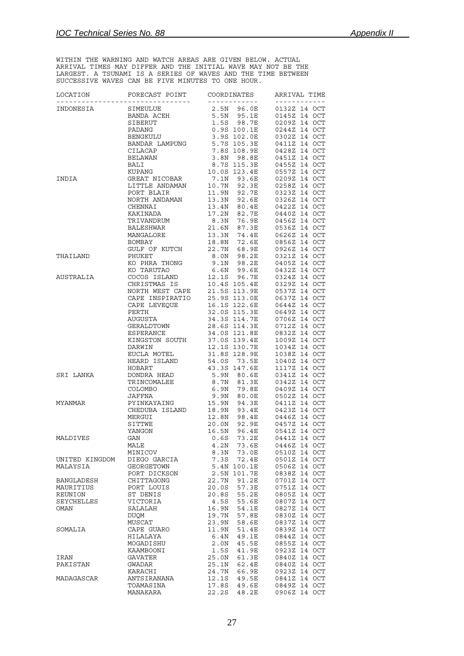WITHIN THE WARNING AND WATCH AREAS ARE GIVEN BELOW. ACTUAL ARRIVAL TIMES MAY DIFFER AND THE INITIAL WAVE MAY NOT BE THE LARGEST. A TSUNAMI IS A SERIES OF WAVES AND THE TIME BETWEEN SUCCESSIVE WAVES CAN BE FIVE MINUTES TO ONE HOUR.

|                |                          | $\begin{tabular}{l ll } \hline \textbf{LCCATION} & \textbf{FORICAR} & \textbf{FORICAR} & \textbf{RREVAL} & \textbf{RREVAL} \\ \hline \textbf{LPCBICAR} & \textbf{FORICAR} & \textbf{1.518} & \textbf{0.518} & \textbf{0.528} & \textbf{0.532} & \textbf{0.542} & \textbf{0.552} & \textbf{0.563} & \textbf{0.572} & \textbf{0.583} & \textbf{0.584} & \textbf{0.574} \\ \hline \textbf{LPCBICAR} &$ |                              |
|----------------|--------------------------|-----------------------------------------------------------------------------------------------------------------------------------------------------------------------------------------------------------------------------------------------------------------------------------------------------------------------------------------------------------------------------------------------------|------------------------------|
|                |                          |                                                                                                                                                                                                                                                                                                                                                                                                     |                              |
|                |                          |                                                                                                                                                                                                                                                                                                                                                                                                     |                              |
|                |                          |                                                                                                                                                                                                                                                                                                                                                                                                     |                              |
|                |                          |                                                                                                                                                                                                                                                                                                                                                                                                     |                              |
|                |                          |                                                                                                                                                                                                                                                                                                                                                                                                     |                              |
|                |                          |                                                                                                                                                                                                                                                                                                                                                                                                     |                              |
|                |                          |                                                                                                                                                                                                                                                                                                                                                                                                     |                              |
|                |                          |                                                                                                                                                                                                                                                                                                                                                                                                     |                              |
|                |                          |                                                                                                                                                                                                                                                                                                                                                                                                     |                              |
|                |                          |                                                                                                                                                                                                                                                                                                                                                                                                     |                              |
|                |                          |                                                                                                                                                                                                                                                                                                                                                                                                     |                              |
|                |                          |                                                                                                                                                                                                                                                                                                                                                                                                     |                              |
|                |                          |                                                                                                                                                                                                                                                                                                                                                                                                     |                              |
|                |                          |                                                                                                                                                                                                                                                                                                                                                                                                     |                              |
|                |                          |                                                                                                                                                                                                                                                                                                                                                                                                     |                              |
|                |                          |                                                                                                                                                                                                                                                                                                                                                                                                     |                              |
|                |                          |                                                                                                                                                                                                                                                                                                                                                                                                     |                              |
|                |                          |                                                                                                                                                                                                                                                                                                                                                                                                     |                              |
|                |                          |                                                                                                                                                                                                                                                                                                                                                                                                     |                              |
|                |                          |                                                                                                                                                                                                                                                                                                                                                                                                     |                              |
|                |                          |                                                                                                                                                                                                                                                                                                                                                                                                     |                              |
|                |                          |                                                                                                                                                                                                                                                                                                                                                                                                     |                              |
|                |                          |                                                                                                                                                                                                                                                                                                                                                                                                     |                              |
|                |                          |                                                                                                                                                                                                                                                                                                                                                                                                     |                              |
|                |                          |                                                                                                                                                                                                                                                                                                                                                                                                     |                              |
|                |                          |                                                                                                                                                                                                                                                                                                                                                                                                     |                              |
|                |                          |                                                                                                                                                                                                                                                                                                                                                                                                     |                              |
|                |                          |                                                                                                                                                                                                                                                                                                                                                                                                     |                              |
|                |                          |                                                                                                                                                                                                                                                                                                                                                                                                     |                              |
|                |                          |                                                                                                                                                                                                                                                                                                                                                                                                     |                              |
|                |                          |                                                                                                                                                                                                                                                                                                                                                                                                     |                              |
|                |                          |                                                                                                                                                                                                                                                                                                                                                                                                     |                              |
|                |                          |                                                                                                                                                                                                                                                                                                                                                                                                     |                              |
|                |                          |                                                                                                                                                                                                                                                                                                                                                                                                     |                              |
|                |                          |                                                                                                                                                                                                                                                                                                                                                                                                     |                              |
|                |                          |                                                                                                                                                                                                                                                                                                                                                                                                     |                              |
|                |                          |                                                                                                                                                                                                                                                                                                                                                                                                     |                              |
|                |                          |                                                                                                                                                                                                                                                                                                                                                                                                     |                              |
|                |                          |                                                                                                                                                                                                                                                                                                                                                                                                     |                              |
|                |                          |                                                                                                                                                                                                                                                                                                                                                                                                     |                              |
|                |                          |                                                                                                                                                                                                                                                                                                                                                                                                     |                              |
|                |                          |                                                                                                                                                                                                                                                                                                                                                                                                     |                              |
|                |                          |                                                                                                                                                                                                                                                                                                                                                                                                     |                              |
|                |                          |                                                                                                                                                                                                                                                                                                                                                                                                     |                              |
|                |                          |                                                                                                                                                                                                                                                                                                                                                                                                     |                              |
|                |                          |                                                                                                                                                                                                                                                                                                                                                                                                     |                              |
|                | MALE                     | 73.6E<br>4.2N                                                                                                                                                                                                                                                                                                                                                                                       | 0446Z 14 OCT                 |
|                | MINICOV                  | 8.3N<br>73.0E                                                                                                                                                                                                                                                                                                                                                                                       | 0510Z 14 OCT                 |
| UNITED KINGDOM | DIEGO GARCIA             | 72.4E<br>7.3S                                                                                                                                                                                                                                                                                                                                                                                       | 0501Z 14 OCT                 |
| MALAYSIA       | GEORGETOWN               | 5.4N 100.1E                                                                                                                                                                                                                                                                                                                                                                                         | 0506Z 14 OCT                 |
|                | PORT DICKSON             | 2.5N 101.7E                                                                                                                                                                                                                                                                                                                                                                                         | 0838Z 14 OCT                 |
| BANGLADESH     | CHITTAGONG               | 22.7N<br>91.2E                                                                                                                                                                                                                                                                                                                                                                                      | 0701Z 14 OCT                 |
| MAURITIUS      | PORT LOUIS               | 20.0S<br>57.3E                                                                                                                                                                                                                                                                                                                                                                                      | 0751Z 14 OCT                 |
| REUNION        | ST DENIS                 | 20.8S<br>55.2E                                                                                                                                                                                                                                                                                                                                                                                      | 0805Z 14 OCT                 |
| SEYCHELLES     | VICTORIA                 | 4.5S<br>55.6E                                                                                                                                                                                                                                                                                                                                                                                       | 0807Z 14 OCT                 |
| OMAN           | SALALAH                  | 16.9N<br>54.1E                                                                                                                                                                                                                                                                                                                                                                                      | 0827Z 14 OCT                 |
|                | <b>DUOM</b>              | 19.7N<br>57.8E                                                                                                                                                                                                                                                                                                                                                                                      | 0830Z 14 OCT                 |
|                | MUSCAT                   | 23.9N<br>58.6E                                                                                                                                                                                                                                                                                                                                                                                      | 0837Z 14 OCT                 |
| SOMALIA        | CAPE GUARO               | 11.9N<br>51.4E                                                                                                                                                                                                                                                                                                                                                                                      | 0839Z 14 OCT                 |
|                | HILALAYA                 | 6.4N<br>49.1E                                                                                                                                                                                                                                                                                                                                                                                       | 0844Z 14 OCT                 |
|                | MOGADISHU                | 45.5E<br>2.0N                                                                                                                                                                                                                                                                                                                                                                                       | 0855Z 14 OCT                 |
|                | KAAMBOONI                | 1.5S<br>41.9E                                                                                                                                                                                                                                                                                                                                                                                       | 0923Z 14 OCT                 |
| IRAN           | GAVATER                  | 25.0N<br>61.3E                                                                                                                                                                                                                                                                                                                                                                                      | 0840Z 14 OCT                 |
| PAKISTAN       | GWADAR                   | 25.1N<br>62.4E                                                                                                                                                                                                                                                                                                                                                                                      | 0840Z 14 OCT                 |
|                | KARACHI                  | 24.7N<br>66.9E                                                                                                                                                                                                                                                                                                                                                                                      | 0923Z 14 OCT                 |
| MADAGASCAR     | ANTSIRANANA<br>TOAMASINA | 12.1S<br>49.5E<br>17.8S<br>49.6E                                                                                                                                                                                                                                                                                                                                                                    | 0841Z 14 OCT<br>0849Z 14 OCT |
|                | MANAKARA                 | 22.2S<br>48.2E                                                                                                                                                                                                                                                                                                                                                                                      | 0906Z 14 OCT                 |
|                |                          |                                                                                                                                                                                                                                                                                                                                                                                                     |                              |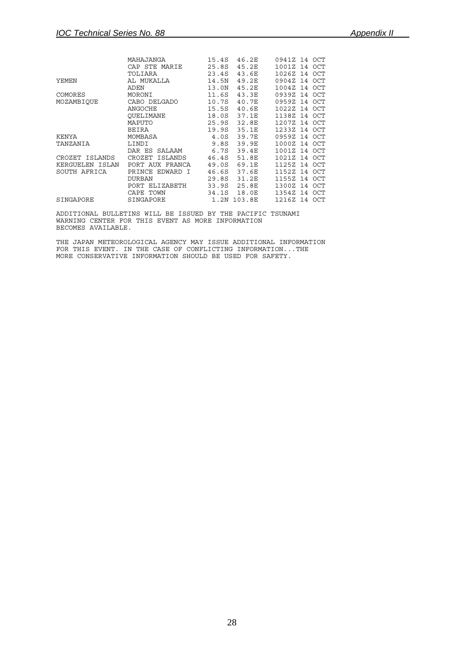|                 | MAHAJANGA       | 15.4S | 46.2E       | 0941Z 14 OCT |    |        |
|-----------------|-----------------|-------|-------------|--------------|----|--------|
|                 | CAP STE MARIE   | 25.8S | 45.2E       | 1001Z        |    | 14 OCT |
|                 | TOLIARA         | 23.4S | 43.6E       | 1026Z        | 14 | OCT    |
| YEMEN           | AL MUKALLA      | 14.5N | 49.2E       | 0904Z        | 14 | OCT    |
|                 | ADEN            | 13.0N | 45.2E       | 1004Z        |    | 14 OCT |
| COMORES         | MORONI          | 11.6S | 43.3E       | 0939Z        |    | 14 OCT |
| MOZAMBIOUE      | CABO DELGADO    | 10.7S | 40.7E       | 0959Z        | 14 | OCT    |
|                 | ANGOCHE         | 15.5S | 40.6E       | 1022Z        | 14 | OCT    |
|                 | OUELIMANE       | 18.0S | 37.1E       | 1138Z 14 OCT |    |        |
|                 | MAPUTO          | 25.9S | 32.8E       | 1207Z 14 OCT |    |        |
|                 | BEIRA           | 19.9S | 35.1E       | 1233Z        |    | 14 OCT |
| KENYA           | MOMBASA         | 4.0S  | 39.7E       | 0959Z        | 14 | OCT    |
| TANZANIA        | LINDI           | 9.8S  | 39.9E       | 1000Z        | 14 | OCT    |
|                 | DAR ES SALAAM   | 6.7S  | 39.4E       | 1001Z 14 OCT |    |        |
| CROZET ISLANDS  | CROZET ISLANDS  | 46.4S | 51.8E       | 1021Z        |    | 14 OCT |
| KERGUELEN ISLAN | PORT AUX FRANCA | 49.OS | 69.1E       | 1125Z        |    | 14 OCT |
| SOUTH AFRICA    | PRINCE EDWARD I | 46.6S | 37.6E       | 1152Z        | 14 | OCT    |
|                 | <b>DURBAN</b>   | 29.85 | 31.2E       | 1155Z        | 14 | OCT    |
|                 | PORT ELIZABETH  | 33.9S | 25.8E       | 1300Z        |    | 14 OCT |
|                 | CAPE TOWN       | 34.1S | 18.0E       | 1354Z        |    | 14 OCT |
| SINGAPORE       | SINGAPORE       |       | 1.2N 103.8E | 1216Z 14 OCT |    |        |

THE JAPAN METEOROLOGICAL AGENCY MAY ISSUE ADDITIONAL INFORMATION FOR THIS EVENT. IN THE CASE OF CONFLICTING INFORMATION...THE MORE CONSERVATIVE INFORMATION SHOULD BE USED FOR SAFETY.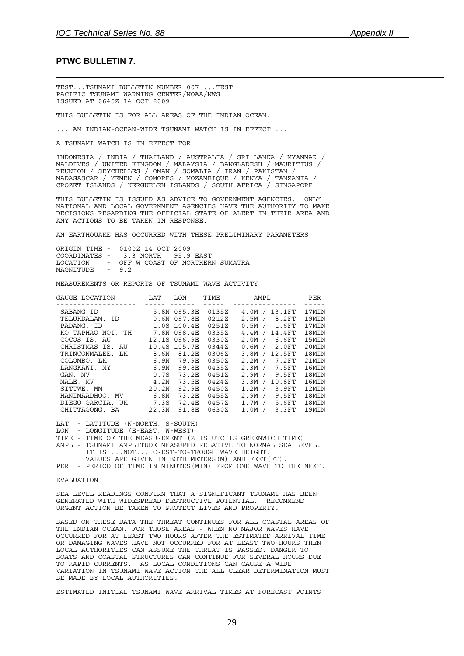#### **PTWC BULLETIN 7.**

TEST...TSUNAMI BULLETIN NUMBER 007 ...TEST PACIFIC TSUNAMI WARNING CENTER/NOAA/NWS ISSUED AT 0645Z 14 OCT 2009

THIS BULLETIN IS FOR ALL AREAS OF THE INDIAN OCEAN.

... AN INDIAN-OCEAN-WIDE TSUNAMI WATCH IS IN EFFECT ...

A TSUNAMI WATCH IS IN EFFECT FOR

INDONESIA / INDIA / THAILAND / AUSTRALIA / SRI LANKA / MYANMAR / MALDIVES / UNITED KINGDOM / MALAYSIA / BANGLADESH / MAURITIUS / REUNION / SEYCHELLES / OMAN / SOMALIA / IRAN / PAKISTAN / MADAGASCAR / YEMEN / COMORES / MOZAMBIQUE / KENYA / TANZANIA / CROZET ISLANDS / KERGUELEN ISLANDS / SOUTH AFRICA / SINGAPORE

THIS BULLETIN IS ISSUED AS ADVICE TO GOVERNMENT AGENCIES. ONLY NATIONAL AND LOCAL GOVERNMENT AGENCIES HAVE THE AUTHORITY TO MAKE DECISIONS REGARDING THE OFFICIAL STATE OF ALERT IN THEIR AREA AND ANY ACTIONS TO BE TAKEN IN RESPONSE.

AN EARTHQUAKE HAS OCCURRED WITH THESE PRELIMINARY PARAMETERS

|                 | ORIGIN TIME - 0100Z 14 OCT 2009            |
|-----------------|--------------------------------------------|
|                 | COORDINATES - 3.3 NORTH 95.9 EAST          |
|                 | LOCATION - OFF W COAST OF NORTHERN SUMATRA |
| MAGNITUDE - 9.2 |                                            |

MEASUREMENTS OR REPORTS OF TSUNAMI WAVE ACTIVITY

| LAT   | LON   | TIME                                                                                     | AMPL            | PER                              |
|-------|-------|------------------------------------------------------------------------------------------|-----------------|----------------------------------|
|       |       |                                                                                          |                 | 17MIN                            |
|       |       |                                                                                          |                 | 19MIN                            |
|       |       | 0251Z                                                                                    | 1.6FT<br>0.5M / | 17MIN                            |
|       |       | 0335Z                                                                                    | 14.4FT<br>4.4M  | 18MIN                            |
|       |       | 0330Z                                                                                    | 2.0M<br>6.6FT   | 15MIN                            |
|       |       | 0344Z                                                                                    | 0.6M<br>2.0FT   | 20MIN                            |
| 8.6N  | 81.2E | 0306Z                                                                                    | 12.5FT<br>3.8M  | 18MIN                            |
| 6.9N  | 79.9E | 0350Z                                                                                    | 7.2FT<br>2.2M/  | 21MIN                            |
| 6.9N  | 99.8E | 0435Z                                                                                    | 7.5FT<br>2.3M   | 16MIN                            |
| 0.7S  | 73.2E | 0451Z                                                                                    | 2.9M<br>9.5FT   | 18MIN                            |
| 4.2N  | 73.5E | 0424Z                                                                                    | 3.3M<br>10.8FT  | 16MIN                            |
| 20.2N | 92.9E | 0450Z                                                                                    | 1.2M<br>3.9FT   | 12MIN                            |
| 6.8N  | 73.2E | 0455Z                                                                                    | 2.9M/<br>9.5FT  | 18MIN                            |
|       | 72.4E | 0457Z                                                                                    | 1.7M<br>5.6FT   | 18MIN                            |
| 22.3N | 91.8E | 0630Z                                                                                    | 1.0M<br>3.3FT   | 19MIN                            |
|       | 7.3S  | 5.8N 095.3E<br>0.6N 097.8E<br>1.0S 100.4E<br>7.8N 098.4E<br>12.1S 096.9E<br>10.4S 105.7E | 0135Z<br>0212Z  | 13.1FT<br>4.0M/<br>8.2FT<br>2.5M |

LAT - LATITUDE (N-NORTH, S-SOUTH)

LON - LONGITUDE (E-EAST, W-WEST)

TIME - TIME OF THE MEASUREMENT (Z IS UTC IS GREENWICH TIME)

AMPL - TSUNAMI AMPLITUDE MEASURED RELATIVE TO NORMAL SEA LEVEL. IT IS ...NOT... CREST-TO-TROUGH WAVE HEIGHT.

VALUES ARE GIVEN IN BOTH METERS(M) AND FEET(FT).

PER - PERIOD OF TIME IN MINUTES(MIN) FROM ONE WAVE TO THE NEXT.

**EVALUATION** 

SEA LEVEL READINGS CONFIRM THAT A SIGNIFICANT TSUNAMI HAS BEEN GENERATED WITH WIDESPREAD DESTRUCTIVE POTENTIAL. RECOMMEND URGENT ACTION BE TAKEN TO PROTECT LIVES AND PROPERTY.

BASED ON THESE DATA THE THREAT CONTINUES FOR ALL COASTAL AREAS OF THE INDIAN OCEAN. FOR THOSE AREAS - WHEN NO MAJOR WAVES HAVE OCCURRED FOR AT LEAST TWO HOURS AFTER THE ESTIMATED ARRIVAL TIME OR DAMAGING WAVES HAVE NOT OCCURRED FOR AT LEAST TWO HOURS THEN LOCAL AUTHORITIES CAN ASSUME THE THREAT IS PASSED. DANGER TO BOATS AND COASTAL STRUCTURES CAN CONTINUE FOR SEVERAL HOURS DUE TO RAPID CURRENTS. AS LOCAL CONDITIONS CAN CAUSE A WIDE VARIATION IN TSUNAMI WAVE ACTION THE ALL CLEAR DETERMINATION MUST BE MADE BY LOCAL AUTHORITIES.

ESTIMATED INITIAL TSUNAMI WAVE ARRIVAL TIMES AT FORECAST POINTS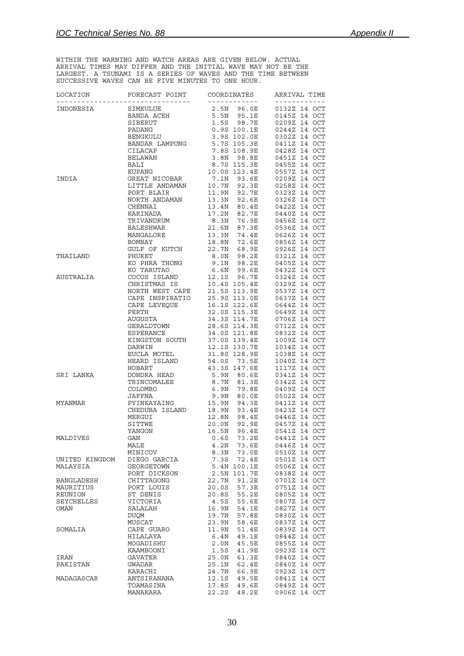WITHIN THE WARNING AND WATCH AREAS ARE GIVEN BELOW. ACTUAL ARRIVAL TIMES MAY DIFFER AND THE INITIAL WAVE MAY NOT BE THE LARGEST. A TSUNAMI IS A SERIES OF WAVES AND THE TIME BETWEEN SUCCESSIVE WAVES CAN BE FIVE MINUTES TO ONE HOUR.

|                | $\begin{tabular}{l ll } \hline \textbf{LCCATION} & \textbf{FORICAR} & \textbf{FORICAR} & \textbf{RREVAL} & \textbf{RREVAL} \\ \hline \textbf{LPCBICAR} & \textbf{FORICAR} & \textbf{1.518} & \textbf{0.518} & \textbf{0.528} & \textbf{0.532} & \textbf{0.542} & \textbf{0.552} & \textbf{0.563} & \textbf{0.572} & \textbf{0.583} & \textbf{0.584} & \textbf{0.574} \\ \hline \textbf{LPCBICAR} &$ |                |              |
|----------------|-----------------------------------------------------------------------------------------------------------------------------------------------------------------------------------------------------------------------------------------------------------------------------------------------------------------------------------------------------------------------------------------------------|----------------|--------------|
|                |                                                                                                                                                                                                                                                                                                                                                                                                     |                |              |
|                |                                                                                                                                                                                                                                                                                                                                                                                                     |                |              |
|                |                                                                                                                                                                                                                                                                                                                                                                                                     |                |              |
|                |                                                                                                                                                                                                                                                                                                                                                                                                     |                |              |
|                |                                                                                                                                                                                                                                                                                                                                                                                                     |                |              |
|                |                                                                                                                                                                                                                                                                                                                                                                                                     |                |              |
|                |                                                                                                                                                                                                                                                                                                                                                                                                     |                |              |
|                |                                                                                                                                                                                                                                                                                                                                                                                                     |                |              |
|                |                                                                                                                                                                                                                                                                                                                                                                                                     |                |              |
|                |                                                                                                                                                                                                                                                                                                                                                                                                     |                |              |
|                |                                                                                                                                                                                                                                                                                                                                                                                                     |                |              |
|                |                                                                                                                                                                                                                                                                                                                                                                                                     |                |              |
|                |                                                                                                                                                                                                                                                                                                                                                                                                     |                |              |
|                |                                                                                                                                                                                                                                                                                                                                                                                                     |                |              |
|                |                                                                                                                                                                                                                                                                                                                                                                                                     |                |              |
|                |                                                                                                                                                                                                                                                                                                                                                                                                     |                |              |
|                |                                                                                                                                                                                                                                                                                                                                                                                                     |                |              |
|                |                                                                                                                                                                                                                                                                                                                                                                                                     |                |              |
|                |                                                                                                                                                                                                                                                                                                                                                                                                     |                |              |
|                |                                                                                                                                                                                                                                                                                                                                                                                                     |                |              |
|                |                                                                                                                                                                                                                                                                                                                                                                                                     |                |              |
|                |                                                                                                                                                                                                                                                                                                                                                                                                     |                |              |
|                |                                                                                                                                                                                                                                                                                                                                                                                                     |                |              |
|                |                                                                                                                                                                                                                                                                                                                                                                                                     |                |              |
|                |                                                                                                                                                                                                                                                                                                                                                                                                     |                |              |
|                |                                                                                                                                                                                                                                                                                                                                                                                                     |                |              |
|                |                                                                                                                                                                                                                                                                                                                                                                                                     |                |              |
|                |                                                                                                                                                                                                                                                                                                                                                                                                     |                |              |
|                |                                                                                                                                                                                                                                                                                                                                                                                                     |                |              |
|                |                                                                                                                                                                                                                                                                                                                                                                                                     |                |              |
|                |                                                                                                                                                                                                                                                                                                                                                                                                     |                |              |
|                |                                                                                                                                                                                                                                                                                                                                                                                                     |                |              |
|                |                                                                                                                                                                                                                                                                                                                                                                                                     |                |              |
|                |                                                                                                                                                                                                                                                                                                                                                                                                     |                |              |
|                |                                                                                                                                                                                                                                                                                                                                                                                                     |                |              |
|                |                                                                                                                                                                                                                                                                                                                                                                                                     |                |              |
|                |                                                                                                                                                                                                                                                                                                                                                                                                     |                |              |
|                |                                                                                                                                                                                                                                                                                                                                                                                                     |                |              |
|                |                                                                                                                                                                                                                                                                                                                                                                                                     |                |              |
|                |                                                                                                                                                                                                                                                                                                                                                                                                     |                |              |
|                |                                                                                                                                                                                                                                                                                                                                                                                                     |                |              |
|                |                                                                                                                                                                                                                                                                                                                                                                                                     |                |              |
|                |                                                                                                                                                                                                                                                                                                                                                                                                     |                |              |
|                |                                                                                                                                                                                                                                                                                                                                                                                                     |                |              |
|                |                                                                                                                                                                                                                                                                                                                                                                                                     |                |              |
|                |                                                                                                                                                                                                                                                                                                                                                                                                     |                |              |
|                |                                                                                                                                                                                                                                                                                                                                                                                                     |                |              |
|                |                                                                                                                                                                                                                                                                                                                                                                                                     |                |              |
|                |                                                                                                                                                                                                                                                                                                                                                                                                     |                |              |
|                |                                                                                                                                                                                                                                                                                                                                                                                                     |                |              |
|                |                                                                                                                                                                                                                                                                                                                                                                                                     |                |              |
|                | MALE                                                                                                                                                                                                                                                                                                                                                                                                | 73.6E<br>4.2N  | 0446Z 14 OCT |
|                | MINICOV                                                                                                                                                                                                                                                                                                                                                                                             | 8.3N<br>73.0E  | 0510Z 14 OCT |
| UNITED KINGDOM | DIEGO GARCIA                                                                                                                                                                                                                                                                                                                                                                                        | 72.4E<br>7.3S  | 0501Z 14 OCT |
| MALAYSIA       | GEORGETOWN                                                                                                                                                                                                                                                                                                                                                                                          | 5.4N 100.1E    | 0506Z 14 OCT |
|                | PORT DICKSON                                                                                                                                                                                                                                                                                                                                                                                        | 2.5N 101.7E    | 0838Z 14 OCT |
| BANGLADESH     | CHITTAGONG                                                                                                                                                                                                                                                                                                                                                                                          | 22.7N<br>91.2E | 0701Z 14 OCT |
| MAURITIUS      | PORT LOUIS                                                                                                                                                                                                                                                                                                                                                                                          | 20.0S<br>57.3E | 0751Z 14 OCT |
| REUNION        | ST DENIS                                                                                                                                                                                                                                                                                                                                                                                            | 20.8S<br>55.2E | 0805Z 14 OCT |
| SEYCHELLES     | VICTORIA                                                                                                                                                                                                                                                                                                                                                                                            | 4.5S<br>55.6E  | 0807Z 14 OCT |
| OMAN           | SALALAH                                                                                                                                                                                                                                                                                                                                                                                             | 16.9N<br>54.1E | 0827Z 14 OCT |
|                | <b>DUOM</b>                                                                                                                                                                                                                                                                                                                                                                                         | 19.7N<br>57.8E | 0830Z 14 OCT |
|                | MUSCAT                                                                                                                                                                                                                                                                                                                                                                                              | 23.9N<br>58.6E | 0837Z 14 OCT |
| SOMALIA        | CAPE GUARO                                                                                                                                                                                                                                                                                                                                                                                          | 11.9N<br>51.4E | 0839Z 14 OCT |
|                | HILALAYA                                                                                                                                                                                                                                                                                                                                                                                            | 6.4N<br>49.1E  | 0844Z 14 OCT |
|                | MOGADISHU                                                                                                                                                                                                                                                                                                                                                                                           | 45.5E<br>2.ON  | 0855Z 14 OCT |
|                | KAAMBOONI                                                                                                                                                                                                                                                                                                                                                                                           | 1.5S<br>41.9E  | 0923Z 14 OCT |
| IRAN           | GAVATER                                                                                                                                                                                                                                                                                                                                                                                             | 25.0N<br>61.3E | 0840Z 14 OCT |
| PAKISTAN       |                                                                                                                                                                                                                                                                                                                                                                                                     |                |              |
|                | GWADAR                                                                                                                                                                                                                                                                                                                                                                                              | 25.1N<br>62.4E | 0840Z 14 OCT |
|                | KARACHI                                                                                                                                                                                                                                                                                                                                                                                             | 24.7N<br>66.9E | 0923Z 14 OCT |
| MADAGASCAR     | ANTSIRANANA                                                                                                                                                                                                                                                                                                                                                                                         | 12.1S<br>49.5E | 0841Z 14 OCT |
|                | TOAMASINA                                                                                                                                                                                                                                                                                                                                                                                           | 17.8S<br>49.6E | 0849Z 14 OCT |
|                | MANAKARA                                                                                                                                                                                                                                                                                                                                                                                            | 22.2S<br>48.2E | 0906Z 14 OCT |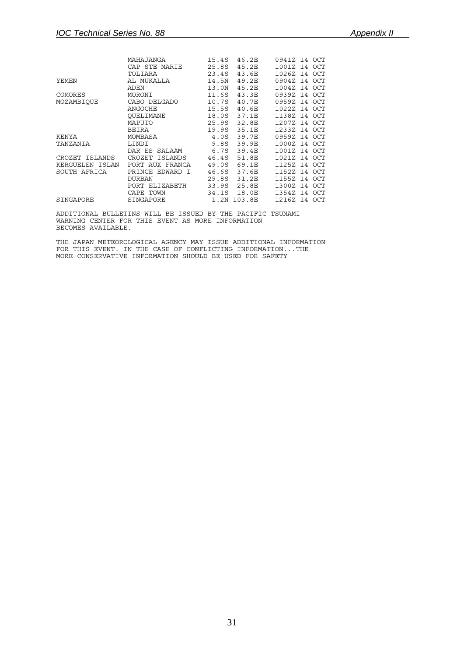|                 | MAHAJANGA       | 15.4S | 46.2E       | 0941Z 14 OCT |    |        |
|-----------------|-----------------|-------|-------------|--------------|----|--------|
|                 | CAP STE MARIE   | 25.8S | 45.2E       | 1001Z        |    | 14 OCT |
|                 | TOLIARA         | 23.4S | 43.6E       | 1026Z        | 14 | OCT    |
| YEMEN           | AL MUKALLA      | 14.5N | 49.2E       | 0904Z        | 14 | OCT    |
|                 | ADEN            | 13.0N | 45.2E       | 1004Z 14 OCT |    |        |
| COMORES         | MORONI          | 11.6S | 43.3E       | 0939Z        |    | 14 OCT |
| MOZAMBIOUE      | CABO DELGADO    | 10.7S | 40.7E       | 0959Z        | 14 | OCT    |
|                 | ANGOCHE         | 15.5S | 40.6E       | 1022Z        | 14 | OCT    |
|                 | OUELIMANE       | 18.0S | 37.1E       | 1138Z 14 OCT |    |        |
|                 | MAPUTO          | 25.9S | 32.8E       | 1207Z 14 OCT |    |        |
|                 | BEIRA           | 19.9S | 35.1E       | 1233Z        |    | 14 OCT |
| KENYA           | MOMBASA         | 4.0S  | 39.7E       | 0959Z        | 14 | OCT    |
| TANZANIA        | LINDI           | 9.8S  | 39.9E       | 1000Z        | 14 | OCT    |
|                 | DAR ES SALAAM   | 6.7S  | 39.4E       | 1001Z 14 OCT |    |        |
| CROZET ISLANDS  | CROZET ISLANDS  | 46.4S | 51.8E       | 1021Z        |    | 14 OCT |
| KERGUELEN ISLAN | PORT AUX FRANCA | 49.OS | 69.1E       | 1125Z        | 14 | OCT    |
| SOUTH AFRICA    | PRINCE EDWARD I | 46.6S | 37.6E       | 1152Z        | 14 | OCT    |
|                 | <b>DURBAN</b>   | 29.85 | 31.2E       | 1155Z        |    | 14 OCT |
|                 | PORT ELIZABETH  | 33.9S | 25.8E       | 1300Z        | 14 | OCT    |
|                 | CAPE TOWN       | 34.1S | 18.0E       | 1354Z        |    | 14 OCT |
| SINGAPORE       | SINGAPORE       |       | 1.2N 103.8E | 1216Z 14     |    | OCT    |

THE JAPAN METEOROLOGICAL AGENCY MAY ISSUE ADDITIONAL INFORMATION FOR THIS EVENT. IN THE CASE OF CONFLICTING INFORMATION...THE MORE CONSERVATIVE INFORMATION SHOULD BE USED FOR SAFETY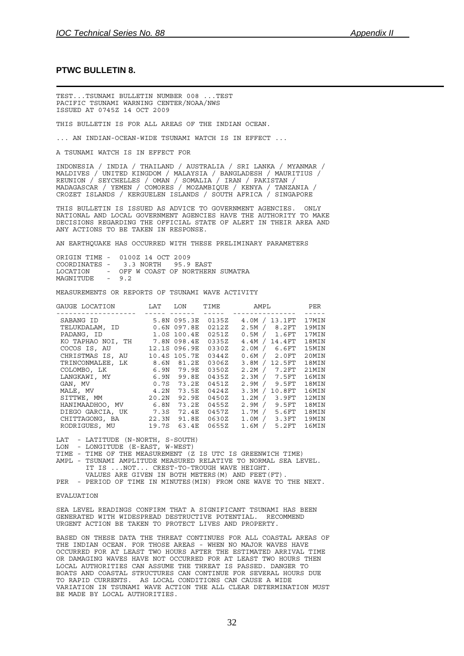#### **PTWC BULLETIN 8.**

TEST...TSUNAMI BULLETIN NUMBER 008 ...TEST PACIFIC TSUNAMI WARNING CENTER/NOAA/NWS ISSUED AT 0745Z 14 OCT 2009

THIS BULLETIN IS FOR ALL AREAS OF THE INDIAN OCEAN.

... AN INDIAN-OCEAN-WIDE TSUNAMI WATCH IS IN EFFECT ...

A TSUNAMI WATCH IS IN EFFECT FOR

INDONESIA / INDIA / THAILAND / AUSTRALIA / SRI LANKA / MYANMAR / MALDIVES / UNITED KINGDOM / MALAYSIA / BANGLADESH / MAURITIUS / REUNION / SEYCHELLES / OMAN / SOMALIA / IRAN / PAKISTAN / MADAGASCAR / YEMEN / COMORES / MOZAMBIQUE / KENYA / TANZANIA / CROZET ISLANDS / KERGUELEN ISLANDS / SOUTH AFRICA / SINGAPORE

THIS BULLETIN IS ISSUED AS ADVICE TO GOVERNMENT AGENCIES. ONLY NATIONAL AND LOCAL GOVERNMENT AGENCIES HAVE THE AUTHORITY TO MAKE DECISIONS REGARDING THE OFFICIAL STATE OF ALERT IN THEIR AREA AND ANY ACTIONS TO BE TAKEN IN RESPONSE.

AN EARTHQUAKE HAS OCCURRED WITH THESE PRELIMINARY PARAMETERS

|                 | ORIGIN TIME - 0100Z 14 OCT 2009            |
|-----------------|--------------------------------------------|
|                 | COORDINATES - 3.3 NORTH 95.9 EAST          |
|                 | LOCATION - OFF W COAST OF NORTHERN SUMATRA |
| MAGNITUDE - 9.2 |                                            |

MEASUREMENTS OR REPORTS OF TSUNAMI WAVE ACTIVITY

| GAUGE LOCATION         | LAT   | LON          | TIME<br>$- - - - -$ | AMPL                 | PER   |
|------------------------|-------|--------------|---------------------|----------------------|-------|
| ---------<br>SABANG ID |       | 5.8N 095.3E  | 0135Z               | 13.1FT<br>4.0M /     | 17MIN |
| TELUKDALAM, ID         |       | 0.6N 097.8E  | 0212Z               | 2.5M<br>8.2FT        | 19MIN |
| PADANG, ID             |       | 1.0S 100.4E  | 0251Z               | 1.6FT<br>0.5M/       | 17MIN |
| KO TAPHAO NOI, TH      |       | 7.8N 098.4E  | 0335Z               | 4.4M/<br>14.4FT      | 18MIN |
| COCOS IS, AU           |       | 12.1S 096.9E | 0330Z               | 2.0M /<br>6.6FT      | 15MIN |
| CHRISTMAS IS, AU       |       | 10.4S 105.7E | 0344Z               | 2.0FT<br>0.6M /      | 20MIN |
| TRINCONMALEE, LK       | 8.6N  | 81.2E        | 0306Z               | 12.5FT<br>3.8M/      | 18MIN |
| COLOMBO, LK            | 6.9N  | 79.9E        | 0350Z               | 2.2M/<br>7.2FT       | 21MIN |
| LANGKAWI, MY           | 6.9N  | 99.8E        | 0435Z               | 7.5FT<br>2.3M/       | 16MIN |
| GAN, MV                | 0.7S  | 73.2E        | 0451Z               | 9.5FT<br>2.9M/       | 18MIN |
| MALE, MV               | 4.2N  | 73.5E        | 0424Z               | 3.3M/<br>$10.8$ $FT$ | 16MIN |
| SITTWE, MM             | 20.2N | 92.9E        | 0450Z               | 1.2M/<br>3.9FT       | 12MIN |
| HANIMAADHOO, MV        | 6.8N  | 73.2E        | 04552               | 2.9M/<br>9.5FT       | 18MIN |
| DIEGO GARCIA, UK       | 7.3S  | 72.4E        | 0457Z               | 1.7M /<br>5.6FT      | 18MIN |
| CHITTAGONG, BA         | 22.3N | 91.8E        | 0630Z               | 1.0M /<br>3.3FT      | 19MIN |
| RODRIGUES, MU          | 19.7S | 63.4E        | 06552               | 1.6M /<br>5.2FT      | 16MIN |

LAT - LATITUDE (N-NORTH, S-SOUTH)<br>LON - LONGITUDE (E-EAST, W-WEST)

- LONGITUDE (E-EAST, W-WEST)

TIME - TIME OF THE MEASUREMENT (Z IS UTC IS GREENWICH TIME)

- AMPL TSUNAMI AMPLITUDE MEASURED RELATIVE TO NORMAL SEA LEVEL. IT IS ...NOT... CREST-TO-TROUGH WAVE HEIGHT.
- VALUES ARE GIVEN IN BOTH METERS(M) AND FEET(FT).<br>PER PERIOD OF TIME IN MINITES(MIN) FROM ONE WAVE TO - PERIOD OF TIME IN MINUTES (MIN) FROM ONE WAVE TO THE NEXT.

#### **EVALUATION**

SEA LEVEL READINGS CONFIRM THAT A SIGNIFICANT TSUNAMI HAS BEEN GENERATED WITH WIDESPREAD DESTRUCTIVE POTENTIAL. RECOMMEND URGENT ACTION BE TAKEN TO PROTECT LIVES AND PROPERTY.

BASED ON THESE DATA THE THREAT CONTINUES FOR ALL COASTAL AREAS OF THE INDIAN OCEAN. FOR THOSE AREAS - WHEN NO MAJOR WAVES HAVE OCCURRED FOR AT LEAST TWO HOURS AFTER THE ESTIMATED ARRIVAL TIME OR DAMAGING WAVES HAVE NOT OCCURRED FOR AT LEAST TWO HOURS THEN LOCAL AUTHORITIES CAN ASSUME THE THREAT IS PASSED. DANGER TO BOATS AND COASTAL STRUCTURES CAN CONTINUE FOR SEVERAL HOURS DUE TO RAPID CURRENTS. AS LOCAL CONDITIONS CAN CAUSE A WIDE VARIATION IN TSUNAMI WAVE ACTION THE ALL CLEAR DETERMINATION MUST BE MADE BY LOCAL AUTHORITIES.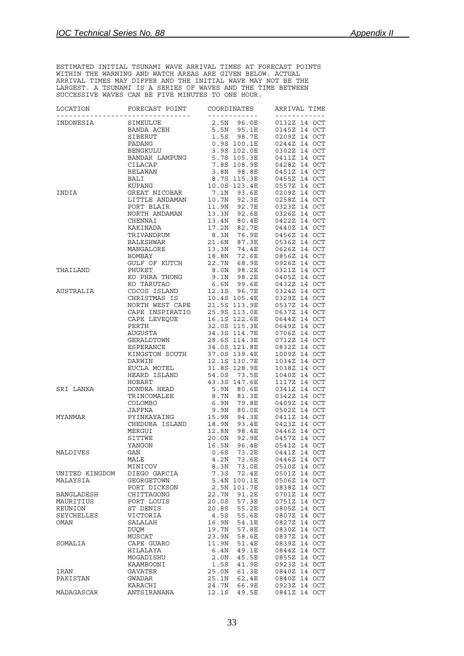ESTIMATED INITIAL TSUNAMI WAVE ARRIVAL TIMES AT FORECAST POINTS WITHIN THE WARNING AND WATCH AREAS ARE GIVEN BELOW. ACTUAL ARRIVAL TIMES MAY DIFFER AND THE INITIAL WAVE MAY NOT BE THE LARGEST. A TSUNAMI IS A SERIES OF WAVES AND THE TIME BETWEEN SUCCESSIVE WAVES CAN BE FIVE MINUTES TO ONE HOUR.

|                | $\begin{tabular}{l ll } \hline \textbf{LUCMRTALA} & \textbf{FORERLTA} & \textbf{FORERLTA} & \textbf{RREVALA} & \textbf{RREVALA} & \textbf{RREVALA} & \textbf{RREVALA} & \textbf{RREVALA} & \textbf{RREVALA} \\ \hline \textbf{ITDIMRER} & \textbf{SINRAR} & \textbf{LAPUPNS} & 1.58 & 96.18 & 013.22 & 14 & 007 \\ \hline \textbf{BINRAR} & \textbf{LAPUPNS} & 0.58 & 100.18 & 024.$ |                           |              |
|----------------|--------------------------------------------------------------------------------------------------------------------------------------------------------------------------------------------------------------------------------------------------------------------------------------------------------------------------------------------------------------------------------------|---------------------------|--------------|
|                |                                                                                                                                                                                                                                                                                                                                                                                      |                           |              |
|                |                                                                                                                                                                                                                                                                                                                                                                                      |                           |              |
|                |                                                                                                                                                                                                                                                                                                                                                                                      |                           |              |
|                |                                                                                                                                                                                                                                                                                                                                                                                      |                           |              |
|                |                                                                                                                                                                                                                                                                                                                                                                                      |                           |              |
|                |                                                                                                                                                                                                                                                                                                                                                                                      |                           |              |
|                |                                                                                                                                                                                                                                                                                                                                                                                      |                           |              |
|                |                                                                                                                                                                                                                                                                                                                                                                                      |                           |              |
|                |                                                                                                                                                                                                                                                                                                                                                                                      |                           |              |
|                |                                                                                                                                                                                                                                                                                                                                                                                      |                           |              |
|                |                                                                                                                                                                                                                                                                                                                                                                                      |                           |              |
|                |                                                                                                                                                                                                                                                                                                                                                                                      |                           |              |
|                |                                                                                                                                                                                                                                                                                                                                                                                      |                           |              |
|                |                                                                                                                                                                                                                                                                                                                                                                                      |                           |              |
|                |                                                                                                                                                                                                                                                                                                                                                                                      |                           |              |
|                |                                                                                                                                                                                                                                                                                                                                                                                      |                           |              |
|                |                                                                                                                                                                                                                                                                                                                                                                                      |                           |              |
|                |                                                                                                                                                                                                                                                                                                                                                                                      |                           |              |
|                |                                                                                                                                                                                                                                                                                                                                                                                      |                           |              |
|                |                                                                                                                                                                                                                                                                                                                                                                                      |                           |              |
|                |                                                                                                                                                                                                                                                                                                                                                                                      |                           |              |
|                |                                                                                                                                                                                                                                                                                                                                                                                      |                           |              |
|                |                                                                                                                                                                                                                                                                                                                                                                                      |                           |              |
|                |                                                                                                                                                                                                                                                                                                                                                                                      |                           |              |
|                |                                                                                                                                                                                                                                                                                                                                                                                      |                           |              |
|                |                                                                                                                                                                                                                                                                                                                                                                                      |                           |              |
|                |                                                                                                                                                                                                                                                                                                                                                                                      |                           |              |
|                |                                                                                                                                                                                                                                                                                                                                                                                      |                           |              |
|                |                                                                                                                                                                                                                                                                                                                                                                                      |                           |              |
|                |                                                                                                                                                                                                                                                                                                                                                                                      |                           |              |
|                |                                                                                                                                                                                                                                                                                                                                                                                      |                           |              |
|                |                                                                                                                                                                                                                                                                                                                                                                                      |                           |              |
|                |                                                                                                                                                                                                                                                                                                                                                                                      |                           |              |
|                |                                                                                                                                                                                                                                                                                                                                                                                      |                           |              |
|                |                                                                                                                                                                                                                                                                                                                                                                                      |                           |              |
|                |                                                                                                                                                                                                                                                                                                                                                                                      |                           |              |
|                |                                                                                                                                                                                                                                                                                                                                                                                      |                           |              |
|                |                                                                                                                                                                                                                                                                                                                                                                                      |                           |              |
|                |                                                                                                                                                                                                                                                                                                                                                                                      |                           |              |
|                |                                                                                                                                                                                                                                                                                                                                                                                      |                           |              |
|                |                                                                                                                                                                                                                                                                                                                                                                                      |                           |              |
|                |                                                                                                                                                                                                                                                                                                                                                                                      |                           |              |
|                |                                                                                                                                                                                                                                                                                                                                                                                      |                           |              |
|                |                                                                                                                                                                                                                                                                                                                                                                                      |                           |              |
|                |                                                                                                                                                                                                                                                                                                                                                                                      |                           |              |
|                |                                                                                                                                                                                                                                                                                                                                                                                      |                           |              |
|                |                                                                                                                                                                                                                                                                                                                                                                                      |                           |              |
|                |                                                                                                                                                                                                                                                                                                                                                                                      |                           |              |
|                |                                                                                                                                                                                                                                                                                                                                                                                      |                           |              |
|                |                                                                                                                                                                                                                                                                                                                                                                                      |                           |              |
|                | MALE                                                                                                                                                                                                                                                                                                                                                                                 | 73.6E<br>4.2 <sub>N</sub> | 0446Z 14 OCT |
|                | MINICOV                                                                                                                                                                                                                                                                                                                                                                              | 8.3N<br>73.0E             | 0510Z 14 OCT |
| UNITED KINGDOM | DIEGO GARCIA                                                                                                                                                                                                                                                                                                                                                                         | 7.3S<br>72.4E             | 0501Z 14 OCT |
| MALAYSIA       | GEORGETOWN                                                                                                                                                                                                                                                                                                                                                                           | 5.4N 100.1E               | 0506Z 14 OCT |
|                |                                                                                                                                                                                                                                                                                                                                                                                      |                           | 0838Z 14 OCT |
|                | PORT DICKSON                                                                                                                                                                                                                                                                                                                                                                         | 2.5N 101.7E               |              |
| BANGLADESH     | CHITTAGONG                                                                                                                                                                                                                                                                                                                                                                           | 22.7N<br>91.2E            | 0701Z 14 OCT |
| MAURITIUS      | PORT LOUIS                                                                                                                                                                                                                                                                                                                                                                           | 20.0S<br>57.3E            | 0751Z 14 OCT |
| REUNION        | ST DENIS                                                                                                                                                                                                                                                                                                                                                                             | 20.8S<br>55.2E            | 0805Z 14 OCT |
| SEYCHELLES     | VICTORIA                                                                                                                                                                                                                                                                                                                                                                             | 4.5S<br>55.6E             | 0807Z 14 OCT |
| OMAN           | SALALAH                                                                                                                                                                                                                                                                                                                                                                              | 16.9N<br>54.1E            | 0827Z 14 OCT |
|                | DUQM                                                                                                                                                                                                                                                                                                                                                                                 | 19.7N<br>57.8E            | 0830Z 14 OCT |
|                | MUSCAT                                                                                                                                                                                                                                                                                                                                                                               | 23.9N<br>58.6E            | 0837Z 14 OCT |
| SOMALIA        | CAPE GUARO                                                                                                                                                                                                                                                                                                                                                                           | 11.9N<br>51.4E            | 0839Z 14 OCT |
|                | HILALAYA                                                                                                                                                                                                                                                                                                                                                                             | 6.4N<br>49.1E             | 0844Z 14 OCT |
|                | MOGADISHU                                                                                                                                                                                                                                                                                                                                                                            | 2.0N<br>45.5E             | 0855Z 14 OCT |
|                | KAAMBOONI                                                                                                                                                                                                                                                                                                                                                                            | 1.5S<br>41.9E             | 0923Z 14 OCT |
| IRAN           | GAVATER                                                                                                                                                                                                                                                                                                                                                                              | 25.0N<br>61.3E            | 0840Z 14 OCT |
| PAKISTAN       | GWADAR                                                                                                                                                                                                                                                                                                                                                                               | 25.1N<br>62.4E            | 0840Z 14 OCT |
|                | KARACHI                                                                                                                                                                                                                                                                                                                                                                              | 24.7N<br>66.9E            | 0923Z 14 OCT |
| MADAGASCAR     | ANTSIRANANA                                                                                                                                                                                                                                                                                                                                                                          | 12.1S<br>49.5E            | 0841Z 14 OCT |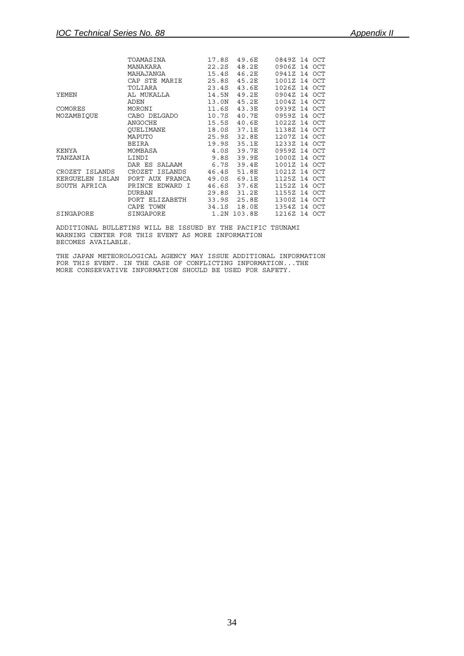|                 | TOAMASINA       | 17.8S | 49.6E       | 0849Z 14 OCT |    |        |
|-----------------|-----------------|-------|-------------|--------------|----|--------|
|                 | MANAKARA        | 22.2S | 48.2E       | 0906Z 14 OCT |    |        |
|                 | MAHAJANGA       | 15.4S | 46.2E       | 0941Z 14 OCT |    |        |
|                 | CAP STE MARIE   | 25.8S | 45.2E       | 1001Z 14 OCT |    |        |
|                 | TOLIARA         | 23.4S | 43.6E       | 1026Z        | 14 | OCT    |
| YEMEN           | AL MUKALLA      | 14.5N | 49.2E       | 0904Z 14 OCT |    |        |
|                 | ADEN            | 13.ON | 45.2E       | 1004Z        |    | 14 OCT |
| COMORES         | MORONI          | 11.6S | 43.3E       | 0939Z 14 OCT |    |        |
| MOZAMBIOUE      | CABO DELGADO    | 10.7S | 40.7E       | 0959Z        |    | 14 OCT |
|                 | ANGOCHE         | 15.5S | 40.6E       | 1022Z 14     |    | OCT    |
|                 | OUELIMANE       | 18.0S | 37.1E       | 1138Z        |    | 14 OCT |
|                 | MAPUTO          | 25.9S | 32.8E       | 1207Z 14 OCT |    |        |
|                 | BEIRA           | 19.9S | 35.1E       | 1233Z 14 OCT |    |        |
| KENYA           | MOMBASA         | 4.OS  | 39.7E       | 0959Z        |    | 14 OCT |
| TANZANIA        | LINDI           | 9.8S  | 39.9E       | 1000Z        |    | 14 OCT |
|                 | DAR ES SALAAM   | 6.7S  | 39.4E       | 1001Z 14 OCT |    |        |
| CROZET ISLANDS  | CROZET ISLANDS  | 46.4S | 51.8E       | 1021Z 14 OCT |    |        |
| KERGUELEN ISLAN | PORT AUX FRANCA | 49.OS | 69.1E       | 1125Z        | 14 | OCT    |
| SOUTH AFRICA    | PRINCE EDWARD I | 46.6S | 37.6E       | 1152Z        |    | 14 OCT |
|                 | <b>DURBAN</b>   | 29.8S | 31.2E       | 1155Z        |    | 14 OCT |
|                 | PORT ELIZABETH  | 33.9S | 25.8E       | 1300Z 14 OCT |    |        |
|                 | CAPE TOWN       | 34.1S | 18.0E       | 1354Z        |    | 14 OCT |
| SINGAPORE       | SINGAPORE       |       | 1.2N 103.8E | 1216Z 14 OCT |    |        |

ADDITIONAL BULLETINS WILL BE ISSUED BY THE PACIFIC TSUNAMI WARNING CENTER FOR THIS EVENT AS MORE INFORMATION BECOMES AVAILABLE.

THE JAPAN METEOROLOGICAL AGENCY MAY ISSUE ADDITIONAL INFORMATION FOR THIS EVENT. IN THE CASE OF CONFLICTING INFORMATION...THE MORE CONSERVATIVE INFORMATION SHOULD BE USED FOR SAFETY.

34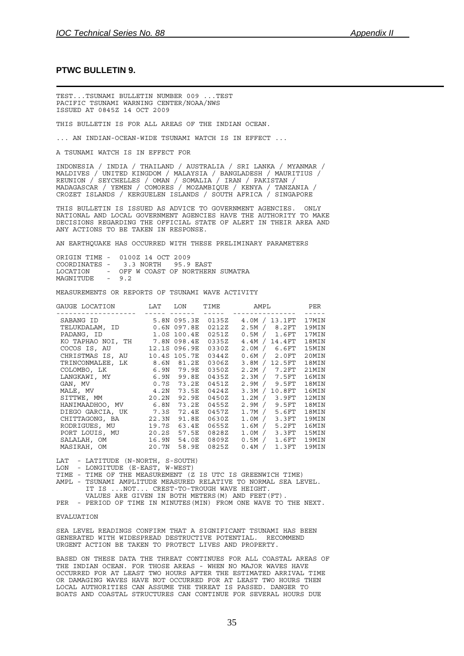#### **PTWC BULLETIN 9.**

TEST...TSUNAMI BULLETIN NUMBER 009 ...TEST PACIFIC TSUNAMI WARNING CENTER/NOAA/NWS ISSUED AT 0845Z 14 OCT 2009

THIS BULLETIN IS FOR ALL AREAS OF THE INDIAN OCEAN.

... AN INDIAN-OCEAN-WIDE TSUNAMI WATCH IS IN EFFECT ...

A TSUNAMI WATCH IS IN EFFECT FOR

INDONESIA / INDIA / THAILAND / AUSTRALIA / SRI LANKA / MYANMAR / MALDIVES / UNITED KINGDOM / MALAYSIA / BANGLADESH / MAURITIUS / REUNION / SEYCHELLES / OMAN / SOMALIA / IRAN / PAKISTAN / MADAGASCAR / YEMEN / COMORES / MOZAMBIQUE / KENYA / TANZANIA / CROZET ISLANDS / KERGUELEN ISLANDS / SOUTH AFRICA / SINGAPORE

THIS BULLETIN IS ISSUED AS ADVICE TO GOVERNMENT AGENCIES. ONLY NATIONAL AND LOCAL GOVERNMENT AGENCIES HAVE THE AUTHORITY TO MAKE DECISIONS REGARDING THE OFFICIAL STATE OF ALERT IN THEIR AREA AND ANY ACTIONS TO BE TAKEN IN RESPONSE.

AN EARTHQUAKE HAS OCCURRED WITH THESE PRELIMINARY PARAMETERS

|                 | ORIGIN TIME - 0100Z 14 OCT 2009            |
|-----------------|--------------------------------------------|
|                 | COORDINATES - 3.3 NORTH 95.9 EAST          |
|                 | LOCATION - OFF W COAST OF NORTHERN SUMATRA |
| MAGNITUDE - 9.2 |                                            |

MEASUREMENTS OR REPORTS OF TSUNAMI WAVE ACTIVITY

| GAUGE LOCATION                |            | LAT LON      | TIME              | AMPL                 | PER   |
|-------------------------------|------------|--------------|-------------------|----------------------|-------|
| SABANG ID                     |            |              | 5.8N 095.3E 0135Z | 4.0M / 13.1FT        | 17MIN |
| TELUKDALAM, ID                |            | 0.6N 097.8E  | 0212Z             | 2.5M / 8.2FT         | 19MIN |
| PADANG, ID                    |            | 1.0S 100.4E  | 0251Z             | 0.5M / 1.6FT         | 17MIN |
| KO TAPHAO NOI, TH 7.8N 098.4E |            |              | 0335Z             | 4.4M / 14.4FT        | 18MIN |
| COCOS IS, AU 12.1S 096.9E     |            |              | 0330Z             | 2.0M / 6.6FT         | 15MIN |
| CHRISTMAS IS, AU              |            | 10.4S 105.7E | 0344Z             | 0.6M / 2.0FT         | 20MIN |
| TRINCONMALEE, LK              | 8.6N 81.2E |              | 0306Z             | 3.8M / 12.5FT        | 18MIN |
| COLOMBO, LK 6.9N              |            | 79.9E        | 0350Z             | 2.2M / 7.2FT         | 21MIN |
| LANGKAWI, MY 6.9N             |            | 99.8E        | 04352             | 7.5FT<br>2.3M/       | 16MIN |
| GAN, MV 0.7S                  |            | 73.2E        | 0451Z             | 2.9M / 9.5FT         | 18MIN |
| MALE, MV                      | 4.2N       | 73.5E        | 0424Z             | $10.8$ $FT$<br>3.3M/ | 16MIN |
| SITTWE, MM                    | 20.2N      | 92.9E        | 0450Z             | 1.2M / 3.9FT         | 12MIN |
| HANIMAADHOO, MV               | 6.8N       | 73.2E        | 0455Z             | 2.9M /<br>9.5FT      | 18MIN |
| DIEGO GARCIA, UK              | 7.3S       | 72.4E        | 0457Z             | 1.7M/<br>5.6FT       | 18MIN |
| CHITTAGONG, BA 22.3N          |            | 91.8E        | 0630Z             | 1.0M /<br>3.3FT      | 19MIN |
| RODRIGUES, MU                 | 19.7S      | 63.4E        | 06552             | 1.6M/<br>5.2FT       | 16MIN |
| PORT LOUIS, MU                | 20.2S      | 57.5E        | 0828Z             | 1.0M/<br>3.3FT       | 15MIN |
| SALALAH, OM                   | 16.9N      | 54.0E        | 0809Z             | 1.6FT<br>0.5M/       | 19MIN |
| MASIRAH, OM                   | 20.7N      | 58.9E        | 0825Z             | 0.4M /<br>1.3FT      | 19MIN |

LAT - LATITUDE (N-NORTH, S-SOUTH)

LON - LONGITUDE (E-EAST, W-WEST)

TIME - TIME OF THE MEASUREMENT (Z IS UTC IS GREENWICH TIME)

- AMPL TSUNAMI AMPLITUDE MEASURED RELATIVE TO NORMAL SEA LEVEL. IT IS ...NOT... CREST-TO-TROUGH WAVE HEIGHT.
	- VALUES ARE GIVEN IN BOTH METERS(M) AND FEET(FT).
- PER PERIOD OF TIME IN MINUTES(MIN) FROM ONE WAVE TO THE NEXT.

#### **EVALUATION**

SEA LEVEL READINGS CONFIRM THAT A SIGNIFICANT TSUNAMI HAS BEEN GENERATED WITH WIDESPREAD DESTRUCTIVE POTENTIAL. RECOMMEND URGENT ACTION BE TAKEN TO PROTECT LIVES AND PROPERTY.

BASED ON THESE DATA THE THREAT CONTINUES FOR ALL COASTAL AREAS OF THE INDIAN OCEAN. FOR THOSE AREAS - WHEN NO MAJOR WAVES HAVE OCCURRED FOR AT LEAST TWO HOURS AFTER THE ESTIMATED ARRIVAL TIME OR DAMAGING WAVES HAVE NOT OCCURRED FOR AT LEAST TWO HOURS THEN LOCAL AUTHORITIES CAN ASSUME THE THREAT IS PASSED. DANGER TO BOATS AND COASTAL STRUCTURES CAN CONTINUE FOR SEVERAL HOURS DUE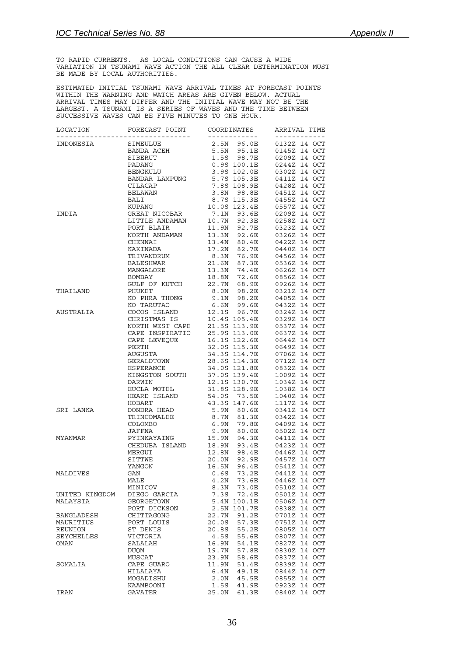TO RAPID CURRENTS. AS LOCAL CONDITIONS CAN CAUSE A WIDE VARIATION IN TSUNAMI WAVE ACTION THE ALL CLEAR DETERMINATION MUST BE MADE BY LOCAL AUTHORITIES.

ESTIMATED INITIAL TSUNAMI WAVE ARRIVAL TIMES AT FORECAST POINTS WITHIN THE WARNING AND WATCH AREAS ARE GIVEN BELOW. ACTUAL ARRIVAL TIMES MAY DIFFER AND THE INITIAL WAVE MAY NOT BE THE LARGEST. A TSUNAMI IS A SERIES OF WAVES AND THE TIME BETWEEN SUCCESSIVE WAVES CAN BE FIVE MINUTES TO ONE HOUR.

|                | $\begin{tabular}{l ll } \hline \texttt{LUCAMI} & \texttt{FORERICAL} & \texttt{COMENER} & \texttt{RRENVAID} & \texttt{RREVALI} & \texttt{MCEI} & \texttt{MCEI} & \texttt{MCEI} & \texttt{MCEI} \\ \hline \texttt{LTOMBERI} & \texttt{SINBOMI} & \texttt{S.581 98.68} & \texttt{01125 14 CCT} \\ \hline \texttt{BINBIMI} & \texttt{BINBIMI} & \texttt{0.58 100.18} & \texttt{0.58 1012 14 CCT}$ |                |              |
|----------------|-----------------------------------------------------------------------------------------------------------------------------------------------------------------------------------------------------------------------------------------------------------------------------------------------------------------------------------------------------------------------------------------------|----------------|--------------|
|                |                                                                                                                                                                                                                                                                                                                                                                                               |                |              |
|                |                                                                                                                                                                                                                                                                                                                                                                                               |                |              |
|                |                                                                                                                                                                                                                                                                                                                                                                                               |                |              |
|                |                                                                                                                                                                                                                                                                                                                                                                                               |                |              |
|                |                                                                                                                                                                                                                                                                                                                                                                                               |                |              |
|                |                                                                                                                                                                                                                                                                                                                                                                                               |                |              |
|                |                                                                                                                                                                                                                                                                                                                                                                                               |                |              |
|                |                                                                                                                                                                                                                                                                                                                                                                                               |                |              |
|                |                                                                                                                                                                                                                                                                                                                                                                                               |                |              |
|                |                                                                                                                                                                                                                                                                                                                                                                                               |                |              |
|                |                                                                                                                                                                                                                                                                                                                                                                                               |                |              |
|                |                                                                                                                                                                                                                                                                                                                                                                                               |                |              |
|                |                                                                                                                                                                                                                                                                                                                                                                                               |                |              |
|                |                                                                                                                                                                                                                                                                                                                                                                                               |                |              |
|                |                                                                                                                                                                                                                                                                                                                                                                                               |                |              |
|                |                                                                                                                                                                                                                                                                                                                                                                                               |                |              |
|                |                                                                                                                                                                                                                                                                                                                                                                                               |                |              |
|                |                                                                                                                                                                                                                                                                                                                                                                                               |                |              |
|                |                                                                                                                                                                                                                                                                                                                                                                                               |                |              |
|                |                                                                                                                                                                                                                                                                                                                                                                                               |                |              |
|                |                                                                                                                                                                                                                                                                                                                                                                                               |                |              |
|                |                                                                                                                                                                                                                                                                                                                                                                                               |                |              |
|                |                                                                                                                                                                                                                                                                                                                                                                                               |                |              |
|                |                                                                                                                                                                                                                                                                                                                                                                                               |                |              |
|                |                                                                                                                                                                                                                                                                                                                                                                                               |                |              |
|                |                                                                                                                                                                                                                                                                                                                                                                                               |                |              |
|                |                                                                                                                                                                                                                                                                                                                                                                                               |                |              |
|                |                                                                                                                                                                                                                                                                                                                                                                                               |                |              |
|                |                                                                                                                                                                                                                                                                                                                                                                                               |                |              |
|                |                                                                                                                                                                                                                                                                                                                                                                                               |                |              |
|                |                                                                                                                                                                                                                                                                                                                                                                                               |                |              |
|                |                                                                                                                                                                                                                                                                                                                                                                                               |                |              |
|                |                                                                                                                                                                                                                                                                                                                                                                                               |                |              |
|                |                                                                                                                                                                                                                                                                                                                                                                                               |                |              |
|                |                                                                                                                                                                                                                                                                                                                                                                                               |                |              |
|                |                                                                                                                                                                                                                                                                                                                                                                                               |                |              |
|                |                                                                                                                                                                                                                                                                                                                                                                                               |                |              |
|                |                                                                                                                                                                                                                                                                                                                                                                                               |                |              |
|                |                                                                                                                                                                                                                                                                                                                                                                                               |                |              |
|                |                                                                                                                                                                                                                                                                                                                                                                                               |                |              |
|                |                                                                                                                                                                                                                                                                                                                                                                                               |                |              |
|                |                                                                                                                                                                                                                                                                                                                                                                                               |                |              |
|                |                                                                                                                                                                                                                                                                                                                                                                                               |                |              |
|                |                                                                                                                                                                                                                                                                                                                                                                                               |                |              |
|                |                                                                                                                                                                                                                                                                                                                                                                                               |                |              |
|                |                                                                                                                                                                                                                                                                                                                                                                                               |                |              |
|                |                                                                                                                                                                                                                                                                                                                                                                                               |                |              |
|                |                                                                                                                                                                                                                                                                                                                                                                                               |                |              |
|                | MALE                                                                                                                                                                                                                                                                                                                                                                                          | 73.6E<br>4.2N  | 0446Z 14 OCT |
|                | MINICOV                                                                                                                                                                                                                                                                                                                                                                                       | 8.3N<br>73.0E  | 0510Z 14 OCT |
| UNITED KINGDOM | DIEGO GARCIA                                                                                                                                                                                                                                                                                                                                                                                  | 7.3S<br>72.4E  | 0501Z 14 OCT |
| MALAYSIA       | GEORGETOWN                                                                                                                                                                                                                                                                                                                                                                                    | 5.4N 100.1E    | 0506Z 14 OCT |
|                | PORT DICKSON                                                                                                                                                                                                                                                                                                                                                                                  | 2.5N 101.7E    | 0838Z 14 OCT |
| BANGLADESH     | CHITTAGONG                                                                                                                                                                                                                                                                                                                                                                                    | 22.7N<br>91.2E | 0701Z 14 OCT |
| MAURITIUS      | PORT LOUIS                                                                                                                                                                                                                                                                                                                                                                                    | 57.3E<br>20.0S | 0751Z 14 OCT |
| REUNION        | ST DENIS                                                                                                                                                                                                                                                                                                                                                                                      | 20.8S<br>55.2E | 0805Z 14 OCT |
| SEYCHELLES     | VICTORIA                                                                                                                                                                                                                                                                                                                                                                                      | 4.5S<br>55.6E  | 0807Z 14 OCT |
| OMAN           | SALALAH                                                                                                                                                                                                                                                                                                                                                                                       | 16.9N<br>54.1E | 0827Z 14 OCT |
|                | <b>DUOM</b>                                                                                                                                                                                                                                                                                                                                                                                   | 19.7N<br>57.8E | 0830Z 14 OCT |
|                | MUSCAT                                                                                                                                                                                                                                                                                                                                                                                        | 23.9N<br>58.6E | 0837Z 14 OCT |
| SOMALIA        | CAPE GUARO                                                                                                                                                                                                                                                                                                                                                                                    | 11.9N<br>51.4E | 0839Z 14 OCT |
|                | HILALAYA                                                                                                                                                                                                                                                                                                                                                                                      | 6.4N<br>49.1E  | 0844Z 14 OCT |
|                | MOGADISHU                                                                                                                                                                                                                                                                                                                                                                                     | 45.5E<br>2.0N  | 0855Z 14 OCT |
|                | KAAMBOONI                                                                                                                                                                                                                                                                                                                                                                                     | 1.5S<br>41.9E  | 0923Z 14 OCT |
| IRAN           | GAVATER                                                                                                                                                                                                                                                                                                                                                                                       | 25.ON<br>61.3E | 0840Z 14 OCT |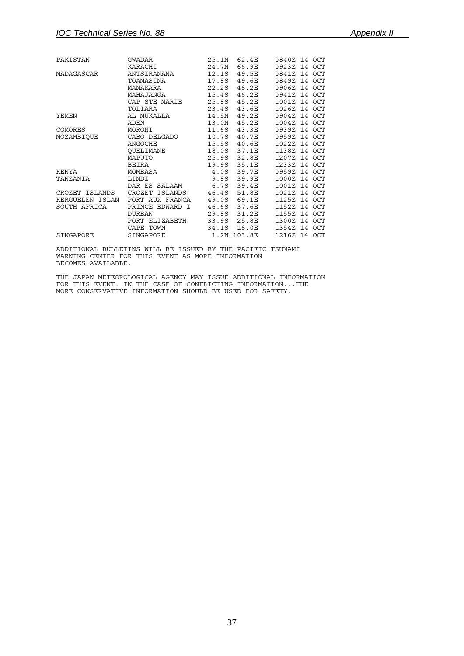| PAKISTAN        | GWADAR          | 25.1N | 62.4E       | 0840Z 14 OCT |  |
|-----------------|-----------------|-------|-------------|--------------|--|
|                 | KARACHI         | 24.7N | 66.9E       | 0923Z 14 OCT |  |
| MADAGASCAR      | ANTSIRANANA     | 12.1S | 49.5E       | 0841Z 14 OCT |  |
|                 | TOAMASINA       | 17.8S | 49.6E       | 0849Z 14 OCT |  |
|                 | MANAKARA        | 22.2S | 48.2E       | 0906Z 14 OCT |  |
|                 | MAHAJANGA       | 15.4S | 46.2E       | 0941Z 14 OCT |  |
|                 | CAP STE MARIE   | 25.8S | 45.2E       | 1001Z 14 OCT |  |
|                 | TOLIARA         | 23.4S | 43.6E       | 1026Z 14 OCT |  |
| YEMEN           | AL MUKALLA      | 14.5N | 49.2E       | 0904Z 14 OCT |  |
|                 | ADEN            | 13.ON | 45.2E       | 1004Z 14 OCT |  |
| COMORES         | MORONI          | 11.6S | 43.3E       | 0939Z 14 OCT |  |
| MOZAMBIOUE      | CABO DELGADO    | 10.7S | 40.7E       | 0959Z 14 OCT |  |
|                 | ANGOCHE         | 15.5S | 40.6E       | 1022Z 14 OCT |  |
|                 | OUELIMANE       |       | 18.0S 37.1E | 1138Z 14 OCT |  |
|                 | MAPUTO          | 25.9S | 32.8E       | 1207Z 14 OCT |  |
|                 | BEIRA           |       | 19.9S 35.1E | 1233Z 14 OCT |  |
| KENYA           | MOMBASA         | 4.0S  | 39.7E       | 0959Z 14 OCT |  |
| TANZANIA        | LINDI           | 9.8S  | 39.9E       | 1000Z 14 OCT |  |
|                 | DAR ES SALAAM   | 6.7S  | 39.4E       | 1001Z 14 OCT |  |
| CROZET ISLANDS  | CROZET ISLANDS  | 46.4S | 51.8E       | 1021Z 14 OCT |  |
| KERGUELEN ISLAN | PORT AUX FRANCA | 49.OS | 69.1E       | 1125Z 14 OCT |  |
| SOUTH AFRICA    | PRINCE EDWARD I | 46.6S | 37.6E       | 1152Z 14 OCT |  |
|                 | <b>DURBAN</b>   |       | 29.8S 31.2E | 1155Z 14 OCT |  |
|                 | PORT ELIZABETH  | 33.9S | 25.8E       | 1300Z 14 OCT |  |
|                 | CAPE TOWN       |       | 34.1S 18.0E | 1354Z 14 OCT |  |
| SINGAPORE       | SINGAPORE       |       | 1.2N 103.8E | 1216Z 14 OCT |  |

ADDITIONAL BULLETINS WILL BE ISSUED BY THE PACIFIC TSUNAMI WARNING CENTER FOR THIS EVENT AS MORE INFORMATION BECOMES AVAILABLE.

THE JAPAN METEOROLOGICAL AGENCY MAY ISSUE ADDITIONAL INFORMATION FOR THIS EVENT. IN THE CASE OF CONFLICTING INFORMATION...THE MORE CONSERVATIVE INFORMATION SHOULD BE USED FOR SAFETY.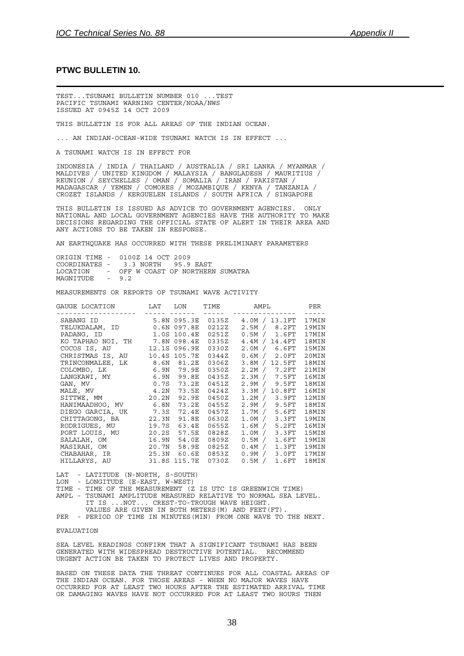#### **PTWC BULLETIN 10.**

TEST...TSUNAMI BULLETIN NUMBER 010 ...TEST PACIFIC TSUNAMI WARNING CENTER/NOAA/NWS ISSUED AT 0945Z 14 OCT 2009

THIS BULLETIN IS FOR ALL AREAS OF THE INDIAN OCEAN.

... AN INDIAN-OCEAN-WIDE TSUNAMI WATCH IS IN EFFECT ...

A TSUNAMI WATCH IS IN EFFECT FOR

INDONESIA / INDIA / THAILAND / AUSTRALIA / SRI LANKA / MYANMAR / MALDIVES / UNITED KINGDOM / MALAYSIA / BANGLADESH / MAURITIUS / REUNION / SEYCHELLES / OMAN / SOMALIA / IRAN / PAKISTAN / MADAGASCAR / YEMEN / COMORES / MOZAMBIQUE / KENYA / TANZANIA / CROZET ISLANDS / KERGUELEN ISLANDS / SOUTH AFRICA / SINGAPORE

THIS BULLETIN IS ISSUED AS ADVICE TO GOVERNMENT AGENCIES. ONLY NATIONAL AND LOCAL GOVERNMENT AGENCIES HAVE THE AUTHORITY TO MAKE DECISIONS REGARDING THE OFFICIAL STATE OF ALERT IN THEIR AREA AND ANY ACTIONS TO BE TAKEN IN RESPONSE.

AN EARTHQUAKE HAS OCCURRED WITH THESE PRELIMINARY PARAMETERS

|                 | ORIGIN TIME - 0100Z 14 OCT 2009            |
|-----------------|--------------------------------------------|
|                 | COORDINATES - 3.3 NORTH 95.9 EAST          |
|                 | LOCATION - OFF W COAST OF NORTHERN SUMATRA |
| MAGNITUDE - 9.2 |                                            |

MEASUREMENTS OR REPORTS OF TSUNAMI WAVE ACTIVITY

| GAUGE LOCATION LAT LON                                                                                                                                                                                                                                                                                                                                                                                         |                                                          |                                                                                                                                                         | TIME                                                                                                                                                                                         | AMPL PER                                                                                                                                                                                                                                                                                                                                         |                                                                                                                                                                                  |
|----------------------------------------------------------------------------------------------------------------------------------------------------------------------------------------------------------------------------------------------------------------------------------------------------------------------------------------------------------------------------------------------------------------|----------------------------------------------------------|---------------------------------------------------------------------------------------------------------------------------------------------------------|----------------------------------------------------------------------------------------------------------------------------------------------------------------------------------------------|--------------------------------------------------------------------------------------------------------------------------------------------------------------------------------------------------------------------------------------------------------------------------------------------------------------------------------------------------|----------------------------------------------------------------------------------------------------------------------------------------------------------------------------------|
| SABANG ID<br>TELUKDALAM, ID 0.6N 097.8E<br>PADANG, ID<br>KO TAPHAO NOI, TH 7.8N 098.4E<br>COCOS IS, AU<br>CHRISTMAS IS, AU<br>TRINCONMALEE, LK 8.6N 81.2E<br>COLOMBO, LK 6.9N 79.9E<br>LANGKAWI, MY 6.9N<br>GAN, MV 0.7S<br>MALE, MV<br>SITTWE, MM<br>HANIMAADHOO, MV<br>DIEGO GARCIA, UK<br>CHITTAGONG, BA 22.3N<br>RODRIGUES, MU<br>PORT LOUIS, MU 20.2S<br>SALALAH, OM<br>MASIRAH, OM<br>CHABAHAR, IR 25.3N | 4.2N<br>20.2N<br>6.8N<br>7.3S<br>19.7S<br>16.9N<br>20.7N | 1.0S 100.4E<br>12.1S 096.9E<br>10.4S 105.7E<br>99.8E<br>73.2E<br>73.5E<br>92.9E<br>73.2E<br>72.4E<br>91.8E<br>63.4E<br>57.5E<br>54.0E<br>58.9E<br>60.6E | 5.8N 095.3E 0135Z<br>0212Z<br>0251Z<br>0335Z<br>0330Z<br>0344Z<br>0306Z<br>0350Z<br>0435Z<br>0451Z<br>0424Z<br>0450Z<br>0455Z<br>0457Z<br>0630Z<br>0655Z<br>0828Z<br>0809Z<br>0825Z<br>0853Z | 4.0M / 13.1FT<br>2.5M / 8.2FT<br>0.5M / 1.6FT<br>4.4M / 14.4FT<br>2.0M / 6.6FT<br>0.6M / 2.0FT<br>3.8M / 12.5FT<br>2.2M / 7.2FT<br>2.3M / 7.5FT<br>2.9M / 9.5FT<br>3.3M / 10.8FT<br>1.2M / 3.9FT<br>9.5FT<br>2.9M/<br>1.7M / 5.6FT<br>1.0M/<br>3.3FT<br>1.6M /<br>5.2FT<br>1.0M/<br>3.3FT<br>0.5M/<br>1.6FT<br>0.4M /<br>1.3FT<br>0.9M/<br>3.0FT | 17MIN<br>19MIN<br>17MIN<br>18MIN<br>15MIN<br>20MIN<br>18MIN<br>21MIN<br>16MIN<br>18MIN<br>16MIN<br>12MIN<br>18MIN<br>18MIN<br>19MIN<br>16MIN<br>15MIN<br>19MIN<br>19MIN<br>17MIN |
| HILLARYS, AU                                                                                                                                                                                                                                                                                                                                                                                                   |                                                          | 31.8S 115.7E                                                                                                                                            | 0730Z                                                                                                                                                                                        | 0.5M/<br>1.6FT                                                                                                                                                                                                                                                                                                                                   | 18MIN                                                                                                                                                                            |

LAT - LATITUDE (N-NORTH, S-SOUTH)<br>LON - LONGITUDE (E-EAST, W-WEST)

- LONGITUDE (E-EAST, W-WEST)

TIME - TIME OF THE MEASUREMENT (Z IS UTC IS GREENWICH TIME)

AMPL - TSUNAMI AMPLITUDE MEASURED RELATIVE TO NORMAL SEA LEVEL. IT IS ... NOT... CREST-TO-TROUGH WAVE HEIGHT

VALUES ARE GIVEN IN BOTH METERS(M) AND FEET(FT).

PER - PERIOD OF TIME IN MINUTES(MIN) FROM ONE WAVE TO THE NEXT.

EVALUATION

SEA LEVEL READINGS CONFIRM THAT A SIGNIFICANT TSUNAMI HAS BEEN GENERATED WITH WIDESPREAD DESTRUCTIVE POTENTIAL. RECOMMEND URGENT ACTION BE TAKEN TO PROTECT LIVES AND PROPERTY.

BASED ON THESE DATA THE THREAT CONTINUES FOR ALL COASTAL AREAS OF THE INDIAN OCEAN. FOR THOSE AREAS - WHEN NO MAJOR WAVES HAVE OCCURRED FOR AT LEAST TWO HOURS AFTER THE ESTIMATED ARRIVAL TIME OR DAMAGING WAVES HAVE NOT OCCURRED FOR AT LEAST TWO HOURS THEN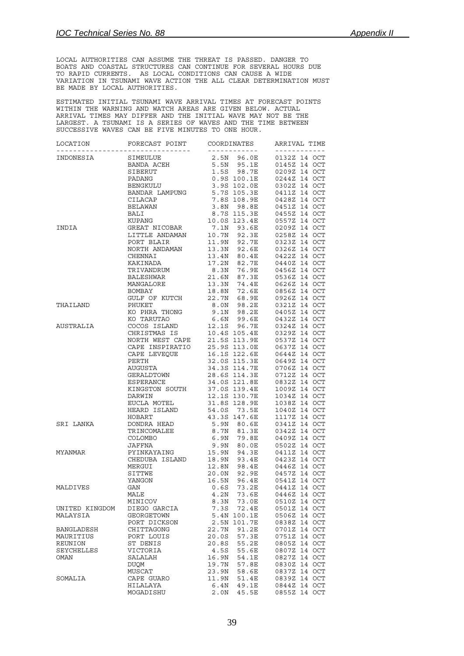LOCAL AUTHORITIES CAN ASSUME THE THREAT IS PASSED. DANGER TO BOATS AND COASTAL STRUCTURES CAN CONTINUE FOR SEVERAL HOURS DUE TO RAPID CURRENTS. AS LOCAL CONDITIONS CAN CAUSE A WIDE VARIATION IN TSUNAMI WAVE ACTION THE ALL CLEAR DETERMINATION MUST BE MADE BY LOCAL AUTHORITIES.

ESTIMATED INITIAL TSUNAMI WAVE ARRIVAL TIMES AT FORECAST POINTS WITHIN THE WARNING AND WATCH AREAS ARE GIVEN BELOW. ACTUAL ARRIVAL TIMES MAY DIFFER AND THE INITIAL WAVE MAY NOT BE THE LARGEST. A TSUNAMI IS A SERIES OF WAVES AND THE TIME BETWEEN SUCCESSIVE WAVES CAN BE FIVE MINUTES TO ONE HOUR.

|                | $\begin{tabular}{l ll } \hline \textbf{LUCMEDAM} & \textbf{FONRICM} & \textbf{SRSVAM} & \textbf{RISM} & \textbf{RISM} & \textbf{RISM} & \textbf{RISM} & \textbf{RISM} & \textbf{RISM} & \textbf{RISM} & \textbf{RISM} & \textbf{RISM} & \textbf{RISM} & \textbf{RISM} & \textbf{RISM} & \textbf{RISM} & \textbf{RISM} & \textbf{RISM} & \textbf{RISM} & \textbf{RISM} & \textbf{RISM} & \textbf{RISM} & \textbf$ |                |              |
|----------------|------------------------------------------------------------------------------------------------------------------------------------------------------------------------------------------------------------------------------------------------------------------------------------------------------------------------------------------------------------------------------------------------------------------|----------------|--------------|
|                |                                                                                                                                                                                                                                                                                                                                                                                                                  |                |              |
|                |                                                                                                                                                                                                                                                                                                                                                                                                                  |                |              |
|                |                                                                                                                                                                                                                                                                                                                                                                                                                  |                |              |
|                |                                                                                                                                                                                                                                                                                                                                                                                                                  |                |              |
|                |                                                                                                                                                                                                                                                                                                                                                                                                                  |                |              |
|                |                                                                                                                                                                                                                                                                                                                                                                                                                  |                |              |
|                |                                                                                                                                                                                                                                                                                                                                                                                                                  |                |              |
|                |                                                                                                                                                                                                                                                                                                                                                                                                                  |                |              |
|                |                                                                                                                                                                                                                                                                                                                                                                                                                  |                |              |
|                |                                                                                                                                                                                                                                                                                                                                                                                                                  |                |              |
|                |                                                                                                                                                                                                                                                                                                                                                                                                                  |                |              |
|                |                                                                                                                                                                                                                                                                                                                                                                                                                  |                |              |
|                |                                                                                                                                                                                                                                                                                                                                                                                                                  |                |              |
|                |                                                                                                                                                                                                                                                                                                                                                                                                                  |                |              |
|                |                                                                                                                                                                                                                                                                                                                                                                                                                  |                |              |
|                |                                                                                                                                                                                                                                                                                                                                                                                                                  |                |              |
|                |                                                                                                                                                                                                                                                                                                                                                                                                                  |                |              |
|                |                                                                                                                                                                                                                                                                                                                                                                                                                  |                |              |
|                |                                                                                                                                                                                                                                                                                                                                                                                                                  |                |              |
|                |                                                                                                                                                                                                                                                                                                                                                                                                                  |                |              |
|                |                                                                                                                                                                                                                                                                                                                                                                                                                  |                |              |
|                |                                                                                                                                                                                                                                                                                                                                                                                                                  |                |              |
|                |                                                                                                                                                                                                                                                                                                                                                                                                                  |                |              |
|                |                                                                                                                                                                                                                                                                                                                                                                                                                  |                |              |
|                |                                                                                                                                                                                                                                                                                                                                                                                                                  |                |              |
|                |                                                                                                                                                                                                                                                                                                                                                                                                                  |                |              |
|                |                                                                                                                                                                                                                                                                                                                                                                                                                  |                |              |
|                |                                                                                                                                                                                                                                                                                                                                                                                                                  |                |              |
|                |                                                                                                                                                                                                                                                                                                                                                                                                                  |                |              |
|                |                                                                                                                                                                                                                                                                                                                                                                                                                  |                |              |
|                |                                                                                                                                                                                                                                                                                                                                                                                                                  |                |              |
|                |                                                                                                                                                                                                                                                                                                                                                                                                                  |                |              |
|                |                                                                                                                                                                                                                                                                                                                                                                                                                  |                |              |
|                |                                                                                                                                                                                                                                                                                                                                                                                                                  |                |              |
|                |                                                                                                                                                                                                                                                                                                                                                                                                                  |                |              |
|                |                                                                                                                                                                                                                                                                                                                                                                                                                  |                |              |
|                |                                                                                                                                                                                                                                                                                                                                                                                                                  |                |              |
|                |                                                                                                                                                                                                                                                                                                                                                                                                                  |                |              |
|                |                                                                                                                                                                                                                                                                                                                                                                                                                  |                |              |
|                |                                                                                                                                                                                                                                                                                                                                                                                                                  |                |              |
|                |                                                                                                                                                                                                                                                                                                                                                                                                                  |                |              |
|                |                                                                                                                                                                                                                                                                                                                                                                                                                  |                |              |
|                |                                                                                                                                                                                                                                                                                                                                                                                                                  |                |              |
|                |                                                                                                                                                                                                                                                                                                                                                                                                                  |                |              |
|                |                                                                                                                                                                                                                                                                                                                                                                                                                  |                |              |
|                |                                                                                                                                                                                                                                                                                                                                                                                                                  |                |              |
|                |                                                                                                                                                                                                                                                                                                                                                                                                                  |                |              |
|                |                                                                                                                                                                                                                                                                                                                                                                                                                  |                |              |
|                |                                                                                                                                                                                                                                                                                                                                                                                                                  |                |              |
|                |                                                                                                                                                                                                                                                                                                                                                                                                                  |                |              |
|                |                                                                                                                                                                                                                                                                                                                                                                                                                  |                |              |
|                | MALE                                                                                                                                                                                                                                                                                                                                                                                                             | 73.6E<br>4.2N  | 0446Z 14 OCT |
|                | MINICOV                                                                                                                                                                                                                                                                                                                                                                                                          | 8.3N<br>73.0E  | 0510Z 14 OCT |
| UNITED KINGDOM | DIEGO GARCIA                                                                                                                                                                                                                                                                                                                                                                                                     | 7.3S<br>72.4E  | 0501Z 14 OCT |
| MALAYSIA       | GEORGETOWN                                                                                                                                                                                                                                                                                                                                                                                                       | 5.4N 100.1E    | 0506Z 14 OCT |
|                |                                                                                                                                                                                                                                                                                                                                                                                                                  |                |              |
|                | PORT DICKSON                                                                                                                                                                                                                                                                                                                                                                                                     | 2.5N 101.7E    | 0838Z 14 OCT |
| BANGLADESH     | CHITTAGONG                                                                                                                                                                                                                                                                                                                                                                                                       | 22.7N<br>91.2E | 0701Z 14 OCT |
| MAURITIUS      | PORT LOUIS                                                                                                                                                                                                                                                                                                                                                                                                       | 57.3E<br>20.0S | 0751Z 14 OCT |
| REUNION        | ST DENIS                                                                                                                                                                                                                                                                                                                                                                                                         | 20.8S<br>55.2E | 0805Z 14 OCT |
| SEYCHELLES     | VICTORIA                                                                                                                                                                                                                                                                                                                                                                                                         | 4.5S<br>55.6E  | 0807Z 14 OCT |
| OMAN           | SALALAH                                                                                                                                                                                                                                                                                                                                                                                                          | 16.9N<br>54.1E | 0827Z 14 OCT |
|                | DUQM                                                                                                                                                                                                                                                                                                                                                                                                             | 19.7N<br>57.8E | 0830Z 14 OCT |
|                | MUSCAT                                                                                                                                                                                                                                                                                                                                                                                                           | 23.9N<br>58.6E | 0837Z 14 OCT |
| SOMALIA        | CAPE GUARO                                                                                                                                                                                                                                                                                                                                                                                                       | 11.9N<br>51.4E | 0839Z 14 OCT |
|                | HILALAYA                                                                                                                                                                                                                                                                                                                                                                                                         | 6.4N<br>49.1E  | 0844Z 14 OCT |
|                | MOGADISHU                                                                                                                                                                                                                                                                                                                                                                                                        | 45.5E<br>2.0N  | 0855Z 14 OCT |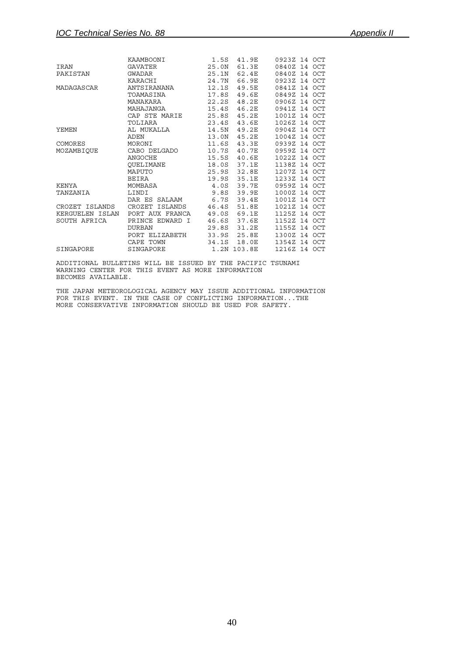|                 | KAAMBOONI       | 1.5S  | 41.9E       | 0923Z 14 OCT |    |        |
|-----------------|-----------------|-------|-------------|--------------|----|--------|
| IRAN            | <b>GAVATER</b>  | 25.0N | 61.3E       | 0840Z        |    | 14 OCT |
| PAKISTAN        | <b>GWADAR</b>   | 25.1N | 62.4E       | 0840Z        |    | 14 OCT |
|                 | KARACHI         | 24.7N | 66.9E       | 0923Z        | 14 | OCT    |
| MADAGASCAR      | ANTSIRANANA     | 12.1S | 49.5E       | 0841Z        |    | 14 OCT |
|                 | TOAMASINA       | 17.8S | 49.6E       | 0849Z        |    | 14 OCT |
|                 | MANAKARA        | 22.2S | 48.2E       | 0906Z        |    | 14 OCT |
|                 | MAHAJANGA       | 15.4S | 46.2E       | 0941Z        |    | 14 OCT |
|                 | CAP STE MARIE   | 25.8S | 45.2E       | 1001Z        |    | 14 OCT |
|                 | TOLIARA         | 23.4S | 43.6E       | 1026Z        |    | 14 OCT |
| YEMEN           | AL MUKALLA      | 14.5N | 49.2E       | 0904Z        |    | 14 OCT |
|                 | <b>ADEN</b>     | 13.0N | 45.2E       | 1004Z        |    | 14 OCT |
| COMORES         | MORONI          | 11.6S | 43.3E       | 0939Z        |    | 14 OCT |
| MOZAMBIOUE      | CABO DELGADO    | 10.7S | 40.7E       | 0959Z        |    | 14 OCT |
|                 | ANGOCHE         | 15.5S | 40.6E       | 1022Z        |    | 14 OCT |
|                 | OUELIMANE       | 18.0S | 37.1E       | 1138Z        |    | 14 OCT |
|                 | MAPUTO          | 25.9S | 32.8E       | 1207Z        | 14 | OCT    |
|                 | <b>BEIRA</b>    | 19.9S | 35.1E       | 1233Z        |    | 14 OCT |
| KENYA           | MOMBASA         | 4.0S  | 39.7E       | 0959Z        |    | 14 OCT |
| TANZANIA        | LINDI           | 9.8S  | 39.9E       | 1000Z        | 14 | OCT    |
|                 | DAR ES SALAAM   | 6.7S  | 39.4E       | 1001Z        | 14 | OCT    |
| CROZET ISLANDS  | CROZET ISLANDS  | 46.4S | 51.8E       | 1021Z        |    | 14 OCT |
| KERGUELEN ISLAN | PORT AUX FRANCA | 49.0S | 69.1E       | 1125Z        | 14 | OCT    |
| SOUTH AFRICA    | PRINCE EDWARD I | 46.6S | 37.6E       | 1152Z        | 14 | OCT    |
|                 | <b>DURBAN</b>   | 29.8S | 31.2E       | 1155Z        |    | 14 OCT |
|                 | PORT ELIZABETH  | 33.9S | 25.8E       | 1300Z        | 14 | OCT    |
|                 | CAPE TOWN       | 34.1S | 18.0E       | 1354Z        |    | 14 OCT |
| SINGAPORE       | SINGAPORE       |       | 1.2N 103.8E | 1216Z        | 14 | OCT    |

ADDITIONAL BULLETINS WILL BE ISSUED BY THE PACIFIC TSUNAMI WARNING CENTER FOR THIS EVENT AS MORE INFORMATION BECOMES AVAILABLE.

THE JAPAN METEOROLOGICAL AGENCY MAY ISSUE ADDITIONAL INFORMATION FOR THIS EVENT. IN THE CASE OF CONFLICTING INFORMATION...THE MORE CONSERVATIVE INFORMATION SHOULD BE USED FOR SAFETY.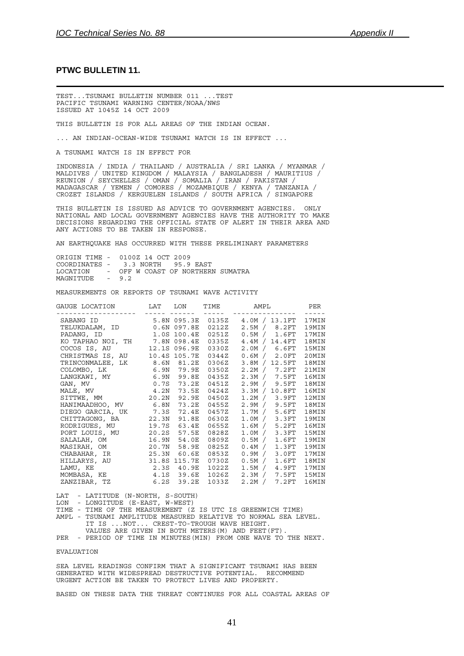#### **PTWC BULLETIN 11.**

#### TEST...TSUNAMI BULLETIN NUMBER 011 ...TEST PACIFIC TSUNAMI WARNING CENTER/NOAA/NWS ISSUED AT 1045Z 14 OCT 2009

THIS BULLETIN IS FOR ALL AREAS OF THE INDIAN OCEAN.

... AN INDIAN-OCEAN-WIDE TSUNAMI WATCH IS IN EFFECT ...

A TSUNAMI WATCH IS IN EFFECT FOR

INDONESIA / INDIA / THAILAND / AUSTRALIA / SRI LANKA / MYANMAR / MALDIVES / UNITED KINGDOM / MALAYSIA / BANGLADESH / MAURITIUS / REUNION / SEYCHELLES / OMAN / SOMALIA / IRAN / PAKISTAN / MADAGASCAR / YEMEN / COMORES / MOZAMBIQUE / KENYA / TANZANIA / CROZET ISLANDS / KERGUELEN ISLANDS / SOUTH AFRICA / SINGAPORE

THIS BULLETIN IS ISSUED AS ADVICE TO GOVERNMENT AGENCIES. ONLY NATIONAL AND LOCAL GOVERNMENT AGENCIES HAVE THE AUTHORITY TO MAKE DECISIONS REGARDING THE OFFICIAL STATE OF ALERT IN THEIR AREA AND ANY ACTIONS TO BE TAKEN IN RESPONSE.

AN EARTHQUAKE HAS OCCURRED WITH THESE PRELIMINARY PARAMETERS

|                 | ORIGIN TIME - 0100Z 14 OCT 2009            |
|-----------------|--------------------------------------------|
|                 | COORDINATES - 3.3 NORTH 95.9 EAST          |
|                 | LOCATION - OFF W COAST OF NORTHERN SUMATRA |
| MAGNITUDE - 9.2 |                                            |

MEASUREMENTS OR REPORTS OF TSUNAMI WAVE ACTIVITY

| GAUGE LOCATION LAT LON TIME AMPL              |              |       |       | <b>Example 12</b> PER | $\frac{1}{2}$ |
|-----------------------------------------------|--------------|-------|-------|-----------------------|---------------|
| SABANG ID 5.8N 095.3E 0135Z 4.0M / 13.1FT     |              |       |       |                       | 17MIN         |
| TELUKDALAM, ID 0.6N 097.8E 0212Z              |              |       |       | 2.5M / 8.2FT          | 19MIN         |
| PADANG, ID 1.0S 100.4E                        |              |       | 0251Z | 0.5M / 1.6FT          | 17MIN         |
| KO TAPHAO NOI, TH 7.8N 098.4E                 |              |       | 0335Z | 4.4M / 14.4FT         | 18MIN         |
| COCOS IS, AU 12.1S 096.9E                     |              |       | 0330Z | 2.0M / 6.6FT          | 15MIN         |
| CHRISTMAS IS, AU 10.4S 105.7E                 |              |       | 0344Z | 0.6M / 2.0FT          | 20MIN         |
| TRINCONMALEE, LK 8.6N 81.2E                   |              |       | 0306Z | 3.8M / 12.5FT         | 18MIN         |
| COLOMBO, LK 6.9N 79.9E                        |              |       | 0350Z | 2.2M / 7.2FT          | 21MIN         |
| LANGKAWI, MY 6.9N 99.8E<br>GAN, MV 0.7S 73.2E |              |       | 0435Z | 2.3M / 7.5FT          | 16MIN         |
|                                               |              |       | 0451Z | 2.9M / 9.5FT          | 18MIN         |
| MALE, MV 4.2N                                 |              | 73.5E | 0424Z | 3.3M / 10.8FT         | 16MIN         |
| SITTWE, MM 20.2N                              |              | 92.9E | 0450Z | 1.2M / 3.9FT          | 12MIN         |
| HANIMAADHOO, MV 6.8N                          |              | 73.2E | 0455Z | 2.9M / 9.5FT          | 18MIN         |
| DIEGO GARCIA, UK 7.3S                         |              | 72.4E | 0457Z | 1.7M / 5.6FT          | 18MIN         |
| CHITTAGONG, BA 22.3N                          |              | 91.8E | 0630Z | 1.0M / 3.3FT          | 19MIN         |
| RODRIGUES, MU 19.7S                           |              | 63.4E | 0655Z | 1.6M / 5.2FT          | 16MIN         |
| PORT LOUIS, MU 20.2S                          |              | 57.5E | 0828Z | 1.0M / 3.3FT          | 15MIN         |
| SALALAH, OM 16.9N                             |              | 54.OE | 0809Z | 0.5M / 1.6FT          | 19MIN         |
| MASIRAH, OM 20.7N 58.9E                       |              |       | 0825Z | 0.4M / 1.3FT          | 19MIN         |
| CHABAHAR, IR 25.3N                            |              | 60.6E | 0853Z | 0.9M/<br>3.0FT        | 17MIN         |
| HILLARYS, AU 31.8S 115.7E                     |              |       | 0730Z | 0.5M / 1.6FT          | 18MIN         |
| LAMU, KE 2.3S 40.9E                           |              |       | 1022Z | 1.5M / 4.9FT          | 17MIN         |
| MOMBASA, KE 4.1S 39.6E                        |              |       | 1026Z | 2.3M / 7.5FT          | 15MIN         |
| ZANZIBAR, TZ                                  | $6.2S$ 39.2E |       | 1033Z | 2.2M / 7.2FT          | 16MIN         |

LAT - LATITUDE (N-NORTH, S-SOUTH)

LON - LONGITUDE (E-EAST, W-WEST)

TIME - TIME OF THE MEASUREMENT (Z IS UTC IS GREENWICH TIME)

AMPL - TSUNAMI AMPLITUDE MEASURED RELATIVE TO NORMAL SEA LEVEL. IT IS ...NOT... CREST-TO-TROUGH WAVE HEIGHT. VALUES ARE GIVEN IN BOTH METERS(M) AND FEET(FT).

PER - PERIOD OF TIME IN MINUTES(MIN) FROM ONE WAVE TO THE NEXT.

#### **EVALUATION**

SEA LEVEL READINGS CONFIRM THAT A SIGNIFICANT TSUNAMI HAS BEEN GENERATED WITH WIDESPREAD DESTRUCTIVE POTENTIAL. RECOMMEND URGENT ACTION BE TAKEN TO PROTECT LIVES AND PROPERTY.

BASED ON THESE DATA THE THREAT CONTINUES FOR ALL COASTAL AREAS OF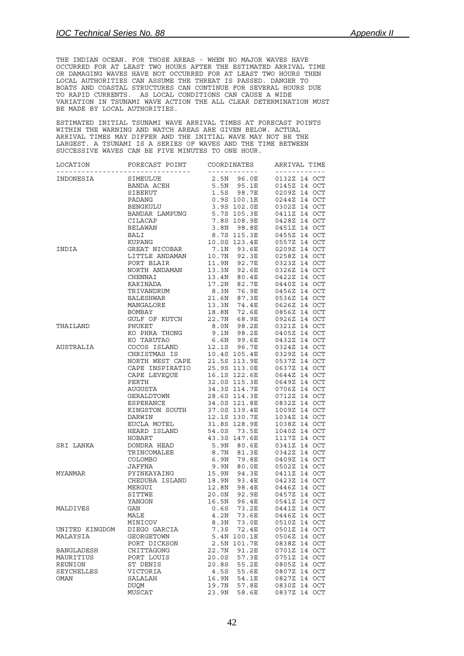THE INDIAN OCEAN. FOR THOSE AREAS - WHEN NO MAJOR WAVES HAVE OCCURRED FOR AT LEAST TWO HOURS AFTER THE ESTIMATED ARRIVAL TIME OR DAMAGING WAVES HAVE NOT OCCURRED FOR AT LEAST TWO HOURS THEN LOCAL AUTHORITIES CAN ASSUME THE THREAT IS PASSED. DANGER TO BOATS AND COASTAL STRUCTURES CAN CONTINUE FOR SEVERAL HOURS DUE TO RAPID CURRENTS. AS LOCAL CONDITIONS CAN CAUSE A WIDE VARIATION IN TSUNAMI WAVE ACTION THE ALL CLEAR DETERMINATION MUST BE MADE BY LOCAL AUTHORITIES.

ESTIMATED INITIAL TSUNAMI WAVE ARRIVAL TIMES AT FORECAST POINTS WITHIN THE WARNING AND WATCH AREAS ARE GIVEN BELOW. ACTUAL ARRIVAL TIMES MAY DIFFER AND THE INITIAL WAVE MAY NOT BE THE LARGEST. A TSUNAMI IS A SERIES OF WAVES AND THE TIME BETWEEN SUCCESSIVE WAVES CAN BE FIVE MINUTES TO ONE HOUR.

| $\begin{tabular}{l ll } \hline \texttt{LUCMITOM} & \texttt{FORICMISTR} & \texttt{XREVIM} & \texttt{XREVIM} & \texttt{XREVIM} & \texttt{XREVIM} & \texttt{XREVIM} & \texttt{XREVIM} & \texttt{XREVIM} \\ \hline \texttt{INCOMBISTR} & \texttt{SIMBIM} & \texttt{S.581 98.08} & \texttt{0.122 14 OCT} \\ \hline \texttt{RINMAR} & \texttt{RINMDR} & \texttt{S.58 90.18} & \texttt{0.122 14 OCT} \\ \$ |              |                |                 |
|-----------------------------------------------------------------------------------------------------------------------------------------------------------------------------------------------------------------------------------------------------------------------------------------------------------------------------------------------------------------------------------------------------|--------------|----------------|-----------------|
|                                                                                                                                                                                                                                                                                                                                                                                                     |              |                |                 |
|                                                                                                                                                                                                                                                                                                                                                                                                     |              |                |                 |
|                                                                                                                                                                                                                                                                                                                                                                                                     |              |                |                 |
|                                                                                                                                                                                                                                                                                                                                                                                                     |              |                |                 |
|                                                                                                                                                                                                                                                                                                                                                                                                     |              |                |                 |
|                                                                                                                                                                                                                                                                                                                                                                                                     |              |                |                 |
|                                                                                                                                                                                                                                                                                                                                                                                                     |              |                |                 |
|                                                                                                                                                                                                                                                                                                                                                                                                     |              |                |                 |
|                                                                                                                                                                                                                                                                                                                                                                                                     |              |                |                 |
|                                                                                                                                                                                                                                                                                                                                                                                                     |              |                |                 |
|                                                                                                                                                                                                                                                                                                                                                                                                     |              |                |                 |
|                                                                                                                                                                                                                                                                                                                                                                                                     |              |                |                 |
|                                                                                                                                                                                                                                                                                                                                                                                                     |              |                |                 |
|                                                                                                                                                                                                                                                                                                                                                                                                     |              |                |                 |
|                                                                                                                                                                                                                                                                                                                                                                                                     |              |                |                 |
|                                                                                                                                                                                                                                                                                                                                                                                                     |              |                |                 |
|                                                                                                                                                                                                                                                                                                                                                                                                     |              |                |                 |
|                                                                                                                                                                                                                                                                                                                                                                                                     |              |                |                 |
|                                                                                                                                                                                                                                                                                                                                                                                                     |              |                |                 |
|                                                                                                                                                                                                                                                                                                                                                                                                     |              |                |                 |
|                                                                                                                                                                                                                                                                                                                                                                                                     |              |                |                 |
|                                                                                                                                                                                                                                                                                                                                                                                                     |              |                |                 |
|                                                                                                                                                                                                                                                                                                                                                                                                     |              |                |                 |
|                                                                                                                                                                                                                                                                                                                                                                                                     |              |                |                 |
|                                                                                                                                                                                                                                                                                                                                                                                                     |              |                |                 |
|                                                                                                                                                                                                                                                                                                                                                                                                     |              |                |                 |
|                                                                                                                                                                                                                                                                                                                                                                                                     |              |                |                 |
|                                                                                                                                                                                                                                                                                                                                                                                                     |              |                |                 |
|                                                                                                                                                                                                                                                                                                                                                                                                     |              |                |                 |
|                                                                                                                                                                                                                                                                                                                                                                                                     |              |                |                 |
|                                                                                                                                                                                                                                                                                                                                                                                                     |              |                |                 |
|                                                                                                                                                                                                                                                                                                                                                                                                     |              |                |                 |
|                                                                                                                                                                                                                                                                                                                                                                                                     |              |                |                 |
|                                                                                                                                                                                                                                                                                                                                                                                                     |              |                |                 |
|                                                                                                                                                                                                                                                                                                                                                                                                     |              |                |                 |
|                                                                                                                                                                                                                                                                                                                                                                                                     |              |                |                 |
|                                                                                                                                                                                                                                                                                                                                                                                                     |              |                |                 |
|                                                                                                                                                                                                                                                                                                                                                                                                     |              |                |                 |
|                                                                                                                                                                                                                                                                                                                                                                                                     |              |                |                 |
|                                                                                                                                                                                                                                                                                                                                                                                                     |              |                |                 |
|                                                                                                                                                                                                                                                                                                                                                                                                     |              |                |                 |
|                                                                                                                                                                                                                                                                                                                                                                                                     |              |                |                 |
|                                                                                                                                                                                                                                                                                                                                                                                                     | MALE         | 73.6E<br>4.2N  | 0446Z 14 OCT    |
|                                                                                                                                                                                                                                                                                                                                                                                                     | MINICOV      | 8.3N<br>73.0E  | 0510Z 14 OCT    |
| UNITED KINGDOM                                                                                                                                                                                                                                                                                                                                                                                      | DIEGO GARCIA | 7.3S<br>72.4E  | 0501Z<br>14 OCT |
| MALAYSIA                                                                                                                                                                                                                                                                                                                                                                                            | GEORGETOWN   | 5.4N 100.1E    | 0506Z<br>14 OCT |
|                                                                                                                                                                                                                                                                                                                                                                                                     | PORT DICKSON | 2.5N 101.7E    | 0838Z 14 OCT    |
| BANGLADESH                                                                                                                                                                                                                                                                                                                                                                                          | CHITTAGONG   | 22.7N<br>91.2E | 0701Z 14 OCT    |
| MAURITIUS                                                                                                                                                                                                                                                                                                                                                                                           | PORT LOUIS   | 20.0S<br>57.3E | 0751Z 14 OCT    |
| REUNION                                                                                                                                                                                                                                                                                                                                                                                             | ST DENIS     | 20.85<br>55.2E | 0805Z 14 OCT    |
| SEYCHELLES                                                                                                                                                                                                                                                                                                                                                                                          | VICTORIA     | 4.5S<br>55.6E  | 0807Z 14 OCT    |
| OMAN                                                                                                                                                                                                                                                                                                                                                                                                | SALALAH      | 16.9N<br>54.1E | 0827Z 14 OCT    |
|                                                                                                                                                                                                                                                                                                                                                                                                     | DUQM         | 19.7N<br>57.8E | 0830Z 14 OCT    |
|                                                                                                                                                                                                                                                                                                                                                                                                     | MUSCAT       | 23.9N<br>58.6E | 0837Z 14 OCT    |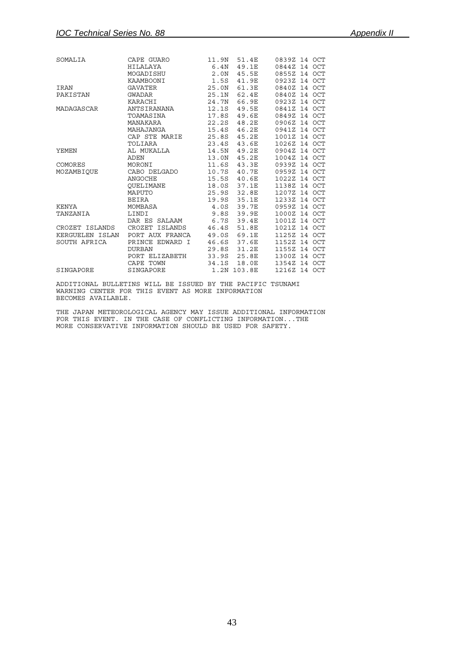| SOMALIA         | CAPE GUARO           | 11.9N       | 51.4E       | 0839Z 14 OCT |  |
|-----------------|----------------------|-------------|-------------|--------------|--|
|                 | HILALAYA             | 6.4N        | 49.1E       | 0844Z 14 OCT |  |
|                 | MOGADISHU            | $2$ . $0N$  | 45.5E       | 0855Z 14 OCT |  |
|                 | KAAMBOONI            | 1.55        | 41.9E       | 0923Z 14 OCT |  |
| IRAN            | GAVATER              | 25.0N       | 61.3E       | 0840Z 14 OCT |  |
| PAKISTAN        | GWADAR               | 25.1N       | 62.4E       | 0840Z 14 OCT |  |
|                 | KARACHI              |             | 24.7N 66.9E | 0923Z 14 OCT |  |
| MADAGASCAR      | ANTSIRANANA          | 12.1S       | 49.5E       | 0841Z 14 OCT |  |
|                 | TOAMASINA            | 17.8S       | 49.6E       | 0849Z 14 OCT |  |
|                 | MANAKARA             | 22.2S       | 48.2E       | 0906Z 14 OCT |  |
|                 | MAHAJANGA            | 15.4S       | 46.2E       | 0941Z 14 OCT |  |
|                 | CAP STE MARIE        |             |             | 1001Z 14 OCT |  |
|                 | TOLIARA              | 23.4S       | 43.6E       | 1026Z 14 OCT |  |
| YEMEN           | AL MUKALLA           | 14.5N       | 49.2E       | 0904Z 14 OCT |  |
|                 | ADEN                 | 13.0N       | 45.2E       | 1004Z 14 OCT |  |
| COMORES         | MORONI               |             | 11.6S 43.3E | 0939Z 14 OCT |  |
| MOZAMBIOUE      | CABO DELGADO         |             | 10.7S 40.7E | 0959Z 14 OCT |  |
|                 | ANGOCHE              | 15.5S       | 40.6E       | 1022Z 14 OCT |  |
|                 | OUELIMANE            | 18.0S       | 37.1E       | 1138Z 14 OCT |  |
|                 | MAPUTO               | 25.9S       | 32.8E       | 1207Z 14 OCT |  |
|                 | BEIRA                | 19.9S 35.1E |             | 1233Z 14 OCT |  |
| KENYA           | MOMBASA              |             | 4.0S 39.7E  | 0959Z 14 OCT |  |
| TANZANIA        | LINDI                | 9.8S        | 39.9E       | 1000Z 14 OCT |  |
|                 | DAR ES SALAAM        |             | 6.7S 39.4E  | 1001Z 14 OCT |  |
| CROZET ISLANDS  | CROZET ISLANDS 46.4S |             | 51.8E       | 1021Z 14 OCT |  |
| KERGUELEN ISLAN | PORT AUX FRANCA      |             | 49.0S 69.1E | 1125Z 14 OCT |  |
| SOUTH AFRICA    | PRINCE EDWARD I      | 46.6S       | 37.6E       | 1152Z 14 OCT |  |
|                 | <b>DURBAN</b>        | 29.8S       | 31.2E       | 1155Z 14 OCT |  |
|                 | PORT ELIZABETH       |             | 33.9S 25.8E | 1300Z 14 OCT |  |
|                 | CAPE TOWN            | 34.1S       | 18.0E       | 1354Z 14 OCT |  |
| SINGAPORE       | SINGAPORE            |             | 1.2N 103.8E | 1216Z 14 OCT |  |

ADDITIONAL BULLETINS WILL BE ISSUED BY THE PACIFIC TSUNAMI WARNING CENTER FOR THIS EVENT AS MORE INFORMATION BECOMES AVAILABLE.

THE JAPAN METEOROLOGICAL AGENCY MAY ISSUE ADDITIONAL INFORMATION FOR THIS EVENT. IN THE CASE OF CONFLICTING INFORMATION...THE MORE CONSERVATIVE INFORMATION SHOULD BE USED FOR SAFETY.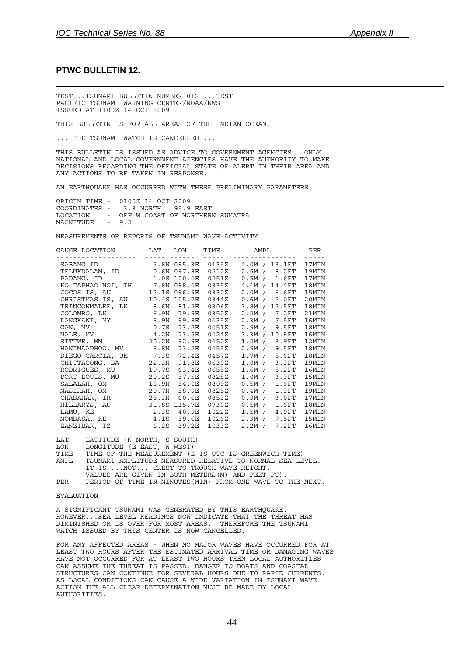#### **PTWC BULLETIN 12.**

TEST...TSUNAMI BULLETIN NUMBER 012 ...TEST PACIFIC TSUNAMI WARNING CENTER/NOAA/NWS ISSUED AT 1100Z 14 OCT 2009

THIS BULLETIN IS FOR ALL AREAS OF THE INDIAN OCEAN.

... THE TSUNAMI WATCH IS CANCELLED ...

THIS BULLETIN IS ISSUED AS ADVICE TO GOVERNMENT AGENCIES. ONLY NATIONAL AND LOCAL GOVERNMENT AGENCIES HAVE THE AUTHORITY TO MAKE DECISIONS REGARDING THE OFFICIAL STATE OF ALERT IN THEIR AREA AND ANY ACTIONS TO BE TAKEN IN RESPONSE.

AN EARTHQUAKE HAS OCCURRED WITH THESE PRELIMINARY PARAMETERS

ORIGIN TIME - 0100Z 14 OCT 2009<br>COORDINATES - 3.3 NORTH 95.9 COORDINATES - 3.3 NORTH 95.9 EAST - OFF W COAST OF NORTHERN SUMATRA<br>- 9.2 **MAGNITUDE** 

MEASUREMENTS OR REPORTS OF TSUNAMI WAVE ACTIVITY

| GAUGE LOCATION LAT LON TIME               |              |       | AMPL            | PER<br>$\frac{1}{2}$ |
|-------------------------------------------|--------------|-------|-----------------|----------------------|
| SABANG ID 5.8N 095.3E 0135Z 4.0M / 13.1FT |              |       |                 | 17MIN                |
| TELUKDALAM, ID 0.6N 097.8E 0212Z          |              |       | 2.5M / 8.2FT    | 19MIN                |
| PADANG, ID 1.0S 100.4E                    |              | 0251Z | 0.5M / 1.6FT    | 17MIN                |
| KO TAPHAO NOI, TH 7.8N 098.4E             |              | 0335Z | 4.4M / 14.4FT   | 18MIN                |
| COCOS IS, AU 12.1S 096.9E                 |              | 0330Z | 2.0M / 6.6FT    | 15MIN                |
| CHRISTMAS IS, AU 10.4S 105.7E             |              | 0344Z | 0.6M / 2.0FT    | 20MIN                |
| TRINCONMALEE, LK 8.6N 81.2E               |              | 0306Z | 3.8M / 12.5FT   | 18MIN                |
| COLOMBO, LK 6.9N 79.9E                    |              | 0350Z | 2.2M / 7.2FT    | 21MIN                |
| LANGKAWI, MY 6.9N                         | 99.8E        | 0435Z | 2.3M / 7.5FT    | 16MIN                |
| GAN, MV 0.7S 73.2E                        |              | 0451Z | 2.9M / 9.5FT    | 18MIN                |
| MALE, MV 4.2N                             | 73.5E        | 0424Z | 3.3M / 10.8FT   | 16MIN                |
| SITTWE, MM 20.2N                          | 92.9E        | 0450Z | 1.2M / 3.9FT    | 12MIN                |
| HANIMAADHOO, MV 6.8N                      | 73.2E        | 0455Z | 2.9M / 9.5FT    | 18MIN                |
| DIEGO GARCIA, UK 7.3S                     | 72.4E        | 0457Z | 1.7M / 5.6FT    | 18MIN                |
| CHITTAGONG, BA 22.3N                      | 91.8E        | 0630Z | 1.0M / 3.3FT    | 19MIN                |
| RODRIGUES, MU 19.7S                       | 63.4E        | 06552 | 1.6M / 5.2FT    | 16MIN                |
| PORT LOUIS, MU 20.2S                      | 57.5E        | 0828Z | 1.0M / 3.3FT    | 15MIN                |
| SALALAH, OM 16.9N                         | 54.0E        | 0809Z | 0.5M / 1.6FT    | 19MIN                |
| MASIRAH, OM 20.7N                         | 58.9E        | 0825Z | 0.4M /<br>1.3FT | 19MIN                |
| CHABAHAR, IR 25.3N                        | 60.6E        | 0853Z | 0.9M/<br>3.0FT  | 17MIN                |
| 31.8S 115.7E<br>HILLARYS, AU              |              | 0730Z | 0.5M/<br>1.6FT  | 18MIN                |
| $2.3S$ 40.9E<br>LAMU, KE                  |              | 1022Z | 1.5M / 4.9FT    | 17MIN                |
| MOMBASA, KE 4.1S 39.6E                    |              | 1026Z | 2.3M / 7.5FT    | 15MIN                |
| ZANZIBAR, TZ                              | $6.2S$ 39.2E | 1033Z | 2.2M / 7.2FT    | 16MIN                |

LAT - LATITUDE (N-NORTH, S-SOUTH)<br>LON - LONGITUDE (E-EAST, W-WEST)

- LONGITUDE (E-EAST, W-WEST)

TIME - TIME OF THE MEASUREMENT (Z IS UTC IS GREENWICH TIME)

AMPL - TSUNAMI AMPLITUDE MEASURED RELATIVE TO NORMAL SEA LEVEL. IT IS ...NOT... CREST-TO-TROUGH WAVE HEIGHT.

VALUES ARE GIVEN IN BOTH METERS(M) AND FEET(FT).<br>PER - PERIOD OF TIME IN MINITES(MIN) FROM ONE WAVE TO - PERIOD OF TIME IN MINUTES (MIN) FROM ONE WAVE TO THE NEXT.

#### EVALIJATION

A SIGNIFICANT TSUNAMI WAS GENERATED BY THIS EARTHQUAKE. HOWEVER...SEA LEVEL READINGS NOW INDICATE THAT THE THREAT HAS DIMINISHED OR IS OVER FOR MOST AREAS. THEREFORE THE TSUNAMI WATCH ISSUED BY THIS CENTER IS NOW CANCELLED.

FOR ANY AFFECTED AREAS - WHEN NO MAJOR WAVES HAVE OCCURRED FOR AT LEAST TWO HOURS AFTER THE ESTIMATED ARRIVAL TIME OR DAMAGING WAVES HAVE NOT OCCURRED FOR AT LEAST TWO HOURS THEN LOCAL AUTHORITIES CAN ASSUME THE THREAT IS PASSED. DANGER TO BOATS AND COASTAL STRUCTURES CAN CONTINUE FOR SEVERAL HOURS DUE TO RAPID CURRENTS. AS LOCAL CONDITIONS CAN CAUSE A WIDE VARIATION IN TSUNAMI WAVE ACTION THE ALL CLEAR DETERMINATION MUST BE MADE BY LOCAL AUTHORITIES.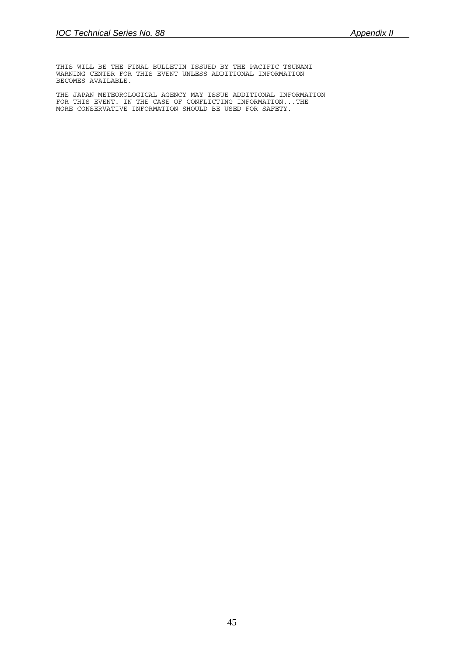THIS WILL BE THE FINAL BULLETIN ISSUED BY THE PACIFIC TSUNAMI WARNING CENTER FOR THIS EVENT UNLESS ADDITIONAL INFORMATION BECOMES AVAILABLE.

THE JAPAN METEOROLOGICAL AGENCY MAY ISSUE ADDITIONAL INFORMATION FOR THIS EVENT. IN THE CASE OF CONFLICTING INFORMATION...THE MORE CONSERVATIVE INFORMATION SHOULD BE USED FOR SAFETY.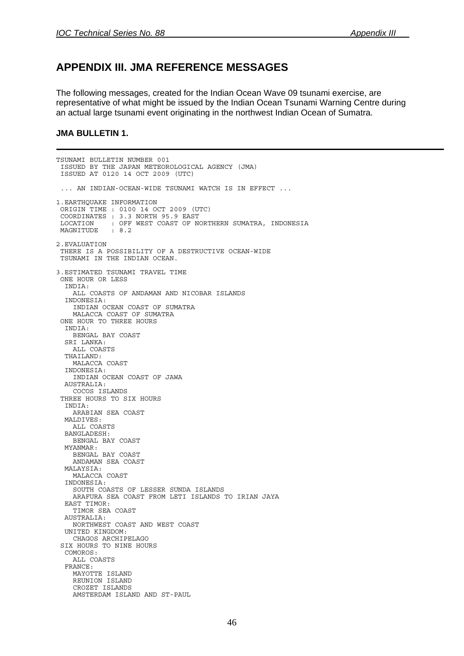# **APPENDIX III. JMA REFERENCE MESSAGES**

The following messages, created for the Indian Ocean Wave 09 tsunami exercise, are representative of what might be issued by the Indian Ocean Tsunami Warning Centre during an actual large tsunami event originating in the northwest Indian Ocean of Sumatra.

#### **JMA BULLETIN 1.**

TSUNAMI BULLETIN NUMBER 001 ISSUED BY THE JAPAN METEOROLOGICAL AGENCY (JMA) ISSUED AT 0120 14 OCT 2009 (UTC) ... AN INDIAN-OCEAN-WIDE TSUNAMI WATCH IS IN EFFECT ... 1.EARTHQUAKE INFORMATION ORIGIN TIME : 0100 14 OCT 2009 (UTC) COORDINATES : 3.3 NORTH 95.9 EAST<br>LOCATION : OFF WEST COAST OF N : OFF WEST COAST OF NORTHERN SUMATRA, INDONESIA<br>: 8.2 MAGNITUDE 2.EVALUATION THERE IS A POSSIBILITY OF A DESTRUCTIVE OCEAN-WIDE TSUNAMI IN THE INDIAN OCEAN. 3.ESTIMATED TSUNAMI TRAVEL TIME ONE HOUR OR LESS INDIA: ALL COASTS OF ANDAMAN AND NICOBAR ISLANDS INDONESIA: INDIAN OCEAN COAST OF SUMATRA MALACCA COAST OF SUMATRA ONE HOUR TO THREE HOURS INDIA: BENGAL BAY COAST SRI LANKA: ALL COASTS THAILAND: MALACCA COAST INDONESIA: INDIAN OCEAN COAST OF JAWA AUSTRALIA: COCOS ISLANDS THREE HOURS TO SIX HOURS INDIA: ARABIAN SEA COAST MALDIVES: ALL COASTS BANGLADESH: BENGAL BAY COAST MYANMAR: BENGAL BAY COAST ANDAMAN SEA COAST MALAYSIA: MALACCA COAST INDONESIA: SOUTH COASTS OF LESSER SUNDA ISLANDS ARAFURA SEA COAST FROM LETI ISLANDS TO IRIAN JAYA EAST TIMOR: TIMOR SEA COAST AUSTRALIA: NORTHWEST COAST AND WEST COAST UNITED KINGDOM: CHAGOS ARCHIPELAGO SIX HOURS TO NINE HOURS COMOROS: ALL COASTS FRANCE: MAYOTTE ISLAND REUNION ISLAND CROZET ISLANDS AMSTERDAM ISLAND AND ST-PAUL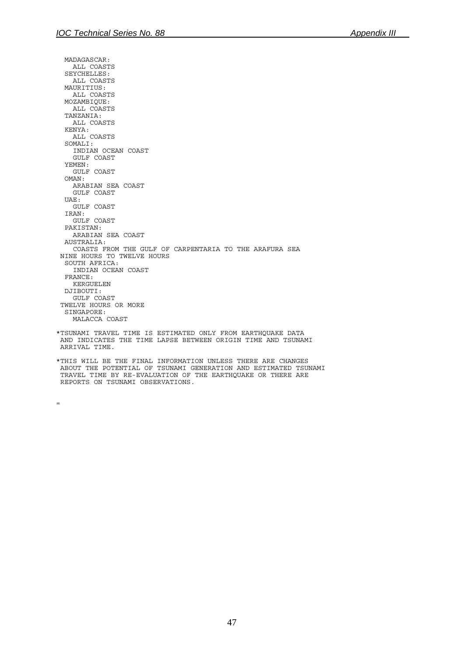MADAGASCAR: ALL COASTS SEYCHELLES: ALL COASTS MAURITIUS: ALL COASTS MOZAMBIQUE: ALL COASTS TANZANIA: ALL COASTS KENYA: ALL COASTS SOMALI: INDIAN OCEAN COAST GULF COAST YEMEN: GULF COAST OMAN: ARABIAN SEA COAST GULF COAST UAE: GULF COAST IRAN: GULF COAST PAKISTAN: ARABIAN SEA COAST AUSTRALIA: COASTS FROM THE GULF OF CARPENTARIA TO THE ARAFURA SEA NINE HOURS TO TWELVE HOURS SOUTH AFRICA: INDIAN OCEAN COAST FRANCE: KERGUELEN DJIBOUTI: GULF COAST TWELVE HOURS OR MORE SINGAPORE: MALACCA COAST \*TSUNAMI TRAVEL TIME IS ESTIMATED ONLY FROM EARTHQUAKE DATA AND INDICATES THE TIME LAPSE BETWEEN ORIGIN TIME AND TSUNAMI ARRIVAL TIME.

\*THIS WILL BE THE FINAL INFORMATION UNLESS THERE ARE CHANGES ABOUT THE POTENTIAL OF TSUNAMI GENERATION AND ESTIMATED TSUNAMI TRAVEL TIME BY RE-EVALUATION OF THE EARTHQUAKE OR THERE ARE REPORTS ON TSUNAMI OBSERVATIONS.

=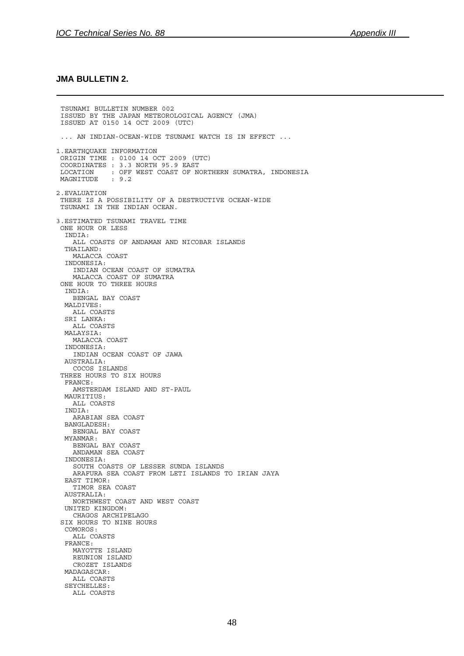#### **JMA BULLETIN 2.**

```
TSUNAMI BULLETIN NUMBER 002 
  ISSUED BY THE JAPAN METEOROLOGICAL AGENCY (JMA) 
  ISSUED AT 0150 14 OCT 2009 (UTC) 
  ... AN INDIAN-OCEAN-WIDE TSUNAMI WATCH IS IN EFFECT ... 
1.EARTHQUAKE INFORMATION 
 ORIGIN TIME : 0100 14 OCT 2009 (UTC) 
  COORDINATES : 3.3 NORTH 95.9 EAST 
LOCATION : OFF WEST COAST OF NORTHERN SUMATRA, INDONESIA<br>MAGNITUDE : 9.2
MAGNITUDE
2.EVALUATION 
 THERE IS A POSSIBILITY OF A DESTRUCTIVE OCEAN-WIDE 
 TSUNAMI IN THE INDIAN OCEAN. 
3.ESTIMATED TSUNAMI TRAVEL TIME 
  ONE HOUR OR LESS 
   INDIA: 
     ALL COASTS OF ANDAMAN AND NICOBAR ISLANDS 
   THAILAND: 
     MALACCA COAST 
   INDONESIA: 
     INDIAN OCEAN COAST OF SUMATRA 
     MALACCA COAST OF SUMATRA 
  ONE HOUR TO THREE HOURS 
   INDIA: 
     BENGAL BAY COAST 
  MALDIVES ·
     ALL COASTS 
   SRI LANKA: 
     ALL COASTS 
   MALAYSIA: 
     MALACCA COAST 
   INDONESIA: 
     INDIAN OCEAN COAST OF JAWA 
   AUSTRALIA: 
     COCOS ISLANDS 
  THREE HOURS TO SIX HOURS 
   FRANCE: 
     AMSTERDAM ISLAND AND ST-PAUL 
   MAURITIUS: 
     ALL COASTS 
   INDIA: 
     ARABIAN SEA COAST 
   BANGLADESH: 
     BENGAL BAY COAST 
   MYANMAR: 
     BENGAL BAY COAST 
     ANDAMAN SEA COAST 
   INDONESIA: 
     SOUTH COASTS OF LESSER SUNDA ISLANDS 
     ARAFURA SEA COAST FROM LETI ISLANDS TO IRIAN JAYA 
   EAST TIMOR: 
     TIMOR SEA COAST 
   AUSTRALIA: 
     NORTHWEST COAST AND WEST COAST 
   UNITED KINGDOM: 
     CHAGOS ARCHIPELAGO 
  SIX HOURS TO NINE HOURS 
   COMOROS: 
     ALL COASTS 
   FRANCE: 
     MAYOTTE ISLAND 
     REUNION ISLAND 
     CROZET ISLANDS 
   MADAGASCAR: 
     ALL COASTS 
   SEYCHELLES: 
     ALL COASTS
```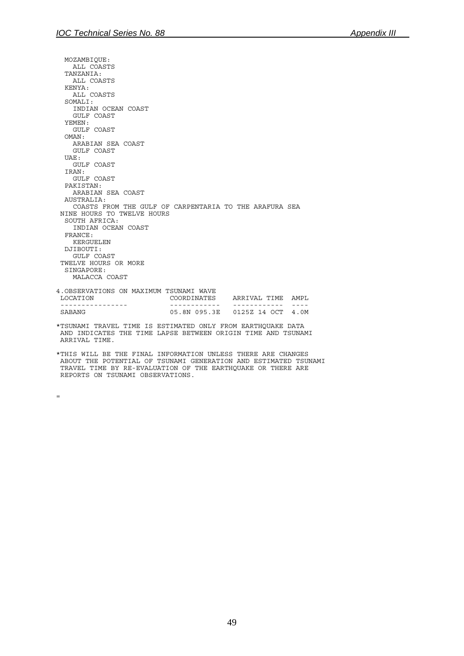MOZAMBIQUE: ALL COASTS TANZANIA: ALL COASTS KENYA: ALL COASTS SOMALI: INDIAN OCEAN COAST GULF COAST YEMEN: GULF COAST OMAN: ARABIAN SEA COAST GULF COAST UAE: GULF COAST IRAN: GULF COAST PAKISTAN: ARABIAN SEA COAST AUSTRALIA: COASTS FROM THE GULF OF CARPENTARIA TO THE ARAFURA SEA NINE HOURS TO TWELVE HOURS SOUTH AFRICA: INDIAN OCEAN COAST FRANCE: KERGUELEN DJIBOUTI: GULF COAST TWELVE HOURS OR MORE SINGAPORE: MALACCA COAST 4.OBSERVATIONS ON MAXIMUM TSUNAMI WAVE<br>LOCATION COORDINATES ARRIVAL TIME AMPL

| ----------    | <u> coutbennem d</u> |                      |    |
|---------------|----------------------|----------------------|----|
| _ _ _ _ _ _ _ |                      |                      |    |
| CARANC        | 095.3E<br>∩⊏<br>8N.  | ∩∩™<br>01257.<br>1 4 | OМ |

\*TSUNAMI TRAVEL TIME IS ESTIMATED ONLY FROM EARTHQUAKE DATA AND INDICATES THE TIME LAPSE BETWEEN ORIGIN TIME AND TSUNAMI ARRIVAL TIME.

\*THIS WILL BE THE FINAL INFORMATION UNLESS THERE ARE CHANGES ABOUT THE POTENTIAL OF TSUNAMI GENERATION AND ESTIMATED TSUNAMI TRAVEL TIME BY RE-EVALUATION OF THE EARTHQUAKE OR THERE ARE REPORTS ON TSUNAMI OBSERVATIONS.

=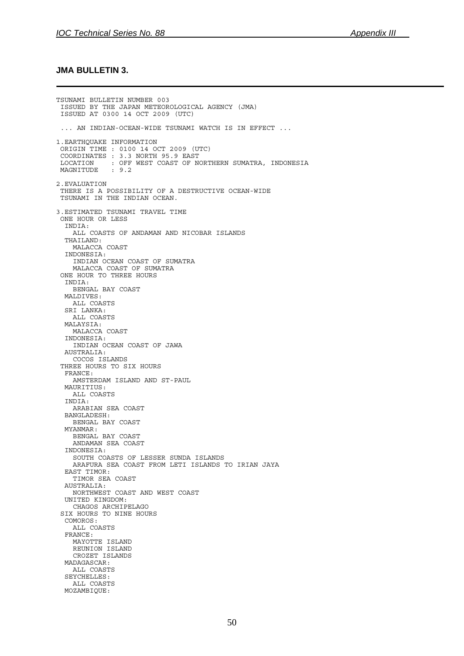#### **JMA BULLETIN 3.**

```
TSUNAMI BULLETIN NUMBER 003 
 ISSUED BY THE JAPAN METEOROLOGICAL AGENCY (JMA) 
  ISSUED AT 0300 14 OCT 2009 (UTC) 
  ... AN INDIAN-OCEAN-WIDE TSUNAMI WATCH IS IN EFFECT ... 
1.EARTHQUAKE INFORMATION 
 ORIGIN TIME : 0100 14 OCT 2009 (UTC) 
  COORDINATES : 3.3 NORTH 95.9 EAST 
LOCATION : OFF WEST COAST OF NORTHERN SUMATRA, INDONESIA<br>MAGNITUDE : 9.2
MAGNITUDE
2.EVALUATION 
 THERE IS A POSSIBILITY OF A DESTRUCTIVE OCEAN-WIDE 
 TSUNAMI IN THE INDIAN OCEAN. 
3.ESTIMATED TSUNAMI TRAVEL TIME 
  ONE HOUR OR LESS 
   INDIA: 
     ALL COASTS OF ANDAMAN AND NICOBAR ISLANDS 
   THAILAND: 
     MALACCA COAST 
   INDONESIA: 
     INDIAN OCEAN COAST OF SUMATRA 
     MALACCA COAST OF SUMATRA 
  ONE HOUR TO THREE HOURS 
   INDIA: 
     BENGAL BAY COAST 
  MALDIVES ·
     ALL COASTS 
   SRI LANKA: 
     ALL COASTS 
   MALAYSIA: 
    MALACCA COAST 
   INDONESIA: 
     INDIAN OCEAN COAST OF JAWA 
   AUSTRALIA: 
     COCOS ISLANDS 
  THREE HOURS TO SIX HOURS 
   FRANCE: 
     AMSTERDAM ISLAND AND ST-PAUL 
   MAURITIUS: 
     ALL COASTS 
   INDIA: 
     ARABIAN SEA COAST 
   BANGLADESH: 
     BENGAL BAY COAST 
   MYANMAR: 
     BENGAL BAY COAST 
     ANDAMAN SEA COAST 
   INDONESIA: 
     SOUTH COASTS OF LESSER SUNDA ISLANDS 
     ARAFURA SEA COAST FROM LETI ISLANDS TO IRIAN JAYA 
   EAST TIMOR: 
     TIMOR SEA COAST 
   AUSTRALIA: 
     NORTHWEST COAST AND WEST COAST 
   UNITED KINGDOM: 
     CHAGOS ARCHIPELAGO 
  SIX HOURS TO NINE HOURS 
   COMOROS: 
    ALL COASTS
   FRANCE: 
     MAYOTTE ISLAND 
     REUNION ISLAND 
     CROZET ISLANDS 
   MADAGASCAR: 
     ALL COASTS 
   SEYCHELLES: 
     ALL COASTS 
   MOZAMBIQUE:
```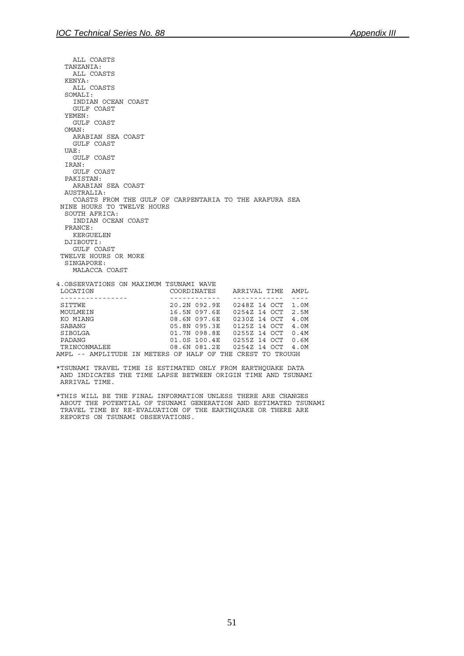ALL COASTS TANZANIA: ALL COASTS KENYA: ALL COASTS SOMALI: INDIAN OCEAN COAST GULF COAST YEMEN: GULF COAST OMAN: ARABIAN SEA COAST GULF COAST UAE: GULF COAST IRAN: GULF COAST PAKISTAN: ARABIAN SEA COAST AUSTRALIA: COASTS FROM THE GULF OF CARPENTARIA TO THE ARAFURA SEA NINE HOURS TO TWELVE HOURS SOUTH AFRICA: INDIAN OCEAN COAST FRANCE: KERGUELEN DJIBOUTI: GULF COAST TWELVE HOURS OR MORE SINGAPORE: MALACCA COAST 4.OBSERVATIONS ON MAXIMUM TSUNAMI WAVE COORDINATES ARRIVAL TIME AMPL ---------------- ------------ ------------ ---- SITTWE 20.2N 092.9E 0248Z 14 OCT 1.0M<br>MOULMEIN 16.5N 097.6E 0254Z 14 OCT 2.5M MOULMEIN 16.5N 097.6E 0254Z 14 OCT 2.5M<br>KO MIANG 198.6N 097.6E 0230Z 14 OCT 4.0M KO MIANG  $08.6N 097.6E 0230Z 14 OCT$ <br>  $05.8N 095.3E 0125Z 14 OCT$  SABANG 05.8N 095.3E 0125Z 14 OCT 4.0M 01.7N 098.8E 0255Z 14 OCT PADANG 01.0S 100.4E 0255Z 14 OCT 0.6M<br>TRINCONMALEE 08.6N 081.2E 0254Z 14 OCT 4.0M 0254Z 14 OCT 4.0M AMPL -- AMPLITUDE IN METERS OF HALF OF THE CREST TO TROUGH

\*TSUNAMI TRAVEL TIME IS ESTIMATED ONLY FROM EARTHQUAKE DATA AND INDICATES THE TIME LAPSE BETWEEN ORIGIN TIME AND TSUNAMI ARRIVAL TIME.

\*THIS WILL BE THE FINAL INFORMATION UNLESS THERE ARE CHANGES ABOUT THE POTENTIAL OF TSUNAMI GENERATION AND ESTIMATED TSUNAMI TRAVEL TIME BY RE-EVALUATION OF THE EARTHQUAKE OR THERE ARE REPORTS ON TSUNAMI OBSERVATIONS.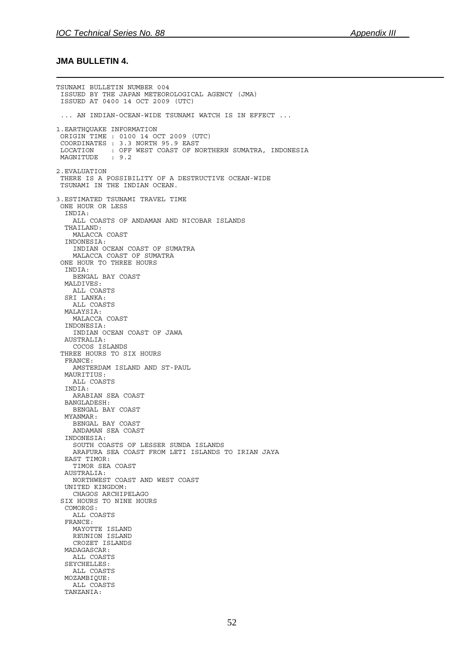#### **JMA BULLETIN 4.**

```
TSUNAMI BULLETIN NUMBER 004 
  ISSUED BY THE JAPAN METEOROLOGICAL AGENCY (JMA) 
  ISSUED AT 0400 14 OCT 2009 (UTC) 
  ... AN INDIAN-OCEAN-WIDE TSUNAMI WATCH IS IN EFFECT ... 
1.EARTHQUAKE INFORMATION 
  ORIGIN TIME : 0100 14 OCT 2009 (UTC) 
COORDINATES : 3.3 NORTH 95.9 EAST<br>LOCATION : OFF WEST COAST OF N
             : OFF WEST COAST OF NORTHERN SUMATRA, INDONESIA<br>: 9.2
MAGNITUDE
2. EVALUATION
  THERE IS A POSSIBILITY OF A DESTRUCTIVE OCEAN-WIDE 
 TSUNAMI IN THE INDIAN OCEAN. 
3.ESTIMATED TSUNAMI TRAVEL TIME 
  ONE HOUR OR LESS 
   INDIA: 
     ALL COASTS OF ANDAMAN AND NICOBAR ISLANDS 
   THAILAND: 
     MALACCA COAST 
   INDONESIA: 
     INDIAN OCEAN COAST OF SUMATRA 
     MALACCA COAST OF SUMATRA 
  ONE HOUR TO THREE HOURS 
   INDIA: 
     BENGAL BAY COAST 
   MALDIVES: 
     ALL COASTS 
   SRI LANKA: 
     ALL COASTS 
   MALAYSIA: 
     MALACCA COAST 
   INDONESIA: 
     INDIAN OCEAN COAST OF JAWA 
  AUSTRALIA·
     COCOS ISLANDS 
  THREE HOURS TO SIX HOURS 
   FRANCE: 
     AMSTERDAM ISLAND AND ST-PAUL 
  MATIRTTTIIS ALL COASTS 
   INDIA: 
     ARABIAN SEA COAST 
   BANGLADESH: 
     BENGAL BAY COAST 
   MYANMAR: 
     BENGAL BAY COAST 
     ANDAMAN SEA COAST 
   INDONESIA: 
     SOUTH COASTS OF LESSER SUNDA ISLANDS 
     ARAFURA SEA COAST FROM LETI ISLANDS TO IRIAN JAYA 
   EAST TIMOR: 
     TIMOR SEA COAST 
   AUSTRALIA: 
     NORTHWEST COAST AND WEST COAST 
   UNITED KINGDOM: 
     CHAGOS ARCHIPELAGO 
  SIX HOURS TO NINE HOURS 
   COMOROS: 
     ALL COASTS 
   FRANCE: 
     MAYOTTE ISLAND 
     REUNION ISLAND 
     CROZET ISLANDS 
   MADAGASCAR: 
     ALL COASTS 
   SEYCHELLES: 
     ALL COASTS 
  MOZAMBIQUE:
     ALL COASTS 
   TANZANIA:
```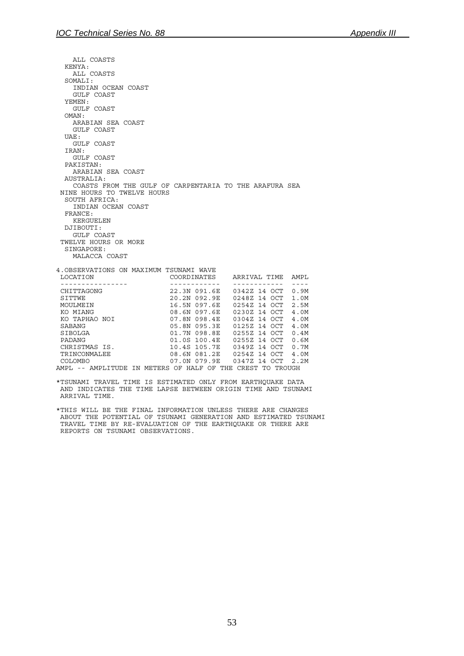ALL COASTS KENYA: ALL COASTS SOMALI: INDIAN OCEAN COAST GULF COAST YEMEN: GULF COAST OMAN: ARABIAN SEA COAST GULF COAST UAE: GULF COAST IRAN: GULF COAST PAKISTAN: ARABIAN SEA COAST AUSTRALIA: COASTS FROM THE GULF OF CARPENTARIA TO THE ARAFURA SEA NINE HOURS TO TWELVE HOURS SOUTH AFRICA: INDIAN OCEAN COAST FRANCE: KERGUELEN DJIBOUTI: GULF COAST TWELVE HOURS OR MORE SINGAPORE: MALACCA COAST 4.OBSERVATIONS ON MAXIMUM TSUNAMI WAVE LOCATION COORDINATES ARRIVAL TIME AMPL ---------------- ------------ ------------ ---- CHITTAGONG 22.3N 091.6E 0342Z 14 OCT 0.9M<br>SITTWE 20.2N 092.9E 0248Z 14 OCT 1.0M 0248Z 14 OCT MOULMEIN 16.5N 097.6E 0254Z 14 OCT 2.5M<br>KO MIANG 18.6N 097.6E 0230Z 14 OCT 4.0M 08.6N 097.6E 0230Z 14 OCT 4.0M<br>07.8N 098.4E 0304Z 14 OCT 4.0M KO TAPHAO NOI  $07.8N$  098.4E<br>SABANG 105.8N 095.3E SABANG 05.8N 095.3E 0125Z 14 OCT 4.0M SIBOLGA 01.7N 098.8E 0255Z 14 OCT 0.4M PADANG 01.0S 100.4E 0255Z 14 OCT 0.6M CHRISTMAS IS. 10.4S 105.7E 0349Z 14 OCT 0.7M TRINCONMALEE 08.6N 081.2E 0254Z 14 OCT 4.0M COLOMBO 07.0N 079.9E 0347Z 14 OCT 2.2M AMPL -- AMPLITUDE IN METERS OF HALF OF THE CREST TO TROUGH

\*TSUNAMI TRAVEL TIME IS ESTIMATED ONLY FROM EARTHQUAKE DATA AND INDICATES THE TIME LAPSE BETWEEN ORIGIN TIME AND TSUNAMI ARRIVAL TIME.

\*THIS WILL BE THE FINAL INFORMATION UNLESS THERE ARE CHANGES ABOUT THE POTENTIAL OF TSUNAMI GENERATION AND ESTIMATED TSUNAMI TRAVEL TIME BY RE-EVALUATION OF THE EARTHQUAKE OR THERE ARE REPORTS ON TSUNAMI OBSERVATIONS.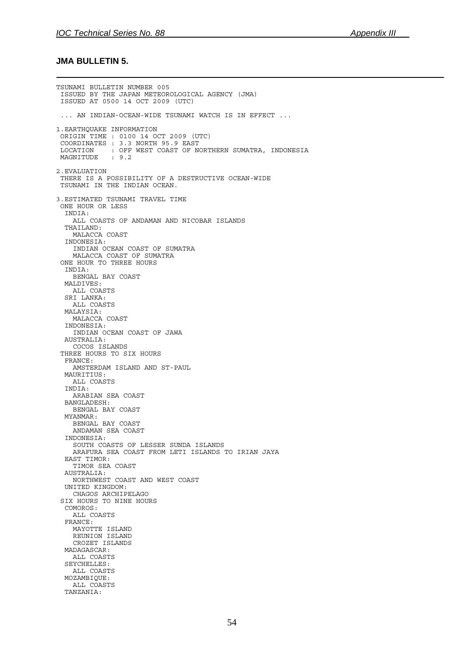#### **JMA BULLETIN 5.**

```
TSUNAMI BULLETIN NUMBER 005 
  ISSUED BY THE JAPAN METEOROLOGICAL AGENCY (JMA) 
  ISSUED AT 0500 14 OCT 2009 (UTC) 
  ... AN INDIAN-OCEAN-WIDE TSUNAMI WATCH IS IN EFFECT ... 
1.EARTHQUAKE INFORMATION 
  ORIGIN TIME : 0100 14 OCT 2009 (UTC) 
COORDINATES : 3.3 NORTH 95.9 EAST<br>LOCATION : OFF WEST COAST OF N
             : OFF WEST COAST OF NORTHERN SUMATRA, INDONESIA<br>: 9.2
MAGNITUDE
2. EVALUATION
  THERE IS A POSSIBILITY OF A DESTRUCTIVE OCEAN-WIDE 
 TSUNAMI IN THE INDIAN OCEAN. 
3.ESTIMATED TSUNAMI TRAVEL TIME 
  ONE HOUR OR LESS 
   INDIA: 
     ALL COASTS OF ANDAMAN AND NICOBAR ISLANDS 
   THAILAND: 
     MALACCA COAST 
   INDONESIA: 
     INDIAN OCEAN COAST OF SUMATRA 
     MALACCA COAST OF SUMATRA 
  ONE HOUR TO THREE HOURS 
   INDIA: 
     BENGAL BAY COAST 
   MALDIVES: 
     ALL COASTS 
   SRI LANKA: 
     ALL COASTS 
   MALAYSIA: 
     MALACCA COAST 
   INDONESIA: 
     INDIAN OCEAN COAST OF JAWA 
  AUSTRALIA·
     COCOS ISLANDS 
  THREE HOURS TO SIX HOURS 
   FRANCE: 
     AMSTERDAM ISLAND AND ST-PAUL 
  MATIRTTTIIS ALL COASTS 
   INDIA: 
     ARABIAN SEA COAST 
   BANGLADESH: 
     BENGAL BAY COAST 
   MYANMAR: 
     BENGAL BAY COAST 
     ANDAMAN SEA COAST 
   INDONESIA: 
     SOUTH COASTS OF LESSER SUNDA ISLANDS 
     ARAFURA SEA COAST FROM LETI ISLANDS TO IRIAN JAYA 
   EAST TIMOR: 
     TIMOR SEA COAST 
   AUSTRALIA: 
     NORTHWEST COAST AND WEST COAST 
   UNITED KINGDOM: 
     CHAGOS ARCHIPELAGO 
  SIX HOURS TO NINE HOURS 
   COMOROS: 
     ALL COASTS 
   FRANCE: 
     MAYOTTE ISLAND 
     REUNION ISLAND 
     CROZET ISLANDS 
   MADAGASCAR: 
     ALL COASTS 
   SEYCHELLES: 
     ALL COASTS 
  MOZAMBIQUE:
     ALL COASTS 
   TANZANIA:
```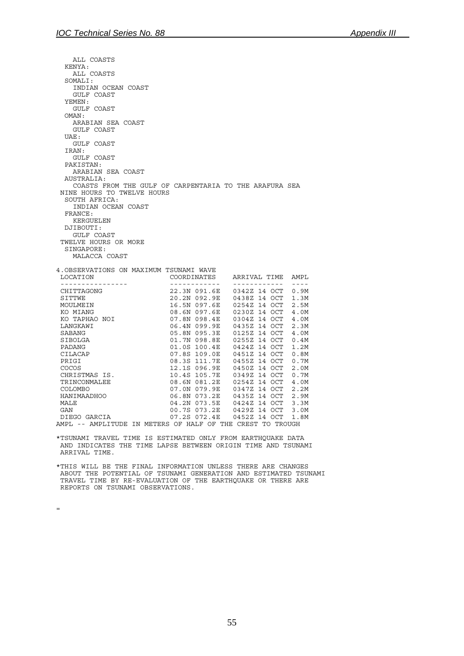ALL COASTS KENYA: ALL COASTS SOMALI: INDIAN OCEAN COAST GULF COAST YEMEN: GULF COAST OMAN: ARABIAN SEA COAST GULF COAST UAE: GULF COAST IRAN: GULF COAST PAKISTAN: ARABIAN SEA COAST AUSTRALIA: COASTS FROM THE GULF OF CARPENTARIA TO THE ARAFURA SEA NINE HOURS TO TWELVE HOURS SOUTH AFRICA: INDIAN OCEAN COAST FRANCE: KERGUELEN DJIBOUTI: GULF COAST TWELVE HOURS OR MORE SINGAPORE: MALACCA COAST 4.OBSERVATIONS ON MAXIMUM TSUNAMI WAVE LOCATION COORDINATES ARRIVAL TIME AMPL ---------------- ------------ ------------ ---- 22.3N 091.6E 0342Z 14 OCT 0.9M<br>20.2N 092.9E 0438Z 14 OCT 1.3M SITTWE 20.2N 092.9E 0438Z 14 OCT 1.3M MOULMEIN 16.5N 097.6E 0254Z 14 OCT 2.5M<br>KO MIANG 18.6N 097.6E 0230Z 14 OCT 4.0M 08.6N 097.6E 0230Z 14 OCT 4.0M<br>07.8N 098.4E 0304Z 14 OCT 4.0M KO TAPHAO NOI 07.8N 098.4E 0304Z 14 OCT 4.0M 0435Z 14 OCT 2.3M SABANG 05.8N 095.3E 0125Z 14 OCT 4.0M  $01.7N 098.8E 0255Z 14 OCT 0.4M  
PADANG 01.0S 100.4E 0424Z 14 OCT 1.2M$ PADANG 01.0S 100.4E 0424Z 14 OCT 1.2M<br>CILACAP 07.8S 109.0E 0451Z 14 OCT 0.8M CILACAP 07.8S 109.0E<br>
PRIGI 08.3S 111.7E 0455Z 14 OCT 0.7M COCOS 12.1S 096.9E 0450Z 14 OCT 2.0M CHRISTMAS IS. 10.4S 105.7E 0349Z 14 OCT 0.7M TRINCONMALEE 08.6N 081.2E 0254Z 14 OCT 4.0M<br>COLOMBO 07.0N 079.9E 0347Z 14 OCT 2.2M COLOMBO 07.0N 079.9E 0347Z 14 OCT 2.2M HANIMAADHOO 06.8N 073.2E 0435Z 14 OCT<br>MALE 04.2N 073.5E 0424Z 14 OCT 0424Z 14 OCT 3.3M GAN 00.7S 073.2E 0429Z 14 OCT 3.0M DIEGO GARCIA 07.2S 072.4E 0452Z 14 OCT 1.8M AMPL -- AMPLITUDE IN METERS OF HALF OF THE CREST TO TROUGH

\*TSUNAMI TRAVEL TIME IS ESTIMATED ONLY FROM EARTHQUAKE DATA AND INDICATES THE TIME LAPSE BETWEEN ORIGIN TIME AND TSUNAMI ARRIVAL TIME.

\*THIS WILL BE THE FINAL INFORMATION UNLESS THERE ARE CHANGES ABOUT THE POTENTIAL OF TSUNAMI GENERATION AND ESTIMATED TSUNAMI TRAVEL TIME BY RE-EVALUATION OF THE EARTHQUAKE OR THERE ARE REPORTS ON TSUNAMI OBSERVATIONS.

=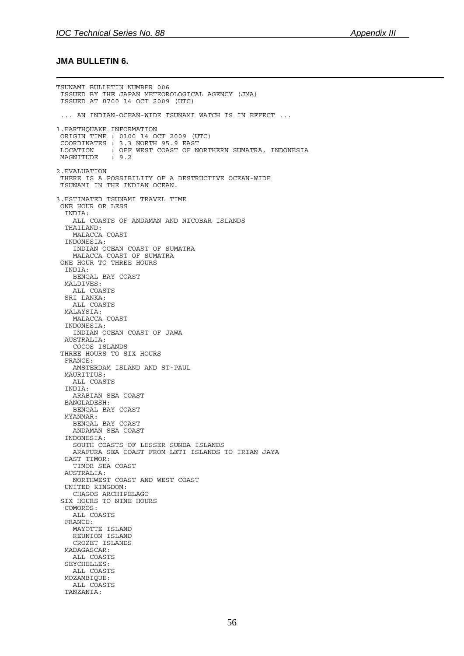#### **JMA BULLETIN 6.**

```
TSUNAMI BULLETIN NUMBER 006 
 ISSUED BY THE JAPAN METEOROLOGICAL AGENCY (JMA) 
  ISSUED AT 0700 14 OCT 2009 (UTC) 
  ... AN INDIAN-OCEAN-WIDE TSUNAMI WATCH IS IN EFFECT ... 
1.EARTHQUAKE INFORMATION 
  ORIGIN TIME : 0100 14 OCT 2009 (UTC) 
COORDINATES : 3.3 NORTH 95.9 EAST<br>LOCATION : OFF WEST COAST OF N
             : OFF WEST COAST OF NORTHERN SUMATRA, INDONESIA<br>: 9.2
MAGNITUDE
2. EVALUATION
  THERE IS A POSSIBILITY OF A DESTRUCTIVE OCEAN-WIDE 
 TSUNAMI IN THE INDIAN OCEAN. 
3.ESTIMATED TSUNAMI TRAVEL TIME 
  ONE HOUR OR LESS 
   INDIA: 
     ALL COASTS OF ANDAMAN AND NICOBAR ISLANDS 
   THAILAND: 
     MALACCA COAST 
   INDONESIA: 
     INDIAN OCEAN COAST OF SUMATRA 
     MALACCA COAST OF SUMATRA 
  ONE HOUR TO THREE HOURS 
   INDIA: 
     BENGAL BAY COAST 
   MALDIVES: 
     ALL COASTS 
   SRI LANKA: 
     ALL COASTS 
   MALAYSIA: 
     MALACCA COAST 
   INDONESIA: 
     INDIAN OCEAN COAST OF JAWA 
  AUSTRALIA·
     COCOS ISLANDS 
  THREE HOURS TO SIX HOURS 
   FRANCE: 
     AMSTERDAM ISLAND AND ST-PAUL 
  MATIRTTTIIS ALL COASTS 
   INDIA: 
     ARABIAN SEA COAST 
   BANGLADESH: 
     BENGAL BAY COAST 
   MYANMAR: 
     BENGAL BAY COAST 
     ANDAMAN SEA COAST 
   INDONESIA: 
     SOUTH COASTS OF LESSER SUNDA ISLANDS 
     ARAFURA SEA COAST FROM LETI ISLANDS TO IRIAN JAYA 
   EAST TIMOR: 
     TIMOR SEA COAST 
   AUSTRALIA: 
     NORTHWEST COAST AND WEST COAST 
   UNITED KINGDOM: 
     CHAGOS ARCHIPELAGO 
  SIX HOURS TO NINE HOURS 
   COMOROS: 
     ALL COASTS 
   FRANCE: 
     MAYOTTE ISLAND 
     REUNION ISLAND 
     CROZET ISLANDS 
   MADAGASCAR: 
     ALL COASTS 
   SEYCHELLES: 
     ALL COASTS 
  MOZAMBIQUE:
     ALL COASTS 
   TANZANIA:
```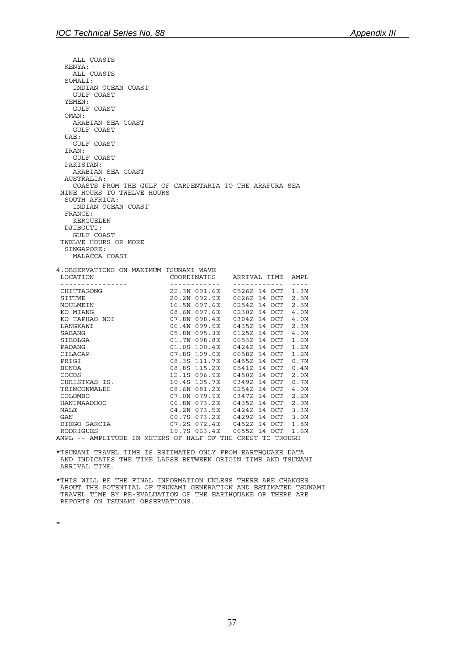ALL COASTS KENYA: ALL COASTS SOMALI: INDIAN OCEAN COAST GULF COAST YEMEN: GULF COAST OMAN: ARABIAN SEA COAST GULF COAST UAE: GULF COAST IRAN: GULF COAST PAKISTAN: ARABIAN SEA COAST AUSTRALIA: COASTS FROM THE GULF OF CARPENTARIA TO THE ARAFURA SEA NINE HOURS TO TWELVE HOURS SOUTH AFRICA: INDIAN OCEAN COAST FRANCE: KERGUELEN DJIBOUTI: GULF COAST TWELVE HOURS OR MORE SINGAPORE: MALACCA COAST 4.OBSERVATIONS ON MAXIMUM TSUNAMI WAVE LOCATION COORDINATES ARRIVAL TIME AMPL ---------------- ------------ ------------ ---- 22.3N 091.6E 0526Z 14 OCT 1.3M<br>20.2N 092.9E 0626Z 14 OCT 2.5M SITTWE 20.2N 092.9E 0626Z 14 OCT 2.5M MOULMEIN 16.5N 097.6E 0254Z 14 OCT 2.5M<br>KO MIANG 18.6N 097.6E 0230Z 14 OCT 4.0M 08.6N 097.6E 0230Z 14 OCT 4.0M<br>07.8N 098.4E 0304Z 14 OCT 4.0M KO TAPHAO NOI 07.8N 098.4E 0304Z 14 OCT 4.0M 0435Z 14 OCT 2.3M SABANG 05.8N 095.3E 0125Z 14 OCT 4.0M  $01.7N 098.8E 0653Z 14 OCT 1.6M$  PADANG  $01.0S 100.4E 0424Z 14 OCT 1.2M$ PADANG 01.0S 100.4E 0424Z 14 OCT 1.2M<br>CILACAP 07.8S 109.0E 0658Z 14 OCT 1.2M CILACAP 07.8S 109.0E<br>
PRIGI 08.3S 111.7E 0455Z 14 OCT 0.7M BENOA 08.8S 115.2E 0541Z 14 OCT 0.4M COCOS 12.1S 096.9E 0450Z 14 OCT 2.0M<br>CHRISTMAS IS. 10.4S 105.7E 0349Z 14 OCT 0.7M CHRISTMAS IS. 10.4S 105.7E 0349Z 14 OCT 0.7M TRINCONMALEE 08.6N 081.2E<br>COLOMBO 07.0N 079.9E COLOMBO 07.0N 079.9E 0347Z 14 OCT 2.2M 0435Z 14 OCT MALE 04.2N 073.5E 0424Z 14 OCT 3.3M GAN 00.7S 073.2E 0429Z 14 OCT 3.0M DIEGO GARCIA 07.2S 072.4E 0452Z 14 OCT 1.8M RODRIGUES 19.7S 063.4E 0655Z 14 OCT 1.6M AMPL -- AMPLITUDE IN METERS OF HALF OF THE CREST TO TROUGH

\*TSUNAMI TRAVEL TIME IS ESTIMATED ONLY FROM EARTHQUAKE DATA AND INDICATES THE TIME LAPSE BETWEEN ORIGIN TIME AND TSUNAMI ARRIVAL TIME.

\*THIS WILL BE THE FINAL INFORMATION UNLESS THERE ARE CHANGES ABOUT THE POTENTIAL OF TSUNAMI GENERATION AND ESTIMATED TSUNAMI TRAVEL TIME BY RE-EVALUATION OF THE EARTHQUAKE OR THERE ARE REPORTS ON TSUNAMI OBSERVATIONS.

=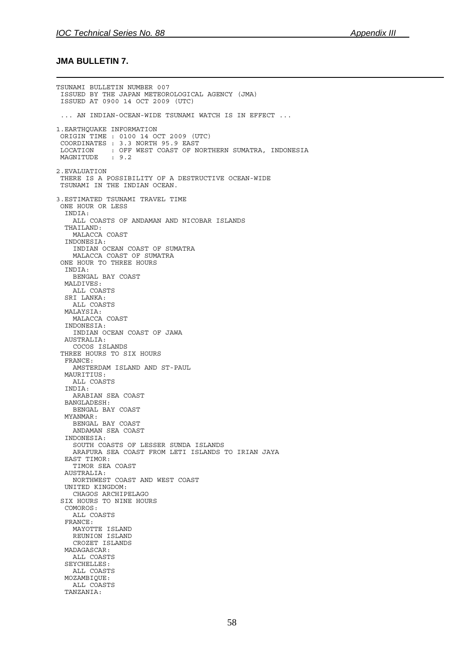#### **JMA BULLETIN 7.**

```
TSUNAMI BULLETIN NUMBER 007 
  ISSUED BY THE JAPAN METEOROLOGICAL AGENCY (JMA) 
  ISSUED AT 0900 14 OCT 2009 (UTC) 
  ... AN INDIAN-OCEAN-WIDE TSUNAMI WATCH IS IN EFFECT ... 
1.EARTHQUAKE INFORMATION 
  ORIGIN TIME : 0100 14 OCT 2009 (UTC) 
COORDINATES : 3.3 NORTH 95.9 EAST<br>LOCATION : OFF WEST COAST OF N
             : OFF WEST COAST OF NORTHERN SUMATRA, INDONESIA<br>: 9.2
MAGNITUDE
2. EVALUATION
  THERE IS A POSSIBILITY OF A DESTRUCTIVE OCEAN-WIDE 
 TSUNAMI IN THE INDIAN OCEAN. 
3.ESTIMATED TSUNAMI TRAVEL TIME 
  ONE HOUR OR LESS 
   INDIA: 
     ALL COASTS OF ANDAMAN AND NICOBAR ISLANDS 
   THAILAND: 
     MALACCA COAST 
   INDONESIA: 
     INDIAN OCEAN COAST OF SUMATRA 
     MALACCA COAST OF SUMATRA 
  ONE HOUR TO THREE HOURS 
   INDIA: 
     BENGAL BAY COAST 
   MALDIVES: 
     ALL COASTS 
   SRI LANKA: 
     ALL COASTS 
   MALAYSIA: 
     MALACCA COAST 
   INDONESIA: 
     INDIAN OCEAN COAST OF JAWA 
  AUSTRALIA·
     COCOS ISLANDS 
  THREE HOURS TO SIX HOURS 
   FRANCE: 
     AMSTERDAM ISLAND AND ST-PAUL 
  MATIRTTTIIS ALL COASTS 
   INDIA: 
     ARABIAN SEA COAST 
   BANGLADESH: 
     BENGAL BAY COAST 
   MYANMAR: 
     BENGAL BAY COAST 
     ANDAMAN SEA COAST 
   INDONESIA: 
     SOUTH COASTS OF LESSER SUNDA ISLANDS 
     ARAFURA SEA COAST FROM LETI ISLANDS TO IRIAN JAYA 
   EAST TIMOR: 
     TIMOR SEA COAST 
   AUSTRALIA: 
     NORTHWEST COAST AND WEST COAST 
   UNITED KINGDOM: 
     CHAGOS ARCHIPELAGO 
  SIX HOURS TO NINE HOURS 
   COMOROS: 
     ALL COASTS 
   FRANCE: 
     MAYOTTE ISLAND 
     REUNION ISLAND 
     CROZET ISLANDS 
   MADAGASCAR: 
     ALL COASTS 
   SEYCHELLES: 
     ALL COASTS 
  MOZAMBIQUE:
     ALL COASTS 
   TANZANIA:
```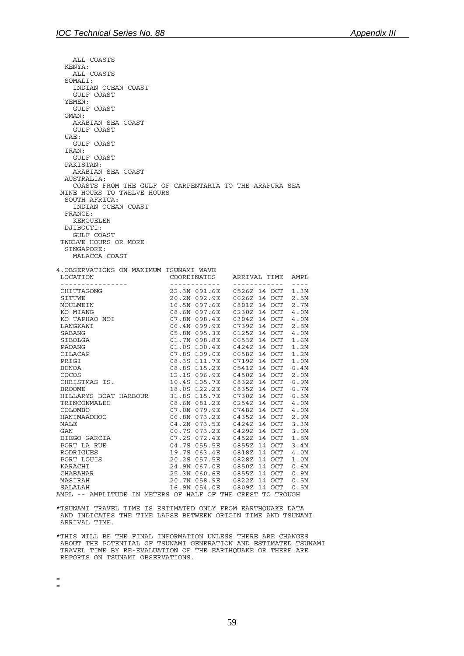ALL COASTS KENYA: ALL COASTS SOMALI: INDIAN OCEAN COAST GULF COAST YEMEN: GULF COAST OMAN: ARABIAN SEA COAST GULF COAST UAE: GULF COAST IRAN: GULF COAST PAKISTAN: ARABIAN SEA COAST AUSTRALIA: COASTS FROM THE GULF OF CARPENTARIA TO THE ARAFURA SEA NINE HOURS TO TWELVE HOURS SOUTH AFRICA: INDIAN OCEAN COAST FRANCE: KERGUELEN DJIBOUTI: GULF COAST TWELVE HOURS OR MORE SINGAPORE: MALACCA COAST 4.OBSERVATIONS ON MAXIMUM TSUNAMI WAVE LOCATION COORDINATES ARRIVAL TIME AMPL ---------------- ------------ ------------ ---- 22.3N 091.6E 0526Z 14 OCT 1.3M<br>20.2N 092.9E 0626Z 14 OCT 2.5M SITTWE 20.2N 092.9E 0626Z 14 OCT 2.5M MOULMEIN 16.5N 097.6E 0801Z 14 OCT 2.7M<br>KO MIANG 18.6N 097.6E 0230Z 14 OCT 4.0M KO MIANG 08.6N 097.6E 0230Z 14 OCT 4.0M 07.8N 098.4E<br>06.4N 099.9E LANGKAWI 06.4N 099.9E 0739Z 14 OCT 2.8M SABANG 05.8N 095.3E 0125Z 14 OCT 4.0M  $01.7N 098.8E 0653Z 14 OCT 1.6M$  PADANG  $01.0S 100.4E 0424Z 14 OCT 1.2M$ PADANG 01.0S 100.4E 0424Z 14 OCT 1.2M<br>CILACAP 07.8S 109.0E 0658Z 14 OCT 1.2M CILACAP 07.8S 109.0E<br>
PRIGI 08.3S 111.7E 0719Z 14 OCT 1.0M BENOA 08.8S 115.2E 0541Z 14 OCT 0.4M COCOS 12.1S 096.9E 0450Z 14 OCT 2.0M<br>CHRISTMAS IS. 10.4S 105.7E 0832Z 14 OCT 0.9M CHRISTMAS IS. 10.4S 105.7E 0832Z 14 OCT 0.9M BROOME 18.0S 122.2E 0835Z 14 OCT 0.7M HILLARYS BOAT HARBOUR 31.8S 115.7E 0730Z 14 OCT 0.5M 08.6N 081.2E COLOMBO 07.0N 079.9E 0748Z 14 OCT 4.0M HANIMAADHOO 06.8N 073.2E 0435Z 14 OCT 2.9M MALE 04.2N 073.5E GAN 078.2E GAN 00.7S 073.2E 0429Z 14 OCT 3.0M 07.2S 072.4E PORT LA RUE 04.7S 055.5E 0855Z 14 OCT 3.4M RODRIGUES 19.7S 063.4E 0818Z 14 OCT 4.0M<br>PORT LOUIS 20.2S 057.5E 0828Z 14 OCT 1.0M PORT LOUIS 20.2S 057.5E<br>
KARACHI 24.9N 067.0E 0850Z 14 OCT 0.6M<br>0855Z 14 OCT 0.9M CHABAHAR 25.3N 060.6E 0855Z 14 OCT 0.9M 20.7N 058.9E SALALAH 20.711 00092 14 OCT 0.5M AMPL -- AMPLITUDE IN METERS OF HALF OF THE CREST TO TROUGH

\*TSUNAMI TRAVEL TIME IS ESTIMATED ONLY FROM EARTHQUAKE DATA AND INDICATES THE TIME LAPSE BETWEEN ORIGIN TIME AND TSUNAMI ARRIVAL TIME.

\*THIS WILL BE THE FINAL INFORMATION UNLESS THERE ARE CHANGES ABOUT THE POTENTIAL OF TSUNAMI GENERATION AND ESTIMATED TSUNAMI TRAVEL TIME BY RE-EVALUATION OF THE EARTHQUAKE OR THERE ARE REPORTS ON TSUNAMI OBSERVATIONS.

= =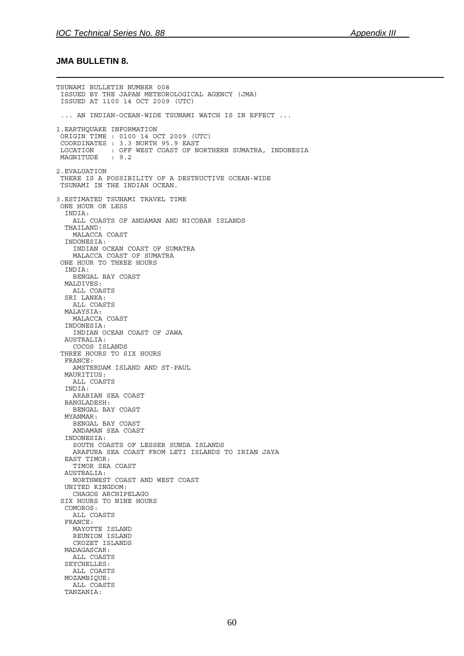#### **JMA BULLETIN 8.**

```
TSUNAMI BULLETIN NUMBER 008 
 ISSUED BY THE JAPAN METEOROLOGICAL AGENCY (JMA) 
  ISSUED AT 1100 14 OCT 2009 (UTC) 
  ... AN INDIAN-OCEAN-WIDE TSUNAMI WATCH IS IN EFFECT ... 
1.EARTHQUAKE INFORMATION 
  ORIGIN TIME : 0100 14 OCT 2009 (UTC) 
COORDINATES : 3.3 NORTH 95.9 EAST<br>LOCATION : OFF WEST COAST OF N
             : OFF WEST COAST OF NORTHERN SUMATRA, INDONESIA<br>: 9.2
MAGNITUDE
2. EVALUATION
  THERE IS A POSSIBILITY OF A DESTRUCTIVE OCEAN-WIDE 
 TSUNAMI IN THE INDIAN OCEAN. 
3.ESTIMATED TSUNAMI TRAVEL TIME 
  ONE HOUR OR LESS 
   INDIA: 
     ALL COASTS OF ANDAMAN AND NICOBAR ISLANDS 
   THAILAND: 
     MALACCA COAST 
   INDONESIA: 
     INDIAN OCEAN COAST OF SUMATRA 
     MALACCA COAST OF SUMATRA 
  ONE HOUR TO THREE HOURS 
   INDIA: 
     BENGAL BAY COAST 
   MALDIVES: 
     ALL COASTS 
   SRI LANKA: 
     ALL COASTS 
   MALAYSIA: 
     MALACCA COAST 
   INDONESIA: 
     INDIAN OCEAN COAST OF JAWA 
  AUSTRALIA·
     COCOS ISLANDS 
  THREE HOURS TO SIX HOURS 
   FRANCE: 
     AMSTERDAM ISLAND AND ST-PAUL 
  MATIRTTTIIS ALL COASTS 
   INDIA: 
     ARABIAN SEA COAST 
   BANGLADESH: 
     BENGAL BAY COAST 
   MYANMAR: 
     BENGAL BAY COAST 
     ANDAMAN SEA COAST 
   INDONESIA: 
     SOUTH COASTS OF LESSER SUNDA ISLANDS 
     ARAFURA SEA COAST FROM LETI ISLANDS TO IRIAN JAYA 
   EAST TIMOR: 
     TIMOR SEA COAST 
   AUSTRALIA: 
     NORTHWEST COAST AND WEST COAST 
   UNITED KINGDOM: 
     CHAGOS ARCHIPELAGO 
  SIX HOURS TO NINE HOURS 
   COMOROS: 
     ALL COASTS 
   FRANCE: 
     MAYOTTE ISLAND 
     REUNION ISLAND 
     CROZET ISLANDS 
   MADAGASCAR: 
     ALL COASTS 
   SEYCHELLES: 
     ALL COASTS 
  MOZAMBIQUE:
     ALL COASTS 
   TANZANIA:
```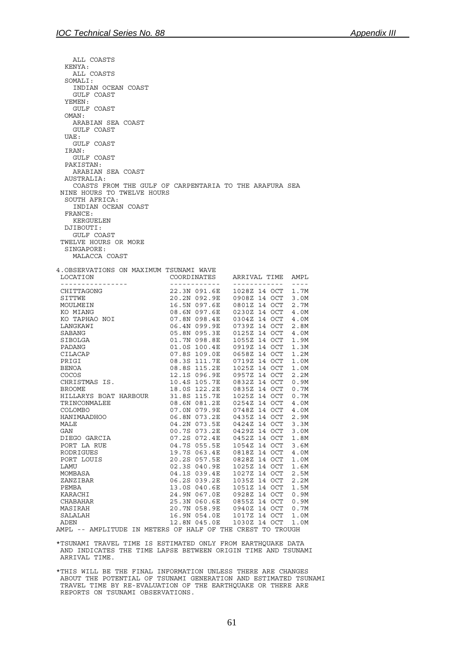ALL COASTS KENYA: ALL COASTS SOMALI: INDIAN OCEAN COAST GULF COAST YEMEN: GULF COAST OMAN: ARABIAN SEA COAST GULF COAST UAE: GULF COAST IRAN: GULF COAST PAKISTAN: ARABIAN SEA COAST AUSTRALIA: COASTS FROM THE GULF OF CARPENTARIA TO THE ARAFURA SEA NINE HOURS TO TWELVE HOURS SOUTH AFRICA: INDIAN OCEAN COAST FRANCE: KERGUELEN DJIROUTI · GULF COAST TWELVE HOURS OR MORE SINGAPORE: MALACCA COAST 4.OBSERVATIONS ON MAXIMUM TSUNAMI WAVE LOCATION COORDINATES ARRIVAL TIME AMPL ---------------- ------------ ------------ ---- 22.3N 091.6E 1028Z 14 OCT 1.7M<br>20.2N 092.9E 0908Z 14 OCT 3.0M SITTWE 20.2N 092.9E 0908Z 14 OCT 3.0M MOULMEIN 16.5N 097.6E 0801Z 14 OCT 2.7M<br>KO MIANG 18.6N 097.6E 0230Z 14 OCT 4.0M KO MIANG 1997.6E 1997.6E 1997.6E 1997.6E 1998.4E 107.8N 098.4E 14 OCT 4.0M 07.8N 098.4E<br>06.4N 099.9E LANGKAWI 06.4N 099.9E 0739Z 14 OCT 2.8M SABANG 05.8N 095.3E 0125Z 14 OCT 4.0M  $01.7N 098.8E 1055Z 14 OCT 1.9M  
PADANG 01.0S 100.4E 0919Z 14 OCT 1.3M$ PADANG 01.0S 100.4E 0919Z 14 OCT 1.3M<br>CILACAP 07.8S 109.0E 0658Z 14 OCT 1.2M CILACAP 07.8S 109.0E<br>
PRIGI 08.3S 111.7E 0719Z 14 OCT 1.0M<br>1025Z 14 OCT 1.0M BENOA 08.8S 115.2E 1025Z 14 OCT COCOS 12.1S 096.9E 0957Z 14 OCT 2.2M<br>CHRISTMAS IS. 10.4S 105.7E 0832Z 14 OCT 0.9M CHRISTMAS IS. 10.4S 105.7E 0832Z 14 OCT 0.9M BROOME 18.0S 122.2E 0835Z 14 OCT 0.7M HILLARYS BOAT HARBOUR 31.8S 115.7E 1025Z 14 OCT TRINCONMALEE 08.6N 081.2E 0254Z 14 OCT 08.6N 081.2E 0254Z 14 OCT 4.0M COLOMBO 07.0N 079.9E 0748Z 14 OCT 4.0M HANIMAADHOO 06.8N 073.2E 0435Z 14 OCT 2.9M MALE 04.2N 073.5E GAN 078.2E GAN 00.7S 073.2E 0429Z 14 OCT 3.0M<br>DIEGO GARCIA 07.2S 072.4E 0452Z 14 OCT 1.8M 07.2S 072.4E PORT LA RUE 04.7S 055.5E 1054Z 14 OCT 3.6M RODRIGUES 19.7S 063.4E 0818Z 14 OCT 4.0M<br>PORT LOUIS 20.2S 057.5E 0828Z 14 OCT 1.0M PORT LOUIS 20.2S 057.5E<br>
LAMU 02.3S 040.9E 1025Z 14 OCT 1.6M MOMBASA 04.1S 039.4E 1027Z 14 OCT 2.5M 06.2S 039.2E PEMBA 13.0S 040.6E 1051Z 14 OCT 1.5M<br>KARACHI 24.9N 067.0E 0928Z 14 OCT 0.9M 24.9N 067.0E<br>25.3N 060.6E CHABAHAR 25.3N 060.6E 0855Z 14 OCT 0.9M MASIRAH 20.7N 058.9E 0940Z 14 OCT 0.7M SALALAH 16.9N 054.0E<br>ADEN 12.8N 045.0E 12.8N 045.0E 1030Z 14 OCT 1.0M AMPL -- AMPLITUDE IN METERS OF HALF OF THE CREST TO TROUGH

\*TSUNAMI TRAVEL TIME IS ESTIMATED ONLY FROM EARTHQUAKE DATA AND INDICATES THE TIME LAPSE BETWEEN ORIGIN TIME AND TSUNAMI ARRIVAL TIME.

\*THIS WILL BE THE FINAL INFORMATION UNLESS THERE ARE CHANGES ABOUT THE POTENTIAL OF TSUNAMI GENERATION AND ESTIMATED TSUNAMI TRAVEL TIME BY RE-EVALUATION OF THE EARTHQUAKE OR THERE ARE REPORTS ON TSUNAMI OBSERVATIONS.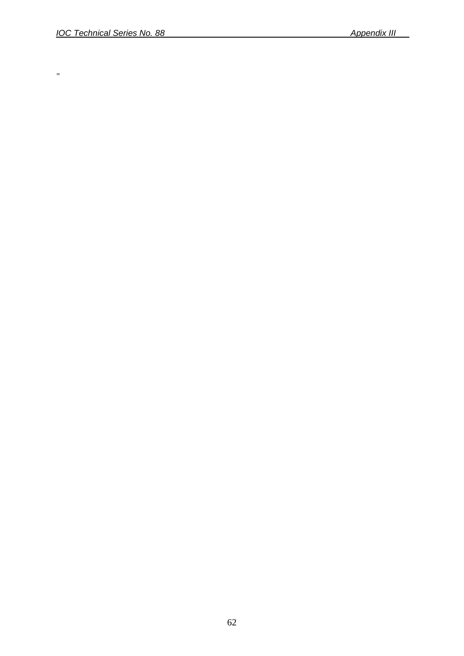=

62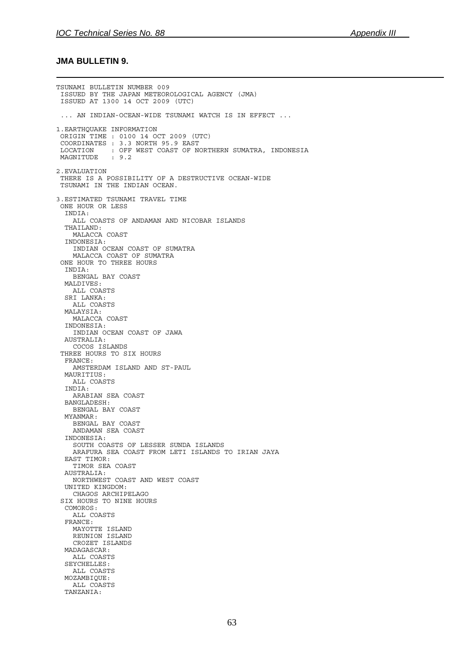#### **JMA BULLETIN 9.**

```
TSUNAMI BULLETIN NUMBER 009 
 ISSUED BY THE JAPAN METEOROLOGICAL AGENCY (JMA) 
  ISSUED AT 1300 14 OCT 2009 (UTC) 
  ... AN INDIAN-OCEAN-WIDE TSUNAMI WATCH IS IN EFFECT ... 
1.EARTHQUAKE INFORMATION 
  ORIGIN TIME : 0100 14 OCT 2009 (UTC) 
COORDINATES : 3.3 NORTH 95.9 EAST<br>LOCATION : OFF WEST COAST OF N
             : OFF WEST COAST OF NORTHERN SUMATRA, INDONESIA<br>: 9.2
MAGNITUDE
2. EVALUATION
  THERE IS A POSSIBILITY OF A DESTRUCTIVE OCEAN-WIDE 
 TSUNAMI IN THE INDIAN OCEAN. 
3.ESTIMATED TSUNAMI TRAVEL TIME 
  ONE HOUR OR LESS 
   INDIA: 
     ALL COASTS OF ANDAMAN AND NICOBAR ISLANDS 
   THAILAND: 
     MALACCA COAST 
   INDONESIA: 
     INDIAN OCEAN COAST OF SUMATRA 
     MALACCA COAST OF SUMATRA 
  ONE HOUR TO THREE HOURS 
   INDIA: 
     BENGAL BAY COAST 
   MALDIVES: 
     ALL COASTS 
   SRI LANKA: 
     ALL COASTS 
   MALAYSIA: 
     MALACCA COAST 
   INDONESIA: 
     INDIAN OCEAN COAST OF JAWA 
  AUSTRALIA·
     COCOS ISLANDS 
  THREE HOURS TO SIX HOURS 
   FRANCE: 
     AMSTERDAM ISLAND AND ST-PAUL 
  MATIRTTTIIS ALL COASTS 
   INDIA: 
     ARABIAN SEA COAST 
   BANGLADESH: 
     BENGAL BAY COAST 
   MYANMAR: 
     BENGAL BAY COAST 
     ANDAMAN SEA COAST 
   INDONESIA: 
     SOUTH COASTS OF LESSER SUNDA ISLANDS 
     ARAFURA SEA COAST FROM LETI ISLANDS TO IRIAN JAYA 
   EAST TIMOR: 
     TIMOR SEA COAST 
   AUSTRALIA: 
     NORTHWEST COAST AND WEST COAST 
   UNITED KINGDOM: 
     CHAGOS ARCHIPELAGO 
  SIX HOURS TO NINE HOURS 
   COMOROS: 
     ALL COASTS 
   FRANCE: 
     MAYOTTE ISLAND 
     REUNION ISLAND 
     CROZET ISLANDS 
   MADAGASCAR: 
     ALL COASTS 
   SEYCHELLES: 
     ALL COASTS 
  MOZAMBIQUE:
     ALL COASTS 
   TANZANIA:
```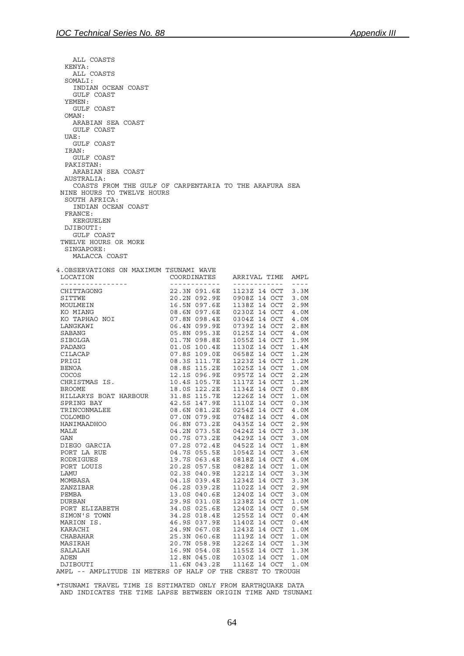ALL COASTS KENYA: ALL COASTS SOMALI: INDIAN OCEAN COAST GULF COAST YEMEN: GULF COAST OMAN: ARABIAN SEA COAST GULF COAST UAE: GULF COAST IRAN: GULF COAST PAKISTAN: ARABIAN SEA COAST AUSTRALIA: COASTS FROM THE GULF OF CARPENTARIA TO THE ARAFURA SEA NINE HOURS TO TWELVE HOURS SOUTH AFRICA· INDIAN OCEAN COAST FRANCE: KERGUELEN DJIBOUTT · GULF COAST TWELVE HOURS OR MORE SINGAPORE: MALACCA COAST 4.OBSERVATIONS ON MAXIMUM TSUNAMI WAVE LOCATION COORDINATES ARRIVAL TIME AMPL ---------------- ------------ ------------ ---- 22.3N 091.6E 1123Z 14 OCT 3.3M<br>20.2N 092.9E 0908Z 14 OCT 3.0M SITTWE 20.2N 092.9E 0908Z 14 OCT 3.0M MOULMEIN 16.5N 097.6E 1138Z 14 OCT 2.9M<br>KO MIANG 18.6N 097.6E 0230Z 14 OCT 4.0M KO MIANG 08.6N 097.6E 0230Z 14 OCT 4.0M  $07.8N 098.4E$ LANGKAWI 1.1 1.2 06.4N 099.9E 0739Z 14 OCT 2.8M<br>SABANG 05.8N 095.3E 0125Z 14 OCT 4.0M SABANG 05.8N 095.3E 0125Z 14 OCT 4.0M  $01.7N 098.8E 1055Z 14 OCT 1.9M  
PADANG 01.0S 100.4E 1130Z 14 OCT 1.4M$ PADANG 01.0S 100.4E 1130Z 14 OCT 1.4M<br>CILACAP 07.8S 109.0E 0658Z 14 OCT 1.2M CILACAP 07.8S 109.0E<br>
PRIGI 08.3S 111.7E 08.3S 111.7E 1223Z 14 OCT 1.2M<br>08.8S 115.2E 1025Z 14 OCT 1.0M BENOA 08.8S 115.2E 1025Z 14 OCT 1.0M COCOS 12.1S 096.9E 0957Z 14 OCT 2.2M CHRISTMAS IS. 10.4S 105.7E 1117Z 14 OCT 1.2M<br>BROOME 18.0S 122.2E 1134Z 14 OCT 0.8M BROOME 18.0S 122.2E 1134Z 14 OCT 0.8M HILLARYS BOAT HARBOUR 31.8S 115.7E 1226Z 14 OCT SPRING BAY 42.5S 147.9E 1110Z 14 OCT SPRING BAY 42.5S 147.9E 1110Z 14 OCT 0.3M TRINCONMALEE 08.6N 081.2E 0254Z 14 OCT 4.0M<br>COLOMBO 07.0N 079.9E 0748Z 14 OCT 4.0M COLOMBO 07.0N 079.9E 0748Z 14 OCT 4.0M HANIMAADHOO 06.8N 073.2E<br>MALE 04.2N 073.5E MALE 04.2N 073.5E 0424Z 14 OCT 3.3M 0429Z 14 OCT DIEGO GARCIA 07.2S 072.4E 0452Z 14 OCT 1.8M PORT LA RUE 04.7S 055.5E 1054Z 14 OCT 3.6M<br>RODRIGUES 19.7S 063.4E 0818Z 14 OCT 4.0M RODRIGUES 19.7S 063.4E<br>
PORT LOUIS 20.2S 057.5E 20.2S 057.5E 0828Z 14 OCT 1.0M<br>02.3S 040.9E 1221Z 14 OCT 3.3M LAMU 1.0M<br>02.3S 040.9E 1221Z 14 OCT 3.3M<br>04.1S 039.4E 1234Z 14 OCT 3.3M 04.1S 039.4E ZANZIBAR 06.2S 039.2E 1102Z 14 OCT 2.9M 13.0S 040.6E<br>29.9S 031.0E 1......<br>DURBAN 29.9S 031.0E 1238Z 14 OCT 1.0M<br>PORT ELIZABETH 34.0S 025.6E 1240Z 14 OCT 0.5M PORT ELIZABETH 34.0S 025.6E 1240Z 14 OCT 0.5M<br>SIMON'S TOWN 34.2S 018.4E 1255Z 14 OCT 0.4M SIMON'S TOWN 34.2S 018.4E<br>MARION IS. 46.9S 037.9E MARION IS. 46.9S 037.9E 1140Z 14 OCT 0.4M<br>KARACHI 24.9N 067.0E 1243Z 14 OCT 1.0M 24.9N 067.0E 1243Z 14 OCT 1.0M<br>25.3N 060.6E 1119Z 14 OCT 1.0M CHABAHAR 25.3N 060.6E 1119Z 14 OCT 1.0M MASIRAH 20.7N 058.9E 1226Z 14 OCT 1.3M SALALAH 16.9N 054.0E 16.9N 16.9N 054.0E ADEN 12.8N 045.0E 1030Z 14 OCT 1.0M DJIBOUTI 11.6N 043.2E 1116Z 14 OCT 1.0M

AMPL -- AMPLITUDE IN METERS OF HALF OF THE CREST TO TROUGH

\*TSUNAMI TRAVEL TIME IS ESTIMATED ONLY FROM EARTHQUAKE DATA AND INDICATES THE TIME LAPSE BETWEEN ORIGIN TIME AND TSUNAMI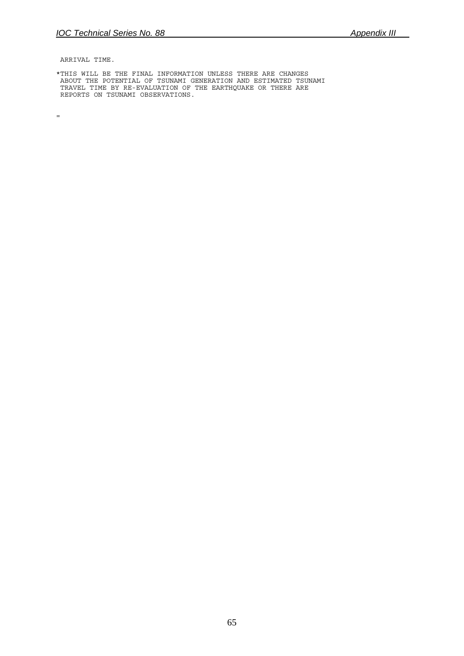ARRIVAL TIME.

\*THIS WILL BE THE FINAL INFORMATION UNLESS THERE ARE CHANGES ABOUT THE POTENTIAL OF TSUNAMI GENERATION AND ESTIMATED TSUNAMI TRAVEL TIME BY RE-EVALUATION OF THE EARTHQUAKE OR THERE ARE REPORTS ON TSUNAMI OBSERVATIONS.

=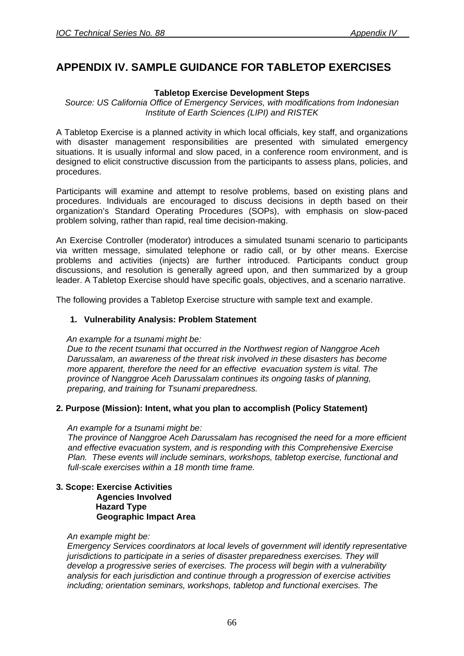# **APPENDIX IV. SAMPLE GUIDANCE FOR TABLETOP EXERCISES**

### **Tabletop Exercise Development Steps**

*Source: US California Office of Emergency Services, with modifications from Indonesian Institute of Earth Sciences (LIPI) and RISTEK* 

A Tabletop Exercise is a planned activity in which local officials, key staff, and organizations with disaster management responsibilities are presented with simulated emergency situations. It is usually informal and slow paced, in a conference room environment, and is designed to elicit constructive discussion from the participants to assess plans, policies, and procedures.

Participants will examine and attempt to resolve problems, based on existing plans and procedures. Individuals are encouraged to discuss decisions in depth based on their organization's Standard Operating Procedures (SOPs), with emphasis on slow-paced problem solving, rather than rapid, real time decision-making.

An Exercise Controller (moderator) introduces a simulated tsunami scenario to participants via written message, simulated telephone or radio call, or by other means. Exercise problems and activities (injects) are further introduced. Participants conduct group discussions, and resolution is generally agreed upon, and then summarized by a group leader. A Tabletop Exercise should have specific goals, objectives, and a scenario narrative.

The following provides a Tabletop Exercise structure with sample text and example.

## **1. Vulnerability Analysis: Problem Statement**

### *An example for a tsunami might be:*

*Due to the recent tsunami that occurred in the Northwest region of Nanggroe Aceh Darussalam, an awareness of the threat risk involved in these disasters has become more apparent, therefore the need for an effective evacuation system is vital. The province of Nanggroe Aceh Darussalam continues its ongoing tasks of planning, preparing, and training for Tsunami preparedness.* 

## **2. Purpose (Mission): Intent, what you plan to accomplish (Policy Statement)**

### *An example for a tsunami might be:*

*The province of Nanggroe Aceh Darussalam has recognised the need for a more efficient and effective evacuation system, and is responding with this Comprehensive Exercise Plan. These events will include seminars, workshops, tabletop exercise, functional and full-scale exercises within a 18 month time frame.* 

# **3. Scope: Exercise Activities**

**Agencies Involved Hazard Type Geographic Impact Area** 

### *An example might be:*

*Emergency Services coordinators at local levels of government will identify representative jurisdictions to participate in a series of disaster preparedness exercises. They will develop a progressive series of exercises. The process will begin with a vulnerability analysis for each jurisdiction and continue through a progression of exercise activities including; orientation seminars, workshops, tabletop and functional exercises. The*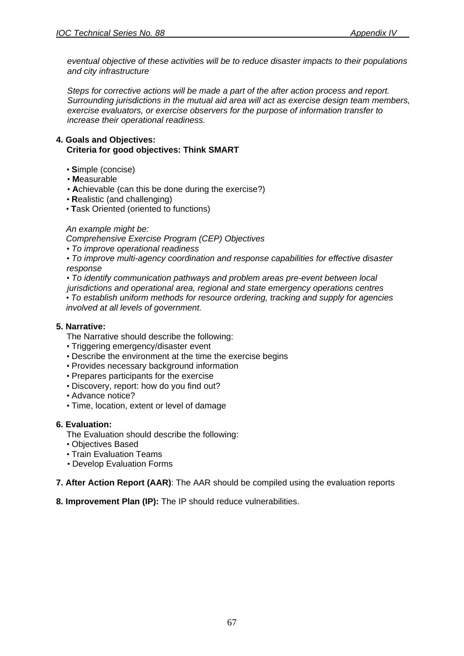*eventual objective of these activities will be to reduce disaster impacts to their populations and city infrastructure* 

*Steps for corrective actions will be made a part of the after action process and report. Surrounding jurisdictions in the mutual aid area will act as exercise design team members, exercise evaluators, or exercise observers for the purpose of information transfer to increase their operational readiness.* 

## **4. Goals and Objectives: Criteria for good objectives: Think SMART**

- **S**imple (concise)
- **M**easurable
- **A**chievable (can this be done during the exercise?)
- **R**ealistic (and challenging)
- **T**ask Oriented (oriented to functions)

## *An example might be:*

*Comprehensive Exercise Program (CEP) Objectives* 

- *To improve operational readiness*
- *To improve multi-agency coordination and response capabilities for effective disaster response*
- *To identify communication pathways and problem areas pre-event between local*
- *jurisdictions and operational area, regional and state emergency operations centres*  • *To establish uniform methods for resource ordering, tracking and supply for agencies involved at all levels of government.*

## **5. Narrative:**

The Narrative should describe the following:

- Triggering emergency/disaster event
- Describe the environment at the time the exercise begins
- Provides necessary background information
- Prepares participants for the exercise
- Discovery, report: how do you find out?
- Advance notice?
- Time, location, extent or level of damage

## **6. Evaluation:**

- The Evaluation should describe the following:
- Objectives Based
- Train Evaluation Teams
- Develop Evaluation Forms
- **7. After Action Report (AAR)**: The AAR should be compiled using the evaluation reports
- **8. Improvement Plan (IP):** The IP should reduce vulnerabilities.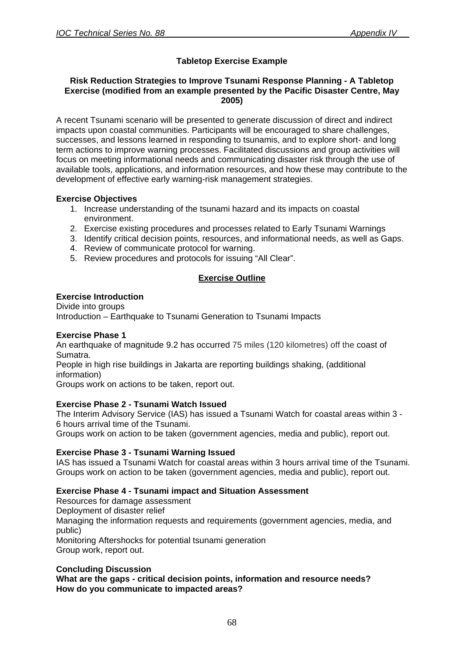# **Tabletop Exercise Example**

### **Risk Reduction Strategies to Improve Tsunami Response Planning - A Tabletop Exercise (modified from an example presented by the Pacific Disaster Centre, May 2005)**

A recent Tsunami scenario will be presented to generate discussion of direct and indirect impacts upon coastal communities. Participants will be encouraged to share challenges, successes, and lessons learned in responding to tsunamis, and to explore short- and long term actions to improve warning processes. Facilitated discussions and group activities will focus on meeting informational needs and communicating disaster risk through the use of available tools, applications, and information resources, and how these may contribute to the development of effective early warning-risk management strategies.

## **Exercise Objectives**

- 1. Increase understanding of the tsunami hazard and its impacts on coastal environment.
- 2. Exercise existing procedures and processes related to Early Tsunami Warnings
- 3. Identify critical decision points, resources, and informational needs, as well as Gaps.
- 4. Review of communicate protocol for warning.
- 5. Review procedures and protocols for issuing "All Clear".

## **Exercise Outline**

## **Exercise Introduction**

Divide into groups Introduction – Earthquake to Tsunami Generation to Tsunami Impacts

## **Exercise Phase 1**

An earthquake of magnitude 9.2 has occurred 75 miles (120 kilometres) off the coast of Sumatra.

People in high rise buildings in Jakarta are reporting buildings shaking, (additional information)

Groups work on actions to be taken, report out.

## **Exercise Phase 2 - Tsunami Watch Issued**

The Interim Advisory Service (IAS) has issued a Tsunami Watch for coastal areas within 3 - 6 hours arrival time of the Tsunami.

Groups work on action to be taken (government agencies, media and public), report out.

## **Exercise Phase 3 - Tsunami Warning Issued**

IAS has issued a Tsunami Watch for coastal areas within 3 hours arrival time of the Tsunami. Groups work on action to be taken (government agencies, media and public), report out.

## **Exercise Phase 4 - Tsunami impact and Situation Assessment**

Resources for damage assessment Deployment of disaster relief Managing the information requests and requirements (government agencies, media, and public) Monitoring Aftershocks for potential tsunami generation Group work, report out.

## **Concluding Discussion**

**What are the gaps - critical decision points, information and resource needs? How do you communicate to impacted areas?**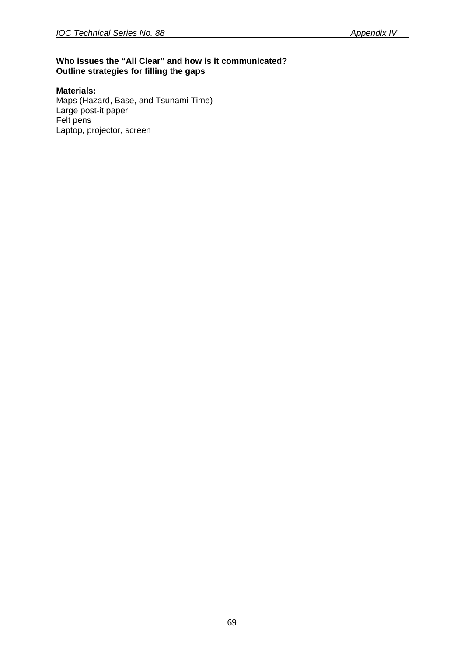#### **Who issues the "All Clear" and how is it communicated? Outline strategies for filling the gaps**

**Materials:**  Maps (Hazard, Base, and Tsunami Time) Large post-it paper Felt pens Laptop, projector, screen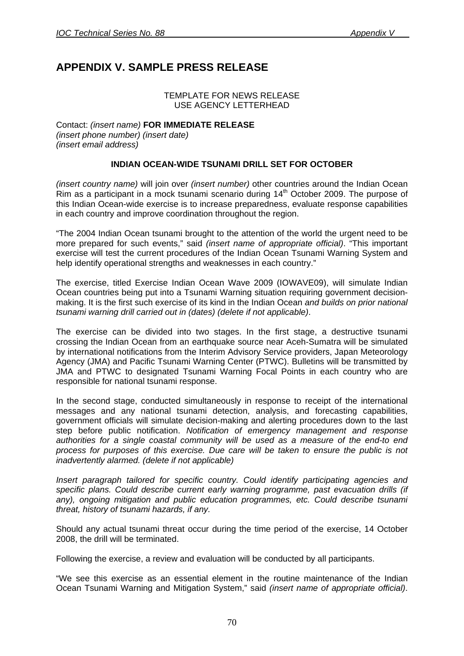# **APPENDIX V. SAMPLE PRESS RELEASE**

#### TEMPLATE FOR NEWS RELEASE USE AGENCY LETTERHEAD

Contact: *(insert name)* **FOR IMMEDIATE RELEASE**  *(insert phone number) (insert date) (insert email address)* 

#### **INDIAN OCEAN-WIDE TSUNAMI DRILL SET FOR OCTOBER**

*(insert country name)* will join over *(insert number)* other countries around the Indian Ocean Rim as a participant in a mock tsunami scenario during  $14<sup>th</sup>$  October 2009. The purpose of this Indian Ocean-wide exercise is to increase preparedness, evaluate response capabilities in each country and improve coordination throughout the region.

"The 2004 Indian Ocean tsunami brought to the attention of the world the urgent need to be more prepared for such events," said *(insert name of appropriate official)*. "This important exercise will test the current procedures of the Indian Ocean Tsunami Warning System and help identify operational strengths and weaknesses in each country."

The exercise, titled Exercise Indian Ocean Wave 2009 (IOWAVE09), will simulate Indian Ocean countries being put into a Tsunami Warning situation requiring government decisionmaking. It is the first such exercise of its kind in the Indian Ocean *and builds on prior national tsunami warning drill carried out in (dates) (delete if not applicable)*.

The exercise can be divided into two stages. In the first stage, a destructive tsunami crossing the Indian Ocean from an earthquake source near Aceh-Sumatra will be simulated by international notifications from the Interim Advisory Service providers, Japan Meteorology Agency (JMA) and Pacific Tsunami Warning Center (PTWC). Bulletins will be transmitted by JMA and PTWC to designated Tsunami Warning Focal Points in each country who are responsible for national tsunami response.

In the second stage, conducted simultaneously in response to receipt of the international messages and any national tsunami detection, analysis, and forecasting capabilities, government officials will simulate decision-making and alerting procedures down to the last step before public notification. *Notification of emergency management and response authorities for a single coastal community will be used as a measure of the end-to end process for purposes of this exercise. Due care will be taken to ensure the public is not inadvertently alarmed. (delete if not applicable)*

*Insert paragraph tailored for specific country. Could identify participating agencies and specific plans. Could describe current early warning programme, past evacuation drills (if any), ongoing mitigation and public education programmes, etc. Could describe tsunami threat, history of tsunami hazards, if any.* 

Should any actual tsunami threat occur during the time period of the exercise, 14 October 2008, the drill will be terminated.

Following the exercise, a review and evaluation will be conducted by all participants.

"We see this exercise as an essential element in the routine maintenance of the Indian Ocean Tsunami Warning and Mitigation System," said *(insert name of appropriate official)*.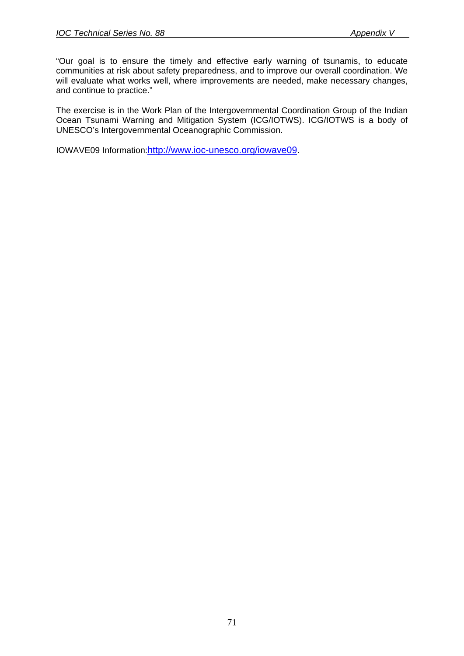"Our goal is to ensure the timely and effective early warning of tsunamis, to educate communities at risk about safety preparedness, and to improve our overall coordination. We will evaluate what works well, where improvements are needed, make necessary changes, and continue to practice."

The exercise is in the Work Plan of the Intergovernmental Coordination Group of the Indian Ocean Tsunami Warning and Mitigation System (ICG/IOTWS). ICG/IOTWS is a body of UNESCO's Intergovernmental Oceanographic Commission.

IOWAVE09 Information:http://www.ioc-unesco.org/iowave09.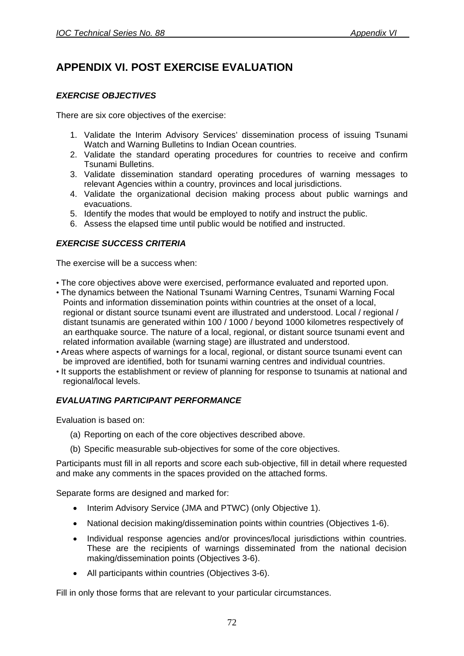# **APPENDIX VI. POST EXERCISE EVALUATION**

#### *EXERCISE OBJECTIVES*

There are six core objectives of the exercise:

- 1. Validate the Interim Advisory Services' dissemination process of issuing Tsunami Watch and Warning Bulletins to Indian Ocean countries.
- 2. Validate the standard operating procedures for countries to receive and confirm Tsunami Bulletins.
- 3. Validate dissemination standard operating procedures of warning messages to relevant Agencies within a country, provinces and local jurisdictions.
- 4. Validate the organizational decision making process about public warnings and evacuations.
- 5. Identify the modes that would be employed to notify and instruct the public.
- 6. Assess the elapsed time until public would be notified and instructed.

#### *EXERCISE SUCCESS CRITERIA*

The exercise will be a success when:

- The core objectives above were exercised, performance evaluated and reported upon.
- The dynamics between the National Tsunami Warning Centres, Tsunami Warning Focal Points and information dissemination points within countries at the onset of a local, regional or distant source tsunami event are illustrated and understood. Local / regional / distant tsunamis are generated within 100 / 1000 / beyond 1000 kilometres respectively of an earthquake source. The nature of a local, regional, or distant source tsunami event and related information available (warning stage) are illustrated and understood.
- Areas where aspects of warnings for a local, regional, or distant source tsunami event can be improved are identified, both for tsunami warning centres and individual countries.
- It supports the establishment or review of planning for response to tsunamis at national and regional/local levels.

#### *EVALUATING PARTICIPANT PERFORMANCE*

Evaluation is based on:

- (a) Reporting on each of the core objectives described above.
- (b) Specific measurable sub-objectives for some of the core objectives.

Participants must fill in all reports and score each sub-objective, fill in detail where requested and make any comments in the spaces provided on the attached forms.

Separate forms are designed and marked for:

- Interim Advisory Service (JMA and PTWC) (only Objective 1).
- National decision making/dissemination points within countries (Objectives 1-6).
- Individual response agencies and/or provinces/local jurisdictions within countries. These are the recipients of warnings disseminated from the national decision making/dissemination points (Objectives 3-6).
- All participants within countries (Objectives 3-6).

Fill in only those forms that are relevant to your particular circumstances.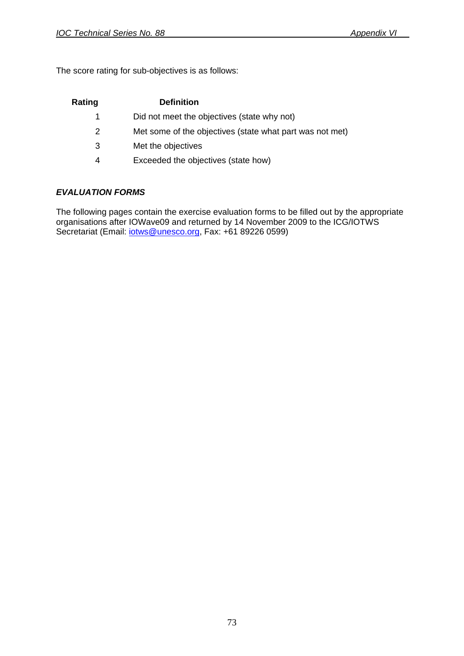The score rating for sub-objectives is as follows:

| Rating | <b>Definition</b>                                        |
|--------|----------------------------------------------------------|
| 1.     | Did not meet the objectives (state why not)              |
| 2      | Met some of the objectives (state what part was not met) |
| 3      | Met the objectives                                       |
| 4      | Exceeded the objectives (state how)                      |
|        |                                                          |

#### *EVALUATION FORMS*

The following pages contain the exercise evaluation forms to be filled out by the appropriate organisations after IOWave09 and returned by 14 November 2009 to the ICG/IOTWS Secretariat (Email: iotws@unesco.org, Fax: +61 89226 0599)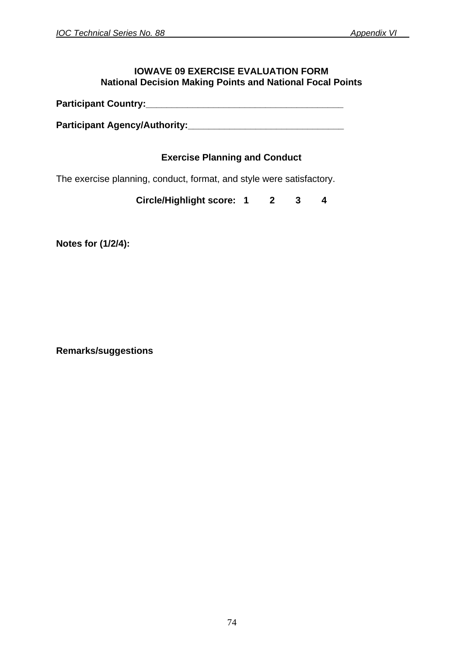#### **IOWAVE 09 EXERCISE EVALUATION FORM National Decision Making Points and National Focal Points**

**Participant Country:\_\_\_\_\_\_\_\_\_\_\_\_\_\_\_\_\_\_\_\_\_\_\_\_\_\_\_\_\_\_\_\_\_\_\_\_\_\_** 

**Participant Agency/Authority:\_\_\_\_\_\_\_\_\_\_\_\_\_\_\_\_\_\_\_\_\_\_\_\_\_\_\_\_\_\_** 

## **Exercise Planning and Conduct**

The exercise planning, conduct, format, and style were satisfactory.

**Circle/Highlight score: 1 2 3 4** 

**Notes for (1/2/4):**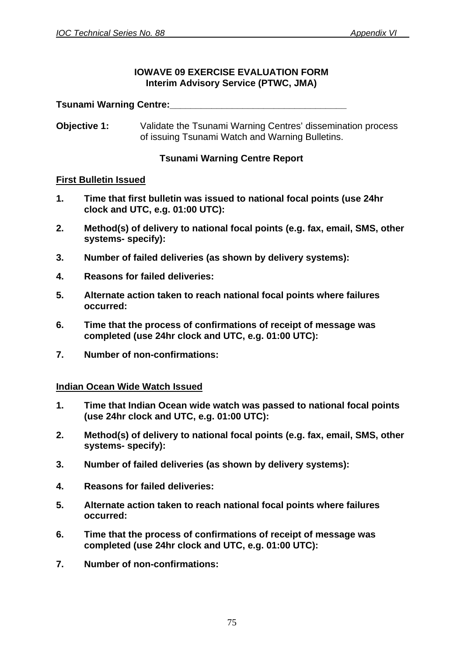#### **IOWAVE 09 EXERCISE EVALUATION FORM Interim Advisory Service (PTWC, JMA)**

#### **Tsunami Warning Centre:\_\_\_\_\_\_\_\_\_\_\_\_\_\_\_\_\_\_\_\_\_\_\_\_\_\_\_\_\_\_\_\_\_\_**

**Objective 1:** Validate the Tsunami Warning Centres' dissemination process of issuing Tsunami Watch and Warning Bulletins.

#### **Tsunami Warning Centre Report**

#### **First Bulletin Issued**

- **1. Time that first bulletin was issued to national focal points (use 24hr clock and UTC, e.g. 01:00 UTC):**
- **2. Method(s) of delivery to national focal points (e.g. fax, email, SMS, other systems- specify):**
- **3. Number of failed deliveries (as shown by delivery systems):**
- **4. Reasons for failed deliveries:**
- **5. Alternate action taken to reach national focal points where failures occurred:**
- **6. Time that the process of confirmations of receipt of message was completed (use 24hr clock and UTC, e.g. 01:00 UTC):**
- **7. Number of non-confirmations:**

#### **Indian Ocean Wide Watch Issued**

- **1. Time that Indian Ocean wide watch was passed to national focal points (use 24hr clock and UTC, e.g. 01:00 UTC):**
- **2. Method(s) of delivery to national focal points (e.g. fax, email, SMS, other systems- specify):**
- **3. Number of failed deliveries (as shown by delivery systems):**
- **4. Reasons for failed deliveries:**
- **5. Alternate action taken to reach national focal points where failures occurred:**
- **6. Time that the process of confirmations of receipt of message was completed (use 24hr clock and UTC, e.g. 01:00 UTC):**
- **7. Number of non-confirmations:**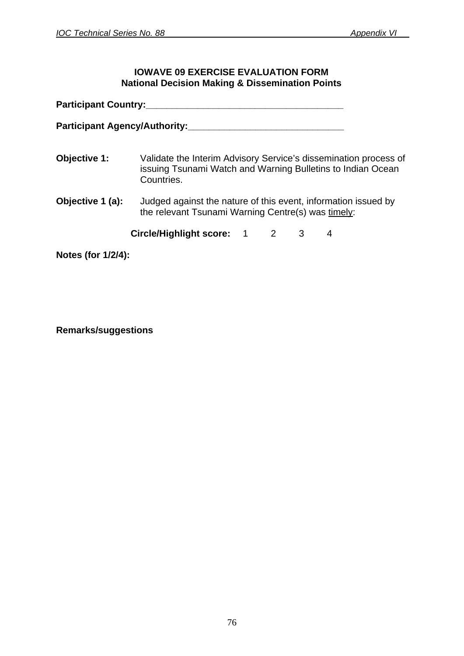| <b>Participant Country:</b> |                                                                                                                                               |  |  |  |   |  |  |
|-----------------------------|-----------------------------------------------------------------------------------------------------------------------------------------------|--|--|--|---|--|--|
|                             | Participant Agency/Authority:                                                                                                                 |  |  |  |   |  |  |
| Objective 1:                | Validate the Interim Advisory Service's dissemination process of<br>issuing Tsunami Watch and Warning Bulletins to Indian Ocean<br>Countries. |  |  |  |   |  |  |
| Objective 1 (a):            | Judged against the nature of this event, information issued by<br>the relevant Tsunami Warning Centre(s) was timely:                          |  |  |  |   |  |  |
|                             | Circle/Highlight score: 1 2 3                                                                                                                 |  |  |  | 4 |  |  |
|                             |                                                                                                                                               |  |  |  |   |  |  |

**Notes (for 1/2/4):**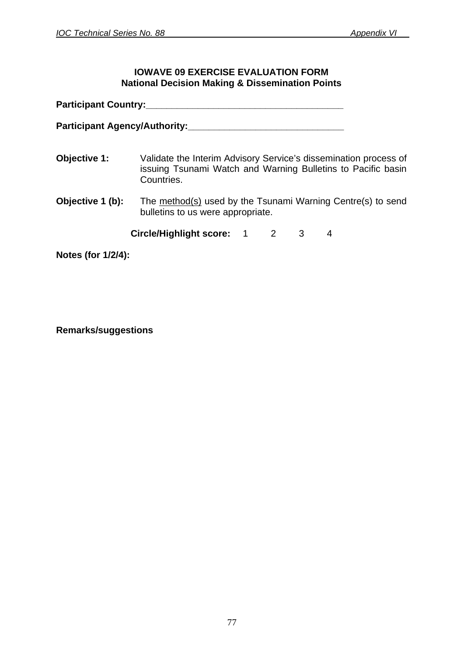| <b>Participant Country:</b> |                                                                                                                                                |  |   |  |
|-----------------------------|------------------------------------------------------------------------------------------------------------------------------------------------|--|---|--|
|                             | <b>Participant Agency/Authority:</b>                                                                                                           |  |   |  |
| Objective 1:                | Validate the Interim Advisory Service's dissemination process of<br>issuing Tsunami Watch and Warning Bulletins to Pacific basin<br>Countries. |  |   |  |
| Objective 1 (b):            | The method(s) used by the Tsunami Warning Centre(s) to send<br>bulletins to us were appropriate.                                               |  |   |  |
|                             | Circle/Highlight score: 1 2 3                                                                                                                  |  | 4 |  |

**Notes (for 1/2/4):**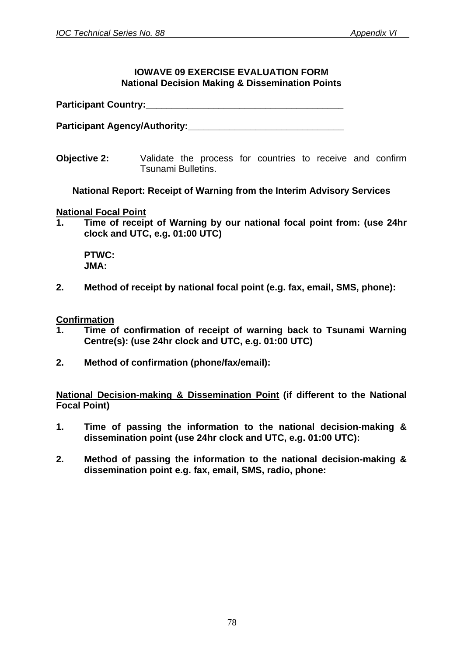**Participant Country: Participant Country:** 

**Participant Agency/Authority:** 

**Objective 2:** Validate the process for countries to receive and confirm Tsunami Bulletins.

**National Report: Receipt of Warning from the Interim Advisory Services** 

#### **National Focal Point**

**1. Time of receipt of Warning by our national focal point from: (use 24hr clock and UTC, e.g. 01:00 UTC)** 

**PTWC: JMA:** 

**2. Method of receipt by national focal point (e.g. fax, email, SMS, phone):** 

## **Confirmation**

- **1. Time of confirmation of receipt of warning back to Tsunami Warning Centre(s): (use 24hr clock and UTC, e.g. 01:00 UTC)**
- **2. Method of confirmation (phone/fax/email):**

**National Decision-making & Dissemination Point (if different to the National Focal Point)** 

- **1. Time of passing the information to the national decision-making & dissemination point (use 24hr clock and UTC, e.g. 01:00 UTC):**
- **2. Method of passing the information to the national decision-making & dissemination point e.g. fax, email, SMS, radio, phone:**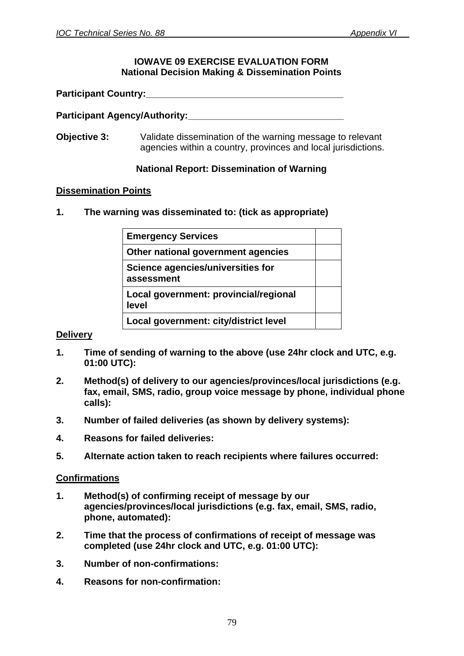**Participant Country:\_\_\_\_\_\_\_\_\_\_\_\_\_\_\_\_\_\_\_\_\_\_\_\_\_\_\_\_\_\_\_\_\_\_\_\_\_\_** 

**Participant Agency/Authority:** 

**Objective 3:** Validate dissemination of the warning message to relevant agencies within a country, provinces and local jurisdictions.

## **National Report: Dissemination of Warning**

#### **Dissemination Points**

**1. The warning was disseminated to: (tick as appropriate)** 

| <b>Emergency Services</b>                       |  |
|-------------------------------------------------|--|
| Other national government agencies              |  |
| Science agencies/universities for<br>assessment |  |
| Local government: provincial/regional<br>level  |  |
| Local government: city/district level           |  |

#### **Delivery**

- **1. Time of sending of warning to the above (use 24hr clock and UTC, e.g. 01:00 UTC):**
- **2. Method(s) of delivery to our agencies/provinces/local jurisdictions (e.g. fax, email, SMS, radio, group voice message by phone, individual phone calls):**
- **3. Number of failed deliveries (as shown by delivery systems):**
- **4. Reasons for failed deliveries:**
- **5. Alternate action taken to reach recipients where failures occurred:**

#### **Confirmations**

- **1. Method(s) of confirming receipt of message by our agencies/provinces/local jurisdictions (e.g. fax, email, SMS, radio, phone, automated):**
- **2. Time that the process of confirmations of receipt of message was completed (use 24hr clock and UTC, e.g. 01:00 UTC):**
- **3. Number of non-confirmations:**
- **4. Reasons for non-confirmation:**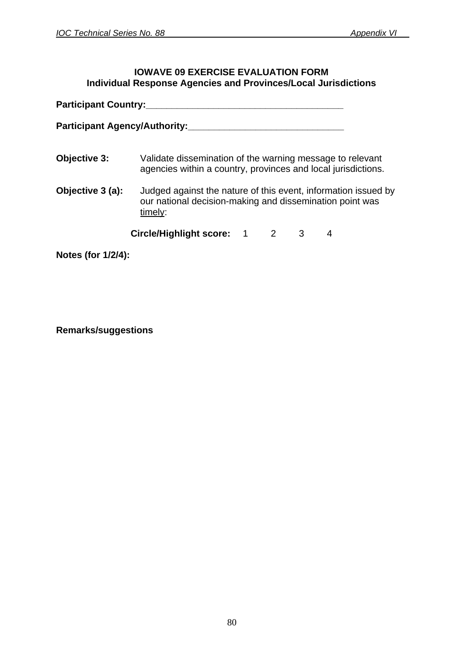## **IOWAVE 09 EXERCISE EVALUATION FORM Individual Response Agencies and Provinces/Local Jurisdictions**

| <b>Participant Country:</b>          |                                                                                                                                       |
|--------------------------------------|---------------------------------------------------------------------------------------------------------------------------------------|
| <b>Participant Agency/Authority:</b> |                                                                                                                                       |
| <b>Objective 3:</b>                  | Validate dissemination of the warning message to relevant<br>agencies within a country, provinces and local jurisdictions.            |
| Objective 3 (a):                     | Judged against the nature of this event, information issued by<br>our national decision-making and dissemination point was<br>timely: |

**Circle/Highlight score:** 1 2 3 4

**Notes (for 1/2/4):**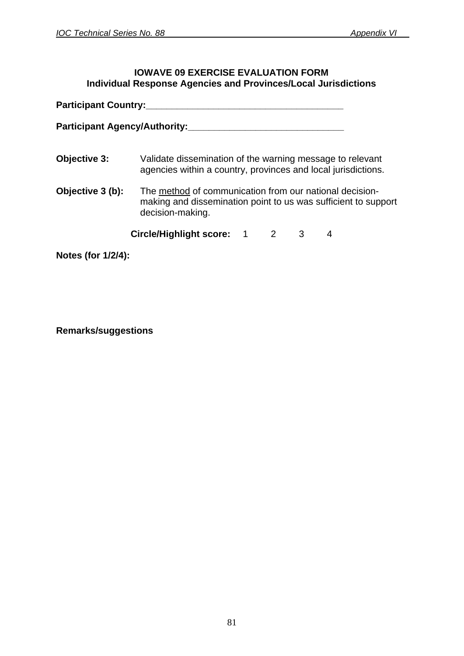#### **IOWAVE 09 EXERCISE EVALUATION FORM Individual Response Agencies and Provinces/Local Jurisdictions**

| <b>Participant Country:___</b>       |                                                                                                                            |  |  |  |  |  |  |
|--------------------------------------|----------------------------------------------------------------------------------------------------------------------------|--|--|--|--|--|--|
| <b>Participant Agency/Authority:</b> |                                                                                                                            |  |  |  |  |  |  |
| <b>Objective 3:</b>                  | Validate dissemination of the warning message to relevant<br>agencies within a country, provinces and local jurisdictions. |  |  |  |  |  |  |

**Objective 3 (b):** The method of communication from our national decisionmaking and dissemination point to us was sufficient to support decision-making.

**Circle/Highlight score:** 1 2 3 4

**Notes (for 1/2/4):**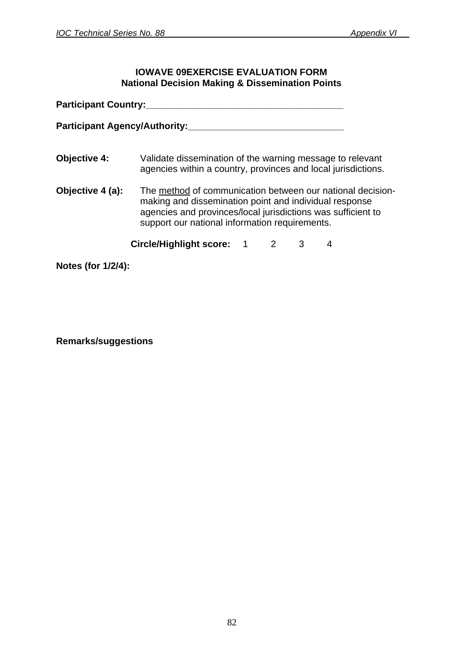| <b>Participant Country:</b> _____    |                                                                                                                                                                                      |
|--------------------------------------|--------------------------------------------------------------------------------------------------------------------------------------------------------------------------------------|
| <b>Participant Agency/Authority:</b> |                                                                                                                                                                                      |
| <b>Objective 4:</b>                  | Validate dissemination of the warning message to relevant<br>agencies within a country, provinces and local jurisdictions.                                                           |
| Objective 4 (a):                     | The method of communication between our national decision-<br>making and dissemination point and individual response<br>agencies and provinces/local jurisdictions was sufficient to |

**Circle/Highlight score:** 1 2 3 4

support our national information requirements.

**Notes (for 1/2/4):**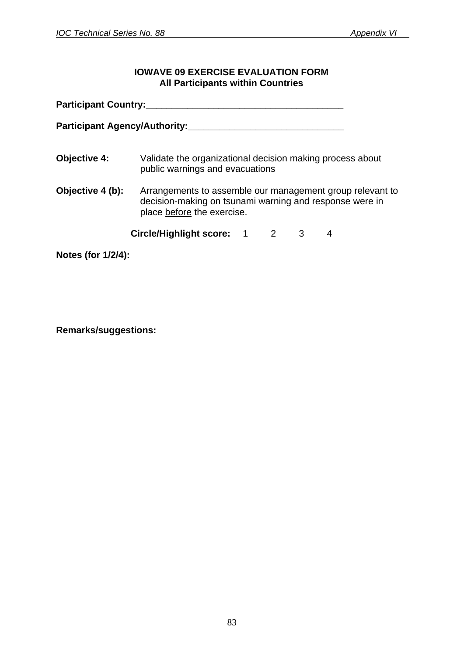| <b>Participant Country:</b> |                                                                                                                                                    |
|-----------------------------|----------------------------------------------------------------------------------------------------------------------------------------------------|
|                             | <b>Participant Agency/Authority:</b>                                                                                                               |
| <b>Objective 4:</b>         | Validate the organizational decision making process about<br>public warnings and evacuations                                                       |
| Objective 4 (b):            | Arrangements to assemble our management group relevant to<br>decision-making on tsunami warning and response were in<br>place before the exercise. |
|                             | Circle/Highlight score: 1 2<br>3<br>4                                                                                                              |

**Notes (for 1/2/4):**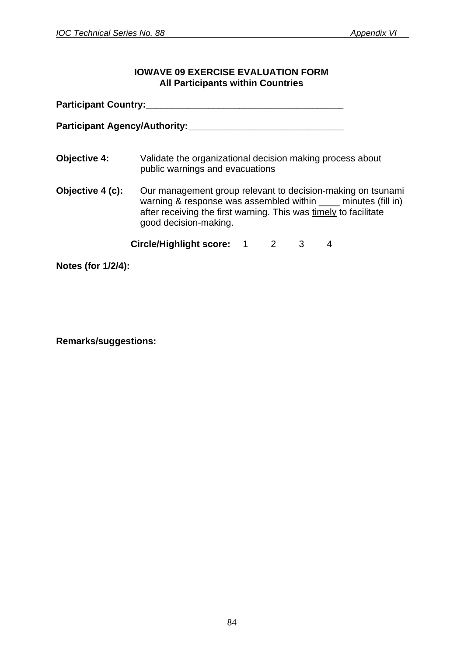| <b>Participant Country:</b>          |                                                                                                                                                                                                    |  |  |  |  |  |  |
|--------------------------------------|----------------------------------------------------------------------------------------------------------------------------------------------------------------------------------------------------|--|--|--|--|--|--|
| <b>Participant Agency/Authority:</b> |                                                                                                                                                                                                    |  |  |  |  |  |  |
| <b>Objective 4:</b>                  | Validate the organizational decision making process about<br>public warnings and evacuations                                                                                                       |  |  |  |  |  |  |
| <b>Objective 4 (c):</b>              | Our management group relevant to decision-making on tsunami<br>warning & response was assembled within _____ minutes (fill in)<br>after receiving the first warning. This was timely to facilitate |  |  |  |  |  |  |

good decision-making.

**Circle/Highlight score:** 1 2 3 4

**Notes (for 1/2/4):**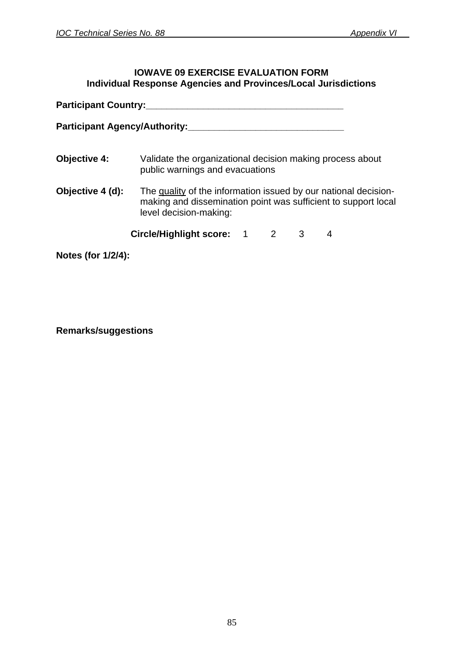#### **IOWAVE 09 EXERCISE EVALUATION FORM Individual Response Agencies and Provinces/Local Jurisdictions**

**Participant Country:\_\_\_\_\_\_\_\_\_\_\_\_\_\_\_\_\_\_\_\_\_\_\_\_\_\_\_\_\_\_\_\_\_\_\_\_\_\_ Participant Agency/Authority:\_\_\_\_\_\_\_\_\_\_\_\_\_\_\_\_\_\_\_\_\_\_\_\_\_\_\_\_\_\_ Objective 4:** Validate the organizational decision making process about public warnings and evacuations

**Objective 4 (d):** The quality of the information issued by our national decisionmaking and dissemination point was sufficient to support local level decision-making:

**Circle/Highlight score:** 1 2 3 4

**Notes (for 1/2/4):**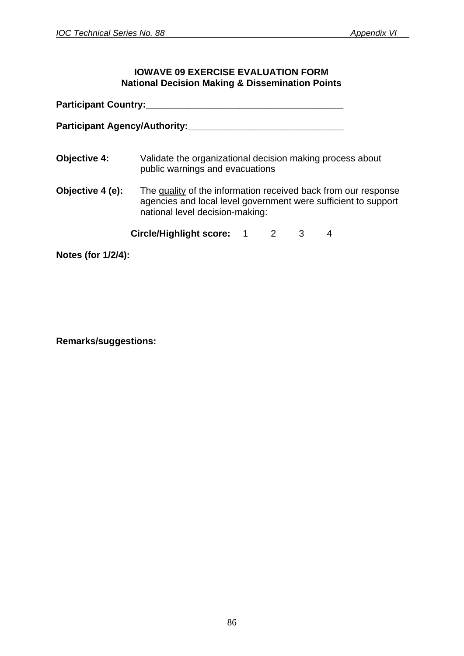| <b>Participant Country:</b>          |                                                                                                                                                                     |  |  |  |
|--------------------------------------|---------------------------------------------------------------------------------------------------------------------------------------------------------------------|--|--|--|
| <b>Participant Agency/Authority:</b> |                                                                                                                                                                     |  |  |  |
| <b>Objective 4:</b>                  | Validate the organizational decision making process about<br>public warnings and evacuations                                                                        |  |  |  |
| Objective 4 (e):                     | The quality of the information received back from our response<br>agencies and local level government were sufficient to support<br>national level decision-making: |  |  |  |
|                                      | Circle/Highlight score: $1 \t 2 \t 3$                                                                                                                               |  |  |  |

**Notes (for 1/2/4):**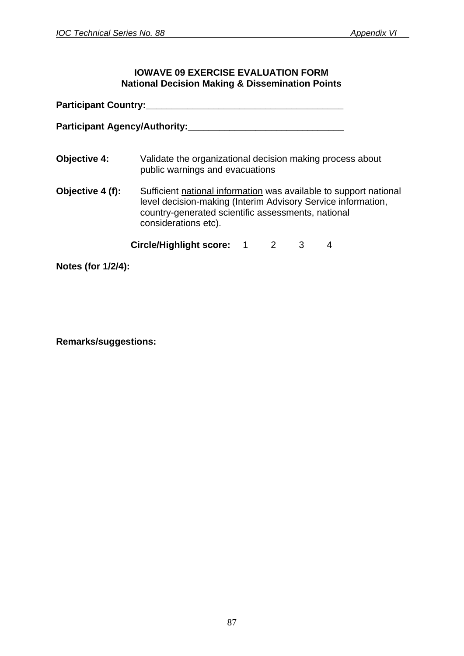| <b>Participant Country:</b> |                                                                                                                                                                                                                 |                |   |  |
|-----------------------------|-----------------------------------------------------------------------------------------------------------------------------------------------------------------------------------------------------------------|----------------|---|--|
|                             | <b>Participant Agency/Authority:</b>                                                                                                                                                                            |                |   |  |
| <b>Objective 4:</b>         | Validate the organizational decision making process about<br>public warnings and evacuations                                                                                                                    |                |   |  |
| Objective 4 (f):            | Sufficient national information was available to support national<br>level decision-making (Interim Advisory Service information,<br>country-generated scientific assessments, national<br>considerations etc). |                |   |  |
|                             | Circle/Highlight score: 1                                                                                                                                                                                       | $\overline{2}$ | 3 |  |

**Notes (for 1/2/4):**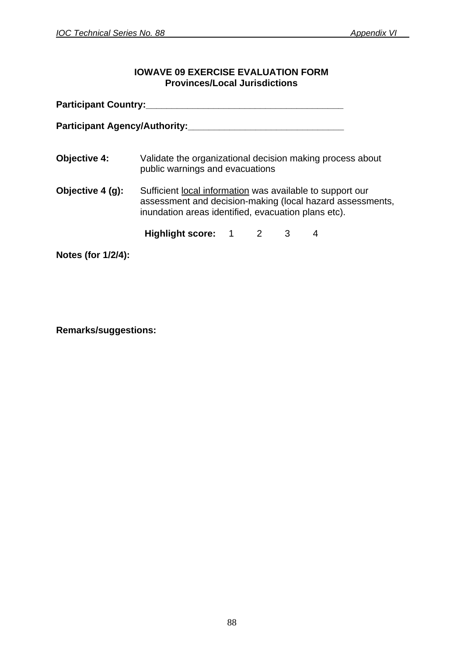## **IOWAVE 09 EXERCISE EVALUATION FORM Provinces/Local Jurisdictions**

| <b>Participant Country:</b>          |                                                                                                                                                                               |  |  |  |   |  |  |
|--------------------------------------|-------------------------------------------------------------------------------------------------------------------------------------------------------------------------------|--|--|--|---|--|--|
| <b>Participant Agency/Authority:</b> |                                                                                                                                                                               |  |  |  |   |  |  |
| <b>Objective 4:</b>                  | Validate the organizational decision making process about<br>public warnings and evacuations                                                                                  |  |  |  |   |  |  |
| Objective $4(g)$ :                   | Sufficient local information was available to support our<br>assessment and decision-making (local hazard assessments,<br>inundation areas identified, evacuation plans etc). |  |  |  |   |  |  |
|                                      | Highlight score: 1 2 3                                                                                                                                                        |  |  |  | 4 |  |  |
| Notes (for 1/2/4):                   |                                                                                                                                                                               |  |  |  |   |  |  |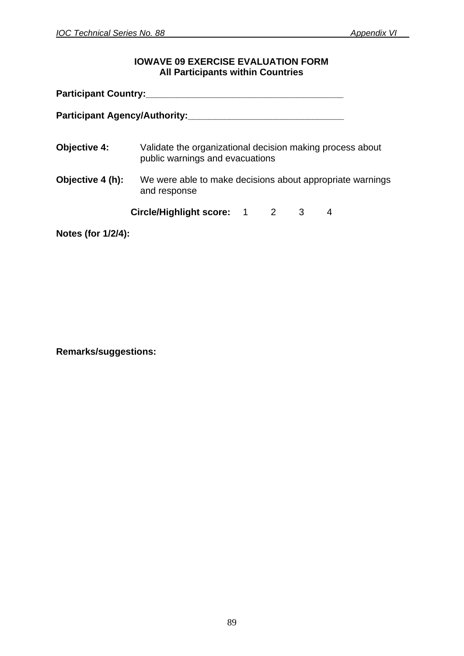| <b>Participant Country:</b> |                                                                                              |  |  |   |   |  |
|-----------------------------|----------------------------------------------------------------------------------------------|--|--|---|---|--|
|                             | <b>Participant Agency/Authority:</b>                                                         |  |  |   |   |  |
| <b>Objective 4:</b>         | Validate the organizational decision making process about<br>public warnings and evacuations |  |  |   |   |  |
| Objective 4 (h):            | We were able to make decisions about appropriate warnings<br>and response                    |  |  |   |   |  |
|                             | Circle/Highlight score: 1 2                                                                  |  |  | 3 | 4 |  |

**Notes (for 1/2/4):**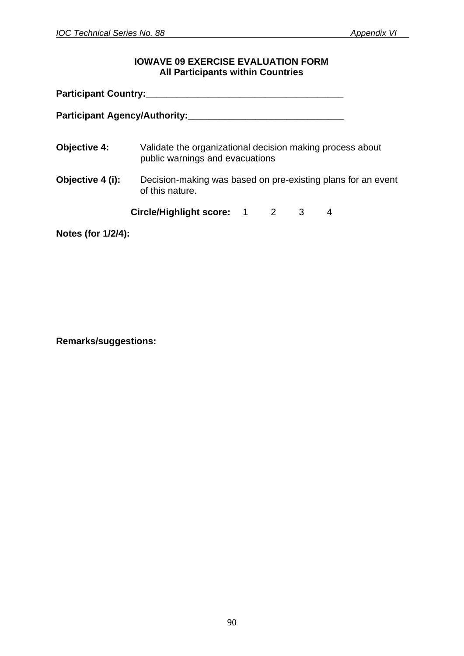| <b>Participant Country:</b> |                                                                                              |  |  |  |   |  |
|-----------------------------|----------------------------------------------------------------------------------------------|--|--|--|---|--|
|                             | <b>Participant Agency/Authority:</b>                                                         |  |  |  |   |  |
| <b>Objective 4:</b>         | Validate the organizational decision making process about<br>public warnings and evacuations |  |  |  |   |  |
| Objective 4 (i):            | Decision-making was based on pre-existing plans for an event<br>of this nature.              |  |  |  |   |  |
|                             | Circle/Highlight score: 1 2 3                                                                |  |  |  | 4 |  |

**Notes (for 1/2/4):**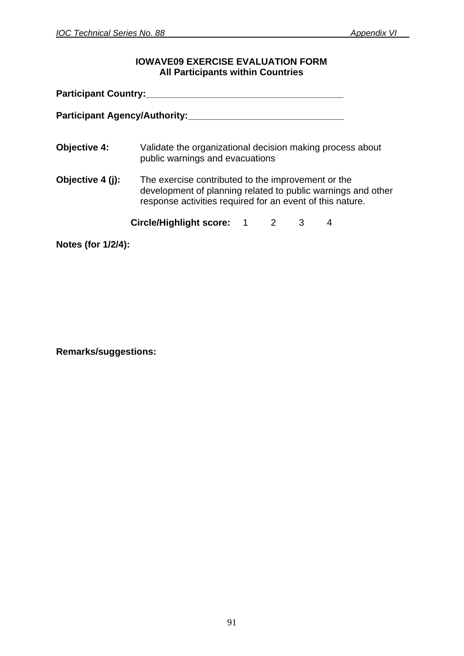| <b>Participant Country:</b>          |                                                                                                                                                                                 |  |  |  |   |  |
|--------------------------------------|---------------------------------------------------------------------------------------------------------------------------------------------------------------------------------|--|--|--|---|--|
| <b>Participant Agency/Authority:</b> |                                                                                                                                                                                 |  |  |  |   |  |
| <b>Objective 4:</b>                  | Validate the organizational decision making process about<br>public warnings and evacuations                                                                                    |  |  |  |   |  |
| Objective 4 (j):                     | The exercise contributed to the improvement or the<br>development of planning related to public warnings and other<br>response activities required for an event of this nature. |  |  |  |   |  |
|                                      | Circle/Highlight score: 1 2 3                                                                                                                                                   |  |  |  | 4 |  |

**Notes (for 1/2/4):**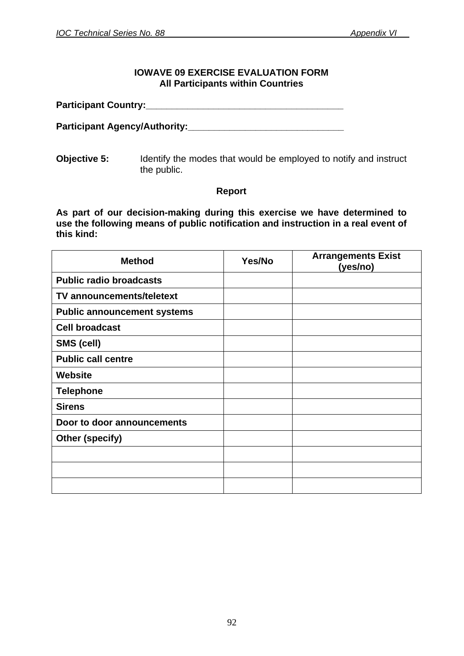**Participant Country:\_\_\_\_\_\_\_\_\_\_\_\_\_\_\_\_\_\_\_\_\_\_\_\_\_\_\_\_\_\_\_\_\_\_\_\_\_\_** 

**Participant Agency/Authority:\_\_\_\_\_\_\_\_\_\_\_\_\_\_\_\_\_\_\_\_\_\_\_\_\_\_\_\_\_\_** 

**Objective 5:** Identify the modes that would be employed to notify and instruct the public.

#### **Report**

**As part of our decision-making during this exercise we have determined to use the following means of public notification and instruction in a real event of this kind:** 

| <b>Method</b>                      | Yes/No | <b>Arrangements Exist</b><br>(yes/no) |
|------------------------------------|--------|---------------------------------------|
| <b>Public radio broadcasts</b>     |        |                                       |
| <b>TV announcements/teletext</b>   |        |                                       |
| <b>Public announcement systems</b> |        |                                       |
| <b>Cell broadcast</b>              |        |                                       |
| SMS (cell)                         |        |                                       |
| <b>Public call centre</b>          |        |                                       |
| <b>Website</b>                     |        |                                       |
| <b>Telephone</b>                   |        |                                       |
| <b>Sirens</b>                      |        |                                       |
| Door to door announcements         |        |                                       |
| <b>Other (specify)</b>             |        |                                       |
|                                    |        |                                       |
|                                    |        |                                       |
|                                    |        |                                       |